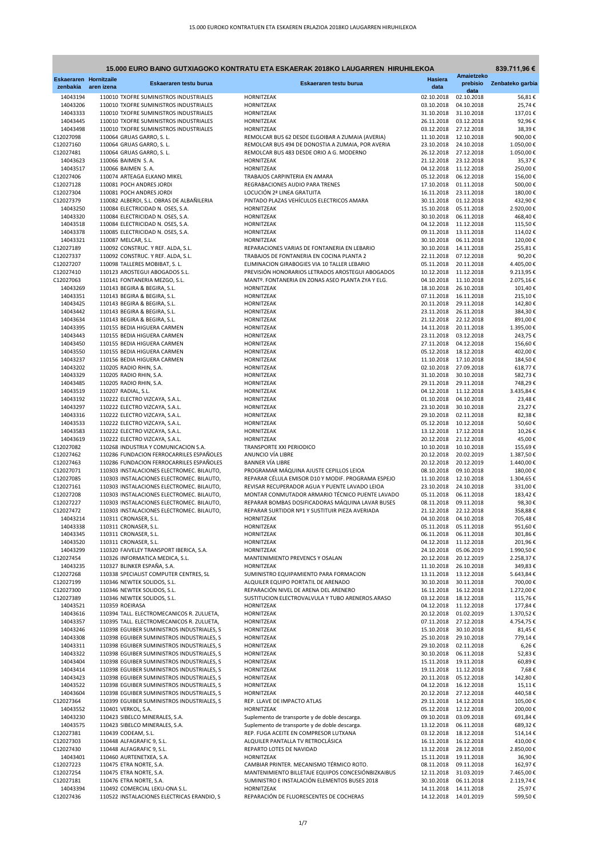**839.711,96 €**

| <b>Eskaeraren Hornitzaile</b> |            | Eskaeraren testu burua                                                                   | Eskaeraren testu burua                                                                              | <b>Hasiera</b>           | Amaietzeko               | prebisio Zenbateko garbia |
|-------------------------------|------------|------------------------------------------------------------------------------------------|-----------------------------------------------------------------------------------------------------|--------------------------|--------------------------|---------------------------|
| zenbakia                      | aren izena |                                                                                          |                                                                                                     | data                     | data                     |                           |
| 14043194<br>14043206          |            | 110010 TXOFRE SUMINISTROS INDUSTRIALES<br>110010 TXOFRE SUMINISTROS INDUSTRIALES         | HORNITZEAK<br>HORNITZEAK                                                                            | 02.10.2018<br>03.10.2018 | 02.10.2018<br>04.10.2018 | 56,81€<br>25,74€          |
| 14043333                      |            | 110010 TXOFRE SUMINISTROS INDUSTRIALES                                                   | HORNITZEAK                                                                                          | 31.10.2018               | 31.10.2018               | 137,01€                   |
| 14043445                      |            | 110010 TXOFRE SUMINISTROS INDUSTRIALES                                                   | HORNITZEAK                                                                                          | 26.11.2018               | 03.12.2018               | 92,96€                    |
| 14043498<br>C12027098         |            | 110010 TXOFRE SUMINISTROS INDUSTRIALES<br>110064 GRUAS GARRO, S. L.                      | HORNITZEAK<br>REMOLCAR BUS 62 DESDE ELGOIBAR A ZUMAIA (AVERIA)                                      | 03.12.2018<br>11.10.2018 | 27.12.2018<br>12.10.2018 | 38,39€<br>900,00€         |
| C12027160                     |            | 110064 GRUAS GARRO, S. L.                                                                | REMOLCAR BUS 494 DE DONOSTIA A ZUMAIA, POR AVERIA                                                   | 23.10.2018               | 24.10.2018               | 1.050,00€                 |
| C12027481                     |            | 110064 GRUAS GARRO, S. L.                                                                | REMOLCAR BUS 483 DESDE ORIO A G. MODERNO                                                            | 26.12.2018               | 27.12.2018               | 1.050,00€                 |
| 14043623                      |            | 110066 BAIMEN S.A.                                                                       | HORNITZEAK                                                                                          | 21.12.2018               | 23.12.2018               | 35,37€                    |
| 14043517<br>C12027406         |            | 110066 BAIMEN S.A.<br>110074 ARTEAGA ELKANO MIKEL                                        | HORNITZEAK<br>TRABAJOS CARPINTERIA EN AMARA                                                         | 04.12.2018<br>05.12.2018 | 11.12.2018<br>06.12.2018 | 250,00€<br>156,00€        |
| C12027128                     |            | 110081 POCH ANDRES JORDI                                                                 | REGRABACIONES AUDIO PARA TRENES                                                                     | 17.10.2018               | 01.11.2018               | 500,00€                   |
| C12027304                     |            | 110081 POCH ANDRES JORDI                                                                 | LOCUCIÓN 2ª LINEA GRATUITA                                                                          | 16.11.2018               | 23.11.2018               | 180,00€                   |
| C12027379                     |            | 110082 ALBERDI, S.L. OBRAS DE ALBAÑILERIA                                                | PINTADO PLAZAS VEHÍCULOS ELECTRICOS AMARA                                                           | 30.11.2018               | 01.12.2018               | 432,90€                   |
| 14043250<br>14043320          |            | 110084 ELECTRICIDAD N. OSES, S.A.<br>110084 ELECTRICIDAD N. OSES, S.A.                   | HORNITZEAK<br><b>HORNITZEAK</b>                                                                     | 15.10.2018<br>30.10.2018 | 05.11.2018<br>06.11.2018 | 2.920,00 €<br>468,40€     |
| 14043518                      |            | 110084 ELECTRICIDAD N. OSES, S.A.                                                        | HORNITZEAK                                                                                          | 04.12.2018               | 11.12.2018               | 115,50€                   |
| 14043378                      |            | 110085 ELECTRICIDAD N. OSES, S.A.                                                        | HORNITZEAK                                                                                          | 09.11.2018               | 13.11.2018               | 114,02€                   |
| 14043321                      |            | 110087 MELCAR, S.L.                                                                      | HORNITZEAK                                                                                          | 30.10.2018               | 06.11.2018               | 120,00€                   |
| C12027189                     |            | 110092 CONSTRUC. Y REF. ALDA, S.L.                                                       | REPARACIONES VARIAS DE FONTANERIA EN LEBARIO                                                        | 30.10.2018               | 14.11.2018               | 255,81€                   |
| C12027337<br>C12027207        |            | 110092 CONSTRUC. Y REF. ALDA, S.L.<br>110098 TALLERES MOBIBAT, S. L.                     | TRABAJOS DE FONTANERIA EN COCINA PLANTA 2<br>ELIMINACION GIRABOGIES VIA 10 TALLER LEBARIO           | 22.11.2018<br>05.11.2018 | 07.12.2018<br>20.11.2018 | 90,20€<br>4.405,00 €      |
| C12027410                     |            | 110123 AROSTEGUI ABOGADOS S.L.                                                           | PREVISIÓN HONORARIOS LETRADOS AROSTEGUI ABOGADOS                                                    | 10.12.2018               | 11.12.2018               | 9.213,95€                 |
| C12027063                     |            | 110141 FONTANERIA MEZGO, S.L.                                                            | MANTº. FONTANERIA EN ZONAS ASEO PLANTA ZYA Y ELG.                                                   | 04.10.2018               | 11.10.2018               | 2.075,16€                 |
| 14043269                      |            | 110143 BEGIRA & BEGIRA, S.L.                                                             | HORNITZEAK                                                                                          | 18.10.2018               | 26.10.2018               | 101,40€                   |
| 14043351<br>14043425          |            | 110143 BEGIRA & BEGIRA, S.L.<br>110143 BEGIRA & BEGIRA, S.L.                             | HORNITZEAK<br>HORNITZEAK                                                                            | 07.11.2018<br>20.11.2018 | 16.11.2018<br>29.11.2018 | 215,10€<br>142,80€        |
| 14043442                      |            | 110143 BEGIRA & BEGIRA, S.L.                                                             | HORNITZEAK                                                                                          | 23.11.2018               | 26.11.2018               | 384,30€                   |
| 14043634                      |            | 110143 BEGIRA & BEGIRA, S.L.                                                             | HORNITZEAK                                                                                          | 21.12.2018               | 22.12.2018               | 891,00€                   |
| 14043395                      |            | 110155 BEDIA HIGUERA CARMEN                                                              | HORNITZEAK                                                                                          | 14.11.2018               | 20.11.2018               | 1.395,00 €                |
| 14043443                      |            | 110155 BEDIA HIGUERA CARMEN                                                              | HORNITZEAK                                                                                          | 23.11.2018               | 03.12.2018               | 243,75 €                  |
| 14043450<br>14043550          |            | 110155 BEDIA HIGUERA CARMEN<br>110155 BEDIA HIGUERA CARMEN                               | HORNITZEAK<br>HORNITZEAK                                                                            | 27.11.2018<br>05.12.2018 | 04.12.2018<br>18.12.2018 | 156,60€<br>402,00€        |
| 14043237                      |            | 110156 BEDIA HIGUERA CARMEN                                                              | HORNITZEAK                                                                                          | 11.10.2018               | 17.10.2018               | 184,50€                   |
| 14043202                      |            | 110205 RADIO RHIN, S.A.                                                                  | <b>HORNITZEAK</b>                                                                                   | 02.10.2018               | 27.09.2018               | 618,77€                   |
| 14043329                      |            | 110205 RADIO RHIN, S.A.                                                                  | HORNITZEAK                                                                                          | 31.10.2018               | 30.10.2018               | 582,73€                   |
| 14043485                      |            | 110205 RADIO RHIN, S.A.                                                                  | HORNITZEAK<br><b>HORNITZEAK</b>                                                                     | 29.11.2018<br>04.12.2018 | 29.11.2018<br>11.12.2018 | 748,29€                   |
| 14043519<br>14043192          |            | 110207 RADIAL, S.L.<br>110222 ELECTRO VIZCAYA, S.A.L.                                    | HORNITZEAK                                                                                          | 01.10.2018               | 04.10.2018               | 3.435,84 €<br>23,48€      |
| 14043297                      |            | 110222 ELECTRO VIZCAYA, S.A.L.                                                           | HORNITZEAK                                                                                          | 23.10.2018               | 30.10.2018               | 23,27€                    |
| 14043316                      |            | 110222 ELECTRO VIZCAYA, S.A.L.                                                           | HORNITZEAK                                                                                          | 29.10.2018               | 02.11.2018               | 82,38€                    |
| 14043533                      |            | 110222 ELECTRO VIZCAYA, S.A.L.                                                           | HORNITZEAK                                                                                          | 05.12.2018               | 10.12.2018               | 50,60€                    |
| 14043583<br>14043619          |            | 110222 ELECTRO VIZCAYA, S.A.L.<br>110222 ELECTRO VIZCAYA, S.A.L.                         | HORNITZEAK<br>HORNITZEAK                                                                            | 13.12.2018<br>20.12.2018 | 17.12.2018<br>21.12.2018 | 10,26€<br>45,00€          |
| C12027082                     |            | 110268 INDUSTRIA Y COMUNICACION S.A.                                                     | TRANSPORTE XXI PERIODICO                                                                            | 10.10.2018               | 10.10.2018               | 155,69€                   |
| C12027462                     |            | 110286 FUNDACION FERROCARRILES ESPAÑOLES                                                 | ANUNCIO VÍA LIBRE                                                                                   | 20.12.2018               | 20.02.2019               | 1.387,50€                 |
| C12027463                     |            | 110286 FUNDACION FERROCARRILES ESPAÑOLES                                                 | <b>BANNER VÍA LIBRE</b>                                                                             | 20.12.2018               | 20.12.2019               | 1.440,00 €                |
| C12027071<br>C12027085        |            | 110303 INSTALACIONES ELECTROMEC. BILAUTO,<br>110303 INSTALACIONES ELECTROMEC. BILAUTO,   | PROGRAMAR MÁQUINA AJUSTE CEPILLOS LEIOA<br>REPARAR CÉLULA EMISOR D10 Y MODIF. PROGRAMA ESPEJO       | 08.10.2018<br>11.10.2018 | 09.10.2018<br>12.10.2018 | 180,00€<br>1.304,65 €     |
| C12027161                     |            | 110303 INSTALACIONES ELECTROMEC. BILAUTO,                                                | REVISAR RECUPERADOR AGUA Y PUENTE LAVADO LEIOA                                                      | 23.10.2018               | 24.10.2018               | 331,00€                   |
| C12027208                     |            | 110303 INSTALACIONES ELECTROMEC. BILAUTO,                                                | MONTAR CONMUTADOR ARMARIO TÉCNICO PUENTE LAVADO                                                     | 05.11.2018               | 06.11.2018               | 183,42€                   |
| C12027227                     |            | 110303 INSTALACIONES ELECTROMEC. BILAUTO,                                                | REPARAR BOMBAS DOSIFICADORAS MÁQUINA LAVAR BUSES                                                    | 08.11.2018               | 09.11.2018               | 98,30€                    |
| C12027472                     |            | 110303 INSTALACIONES ELECTROMEC. BILAUTO,                                                | REPARAR SURTIDOR Nº1 Y SUSTITUIR PIEZA AVERIADA<br>HORNITZEAK                                       | 21.12.2018               | 22.12.2018               | 358,88€                   |
| 14043214<br>14043338          |            | 110311 CRONASER, S.L.<br>110311 CRONASER, S.L.                                           | HORNITZEAK                                                                                          | 04.10.2018<br>05.11.2018 | 04.10.2018<br>05.11.2018 | 705,48€<br>951,60€        |
| 14043345                      |            | 110311 CRONASER, S.L.                                                                    | HORNITZEAK                                                                                          | 06.11.2018               | 06.11.2018               | 301,86€                   |
| 14043520                      |            | 110311 CRONASER, S.L.                                                                    | <b>HORNITZEAK</b>                                                                                   | 04.12.2018               | 11.12.2018               | 201,96€                   |
| 14043299                      |            | 110320 FAIVELEY TRANSPORT IBERICA, S.A.                                                  | HORNITZEAK                                                                                          | 24.10.2018               | 05.06.2019               | 1.990,50€                 |
| C12027454<br>14043235         |            | 110326 INFORMATICA MEDICA, S.L.<br>110327 BLINKER ESPAÑA, S.A.                           | MANTENIMIENTO PREVENCS Y OSALAN<br><b>HORNITZEAK</b>                                                | 20.12.2018<br>11.10.2018 | 20.12.2019<br>26.10.2018 | 2.258,37€<br>349,83€      |
| C12027268                     |            | 110338 SPECIALIST COMPUTER CENTRES, SL                                                   | SUMINISTRO EQUIPAMIENTO PARA FORMACION                                                              | 13.11.2018               | 13.12.2018               | 5.643,84 €                |
| C12027199                     |            | 110346 NEWTEK SOLIDOS, S.L.                                                              | ALQUILER EQUIPO PORTATIL DE ARENADO                                                                 | 30.10.2018               | 30.11.2018               | 700,00€                   |
| C12027300                     |            | 110346 NEWTEK SOLIDOS, S.L.                                                              | REPARACIÓN NIVEL DE ARENA DEL ARENERO                                                               | 16.11.2018               | 16.12.2018               | 1.272,00 €                |
| C12027389<br>14043521         |            | 110346 NEWTEK SOLIDOS, S.L.<br>110359 ROEIRASA                                           | SUSTITUCION ELECTROVALVULA Y TUBO ARENEROS.ARASO<br><b>HORNITZEAK</b>                               | 03.12.2018<br>04.12.2018 | 18.12.2018<br>11.12.2018 | 115,76€<br>177,84 €       |
| 14043616                      |            | 110394 TALL. ELECTROMECANICOS R. ZULUETA,                                                | HORNITZEAK                                                                                          | 20.12.2018               | 01.02.2019               | 1.370,52€                 |
| 14043357                      |            | 110395 TALL. ELECTROMECANICOS R. ZULUETA,                                                | HORNITZEAK                                                                                          | 07.11.2018               | 27.12.2018               | 4.754,75€                 |
| 14043246                      |            | 110398 EGUIBER SUMINISTROS INDUSTRIALES, S                                               | <b>HORNITZEAK</b>                                                                                   | 15.10.2018               | 30.10.2018               | 81,45€                    |
| 14043308                      |            | 110398 EGUIBER SUMINISTROS INDUSTRIALES, S                                               | HORNITZEAK                                                                                          | 25.10.2018               | 29.10.2018               | 779,14 €                  |
| 14043311<br>14043322          |            | 110398 EGUIBER SUMINISTROS INDUSTRIALES, S<br>110398 EGUIBER SUMINISTROS INDUSTRIALES, S | <b>HORNITZEAK</b><br>HORNITZEAK                                                                     | 29.10.2018<br>30.10.2018 | 02.11.2018<br>06.11.2018 | $6,26 \in$<br>52,83€      |
| 14043404                      |            | 110398 EGUIBER SUMINISTROS INDUSTRIALES, S                                               | HORNITZEAK                                                                                          | 15.11.2018               | 19.11.2018               | 60,89€                    |
| 14043414                      |            | 110398 EGUIBER SUMINISTROS INDUSTRIALES, S                                               | HORNITZEAK                                                                                          | 19.11.2018               | 11.12.2018               | 7,68€                     |
| 14043423                      |            | 110398 EGUIBER SUMINISTROS INDUSTRIALES, S                                               | HORNITZEAK                                                                                          | 20.11.2018               | 05.12.2018               | 142,80€                   |
| 14043522<br>14043604          |            | 110398 EGUIBER SUMINISTROS INDUSTRIALES, S<br>110398 EGUIBER SUMINISTROS INDUSTRIALES, S | <b>HORNITZEAK</b><br>HORNITZEAK                                                                     | 04.12.2018<br>20.12.2018 | 16.12.2018<br>27.12.2018 | 15,11€<br>440,58€         |
| C12027364                     |            | 110399 EGUIBER SUMINISTROS INDUSTRIALES, S                                               | REP. LLAVE DE IMPACTO ATLAS                                                                         | 29.11.2018               | 14.12.2018               | 105,00€                   |
| 14043552                      |            | 110401 VERKOL, S.A.                                                                      | HORNITZEAK                                                                                          | 05.12.2018               | 12.12.2018               | 200,00€                   |
| 14043230                      |            | 110423 SIBELCO MINERALES, S.A.                                                           | Suplemento de transporte y de doble descarga.                                                       | 09.10.2018               | 03.09.2018               | 691,84€                   |
| 14043575                      |            | 110423 SIBELCO MINERALES, S.A.                                                           | Suplemento de transporte y de doble descarga.                                                       | 13.12.2018               | 06.11.2018               | 689,32€                   |
| C12027381<br>C12027303        |            | 110439 CODEAM, S.L.<br>110448 ALFAGRAFIC 9, S.L.                                         | REP. FUGA ACEITE EN COMPRESOR LUTXANA<br>ALQUILER PANTALLA TV RETROCLÁSICA                          | 03.12.2018<br>16.11.2018 | 18.12.2018<br>16.12.2018 | 514,14€<br>410,00€        |
| C12027430                     |            | 110448 ALFAGRAFIC 9, S.L.                                                                | REPARTO LOTES DE NAVIDAD                                                                            | 13.12.2018               | 28.12.2018               | 2.850,00 €                |
| 14043401                      |            | 110460 AURTENETXEA, S.A.                                                                 | HORNITZEAK                                                                                          | 15.11.2018               | 19.11.2018               | 36,90€                    |
| C12027223                     |            | 110475 ETRA NORTE, S.A.                                                                  | CAMBIAR PRINTER. MECANISMO TÉRMICO ROTO.                                                            | 08.11.2018               | 09.11.2018               | 162,97€                   |
| C12027254<br>C12027181        |            | 110475 ETRA NORTE, S.A.<br>110476 ETRA NORTE, S.A.                                       | MANTENIMIENTO BILLETAJE EQUIPOS CONCESIÓNBIZKAIBUS<br>SUMINISTRO E INSTALACIÓN ELEMENTOS BUSES 2018 | 12.11.2018<br>30.10.2018 | 31.03.2019<br>06.11.2018 | 7.465,00 €<br>2.119,74€   |
| 14043394                      |            | 110492 COMERCIAL LEKU-ONA S.L.                                                           | HORNITZEAK                                                                                          | 14.11.2018               | 14.11.2018               | 25,97€                    |
| C12027436                     |            | 110522 INSTALACIONES ELECTRICAS ERANDIO, S                                               | REPARACIÓN DE FLUORESCENTES DE COCHERAS                                                             | 14.12.2018  14.01.2019   |                          | 599,50€                   |

## **15.000 EURO BAINO GUTXIAGOKO KONTRATU ETA ESKAERAK 2018KO LAUGARREN HIRUHILEKOA**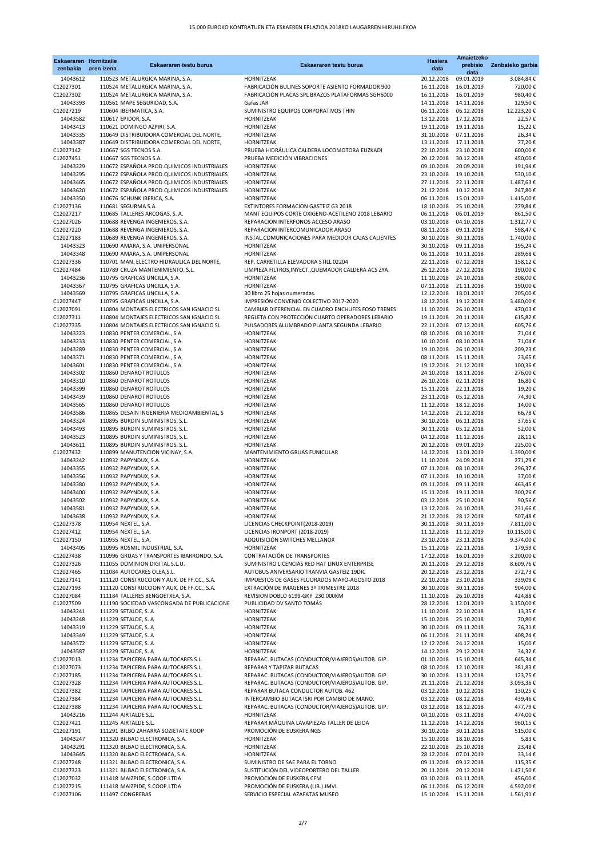| <b>Eskaeraren Hornitzaile</b><br>zenbakia | aren izena | Eskaeraren testu burua                                                                 | Eskaeraren testu burua                                                                           | <b>Hasiera</b><br>data                          | Amaietzeko<br>prebisio<br>data | Zenbateko garbia         |
|-------------------------------------------|------------|----------------------------------------------------------------------------------------|--------------------------------------------------------------------------------------------------|-------------------------------------------------|--------------------------------|--------------------------|
| 14043612                                  |            | 110523 METALURGICA MARINA, S.A.                                                        | <b>HORNITZEAK</b>                                                                                | 20.12.2018                                      | 09.01.2019                     | 3.084,84€                |
| C12027301                                 |            | 110524 METALURGICA MARINA, S.A.                                                        | FABRICACIÓN BULINES SOPORTE ASIENTO FORMADOR 900                                                 | 16.11.2018                                      | 16.01.2019                     | 720,00€                  |
| C12027302                                 |            | 110524 METALURGICA MARINA, S.A.                                                        | FABRICACIÓN PLACAS SPL BRAZOS PLATAFORMAS SGH6000                                                | 16.11.2018                                      | 16.01.2019                     | 980,40€                  |
| 14043393                                  |            | 110561 MAPE SEGURIDAD, S.A.                                                            | Gafas JAR                                                                                        | 14.11.2018                                      | 14.11.2018                     | 129,50€                  |
| C12027219                                 |            | 110604 IBERMATICA, S.A.                                                                | SUMINISTRO EQUIPOS CORPORATIVOS THIN                                                             | 06.11.2018                                      | 06.12.2018                     | 12.223,20€               |
| 14043582                                  |            | 110617 EPIDOR, S.A.                                                                    | <b>HORNITZEAK</b>                                                                                | 13.12.2018                                      | 17.12.2018                     | 22,57€                   |
| 14043413                                  |            | 110621 DOMINGO AZPIRI, S.A.                                                            | HORNITZEAK                                                                                       | 19.11.2018                                      | 19.11.2018                     | 15,22€                   |
| 14043335<br>14043387                      |            | 110649 DISTRIBUIDORA COMERCIAL DEL NORTE,<br>110649 DISTRIBUIDORA COMERCIAL DEL NORTE, | <b>HORNITZEAK</b><br><b>HORNITZEAK</b>                                                           | 31.10.2018<br>13.11.2018                        | 07.11.2018<br>17.11.2018       | 26,34€<br>77,20€         |
| C12027142                                 |            | 110667 SGS TECNOS S.A.                                                                 | PRUEBA HIDRÁULICA CALDERA LOCOMOTORA EUZKADI                                                     | 22.10.2018                                      | 23.10.2018                     | 600,00€                  |
| C12027451                                 |            | 110667 SGS TECNOS S.A.                                                                 | PRUEBA MEDICIÓN VIBRACIONES                                                                      | 20.12.2018                                      | 30.12.2018                     | 450,00€                  |
| 14043229                                  |            | 110672 ESPAÑOLA PROD. QUIMICOS INDUSTRIALES                                            | HORNITZEAK                                                                                       | 09.10.2018                                      | 20.09.2018                     | 191,94€                  |
| 14043295                                  |            | 110672 ESPAÑOLA PROD. QUIMICOS INDUSTRIALES                                            | HORNITZEAK                                                                                       | 23.10.2018                                      | 19.10.2018                     | 530,10€                  |
| 14043465                                  |            | 110672 ESPAÑOLA PROD. QUIMICOS INDUSTRIALES                                            | <b>HORNITZEAK</b>                                                                                | 27.11.2018                                      | 22.11.2018                     | 1.487,63€                |
| 14043620                                  |            | 110672 ESPAÑOLA PROD. QUIMICOS INDUSTRIALES                                            | HORNITZEAK                                                                                       | 21.12.2018                                      | 10.12.2018                     | 247,80€                  |
| 14043350<br>C12027136                     |            | 110676 SCHUNK IBERICA, S.A.<br>110681 SEGURMA S.A.                                     | <b>HORNITZEAK</b><br><b>EXTINTORES FORMACION GASTEIZ G3 2018</b>                                 | 06.11.2018<br>18.10.2018                        | 15.01.2019<br>25.10.2018       | 1.415,00 €<br>279,84€    |
| C12027217                                 |            | 110685 TALLERES ARCOGAS, S. A.                                                         | MANT EQUIPOS CORTE OXIGENO-ACETILENO 2018 LEBARIO                                                | 06.11.2018                                      | 06.01.2019                     | 861,50€                  |
| C12027026                                 |            | 110688 REVENGA INGENIEROS, S.A.                                                        | REPARACION INTERFONOS ACCESO ARASO                                                               | 03.10.2018                                      | 04.10.2018                     | 1.312,77€                |
| C12027220                                 |            | 110688 REVENGA INGENIEROS, S.A.                                                        | REPARACION INTERCOMUNICADOR ARASO                                                                | 08.11.2018                                      | 09.11.2018                     | 598,47€                  |
| C12027183                                 |            | 110689 REVENGA INGENIEROS, S.A.                                                        | INSTAL.COMUNICACIONES PARA MEDIDOR CAJAS CALIENTES                                               | 30.10.2018                                      | 30.11.2018                     | 1.740,00€                |
| 14043323                                  |            | 110690 AMARA, S.A. UNIPERSONAL                                                         | HORNITZEAK                                                                                       | 30.10.2018                                      | 09.11.2018                     | 195,24€                  |
| 14043348                                  |            | 110690 AMARA, S.A. UNIPERSONAL                                                         | HORNITZEAK                                                                                       | 06.11.2018                                      | 10.11.2018                     | 289,68€                  |
| C12027336<br>C12027484                    |            | 110701 MAN. ELECTRO HIDRAULICA DEL NORTE,                                              | REP. CARRETILLA ELEVADORA STILL 02204                                                            | 22.11.2018                                      | 07.12.2018<br>27.12.2018       | 158,12€                  |
| 14043236                                  |            | 110789 CRUZA MANTENIMIENTO, S.L.<br>110795 GRAFICAS UNCILLA, S.A.                      | LIMPIEZA FILTROS, INYECT., QUEMADOR CALDERA ACS ZYA.<br>HORNITZEAK                               | 26.12.2018<br>11.10.2018                        | 24.10.2018                     | 190,00€<br>308,00€       |
| 14043367                                  |            | 110795 GRAFICAS UNCILLA, S.A.                                                          | <b>HORNITZEAK</b>                                                                                | 07.11.2018                                      | 21.11.2018                     | 190,00€                  |
| 14043569                                  |            | 110795 GRAFICAS UNCILLA, S.A.                                                          | 30 libro 25 hojas numeradas.                                                                     | 12.12.2018                                      | 18.01.2019                     | 205,00€                  |
| C12027447                                 |            | 110795 GRAFICAS UNCILLA, S.A.                                                          | IMPRESIÓN CONVENIO COLECTIVO 2017-2020                                                           | 18.12.2018                                      | 19.12.2018                     | 3.480,00€                |
| C12027091                                 |            | 110804 MONTAJES ELECTRICOS SAN IGNACIO SL                                              | CAMBIAR DIFERENCIAL EN CUADRO ENCHUFES FOSO TRENES                                               | 11.10.2018                                      | 26.10.2018                     | 470,03 €                 |
| C12027311                                 |            | 110804 MONTAJES ELECTRICOS SAN IGNACIO SL                                              | REGLETA CON PROTECCIÓN CUARTO OPERADORES LEBARIO                                                 | 19.11.2018                                      | 20.11.2018                     | 615,82€                  |
| C12027335                                 |            | 110804 MONTAJES ELECTRICOS SAN IGNACIO SL                                              | PULSADORES ALUMBRADO PLANTA SEGUNDA LEBARIO                                                      | 22.11.2018                                      | 07.12.2018                     | 605,76€                  |
| 14043223                                  |            | 110830 PENTER COMERCIAL, S.A.                                                          | HORNITZEAK                                                                                       | 08.10.2018                                      | 08.10.2018                     | 71,04€                   |
| 14043233<br>14043289                      |            | 110830 PENTER COMERCIAL, S.A.<br>110830 PENTER COMERCIAL, S.A.                         | HORNITZEAK<br>HORNITZEAK                                                                         | 10.10.2018<br>19.10.2018                        | 08.10.2018<br>26.10.2018       | 71,04€<br>209,23€        |
| 14043371                                  |            | 110830 PENTER COMERCIAL, S.A.                                                          | HORNITZEAK                                                                                       | 08.11.2018                                      | 15.11.2018                     | 23,65€                   |
| 14043601                                  |            | 110830 PENTER COMERCIAL, S.A.                                                          | HORNITZEAK                                                                                       | 19.12.2018                                      | 21.12.2018                     | 100,36€                  |
| 14043302                                  |            | 110860 DENAROT ROTULOS                                                                 | HORNITZEAK                                                                                       | 24.10.2018                                      | 18.11.2018                     | 276,00€                  |
| 14043310                                  |            | 110860 DENAROT ROTULOS                                                                 | HORNITZEAK                                                                                       | 26.10.2018                                      | 02.11.2018                     | 16,80€                   |
| 14043399                                  |            | 110860 DENAROT ROTULOS                                                                 | HORNITZEAK                                                                                       | 15.11.2018                                      | 22.11.2018                     | 19,20€                   |
| 14043439                                  |            | 110860 DENAROT ROTULOS                                                                 | HORNITZEAK                                                                                       | 23.11.2018                                      | 05.12.2018                     | 74,30€                   |
| 14043565                                  |            | 110860 DENAROT ROTULOS                                                                 | HORNITZEAK                                                                                       | 11.12.2018                                      | 18.12.2018                     | 14,00€                   |
| 14043586                                  |            | 110865 DESAIN INGENIERIA MEDIOAMBIENTAL, S                                             | HORNITZEAK                                                                                       | 14.12.2018                                      | 21.12.2018                     | 66,78€                   |
| 14043324<br>14043493                      |            | 110895 BURDIN SUMINISTROS, S.L.<br>110895 BURDIN SUMINISTROS, S.L.                     | HORNITZEAK<br>HORNITZEAK                                                                         | 30.10.2018<br>30.11.2018                        | 06.11.2018<br>05.12.2018       | 37,65€<br>52,00€         |
| 14043523                                  |            | 110895 BURDIN SUMINISTROS, S.L.                                                        | HORNITZEAK                                                                                       | 04.12.2018                                      | 11.12.2018                     | 28,11€                   |
| 14043611                                  |            | 110895 BURDIN SUMINISTROS, S.L.                                                        | HORNITZEAK                                                                                       | 20.12.2018                                      | 09.01.2019                     | 225,00€                  |
| C12027432                                 |            | 110899 MANUTENCION VICINAY, S.A.                                                       | MANTENIMIENTO GRUAS FUNICULAR                                                                    | 14.12.2018                                      | 13.01.2019                     | 1.390,00 €               |
| 14043242                                  |            | 110932 PAPYNDUX, S.A.                                                                  | HORNITZEAK                                                                                       | 11.10.2018                                      | 24.09.2018                     | 271,29€                  |
| 14043355                                  |            | 110932 PAPYNDUX, S.A.                                                                  | HORNITZEAK                                                                                       | 07.11.2018                                      | 08.10.2018                     | 296,37€                  |
| 14043356                                  |            | 110932 PAPYNDUX, S.A.                                                                  | HORNITZEAK                                                                                       | 07.11.2018                                      | 10.10.2018                     | 37,00€                   |
| 14043380                                  |            | 110932 PAPYNDUX, S.A.                                                                  | HORNITZEAK                                                                                       | 09.11.2018                                      | 09.11.2018                     | 463,45€                  |
| 14043400<br>14043502                      |            | 110932 PAPYNDUX, S.A.<br>110932 PAPYNDUX, S.A.                                         | HORNITZEAK<br>HORNITZEAK                                                                         | 15.11.2018<br>03.12.2018                        | 19.11.2018<br>25.10.2018       | 300,26€<br>90,56€        |
| 14043581                                  |            | 110932 PAPYNDUX, S.A.                                                                  | HORNITZEAK                                                                                       | 13.12.2018                                      | 24.10.2018                     | 231,66€                  |
| 14043638                                  |            | 110932 PAPYNDUX, S.A.                                                                  | HORNITZEAK                                                                                       | 21.12.2018                                      | 28.12.2018                     | 507,48€                  |
| C12027378                                 |            | 110954 NEXTEL, S.A.                                                                    | LICENCIAS CHECKPOINT(2018-2019)                                                                  | 30.11.2018                                      | 30.11.2019                     | 7.811,00 €               |
| C12027412                                 |            | 110954 NEXTEL, S.A.                                                                    | LICENCIAS IRONPORT (2018-2019)                                                                   | 11.12.2018                                      | 11.12.2019                     | 10.115,00 €              |
| C12027150                                 |            | 110955 NEXTEL, S.A.                                                                    | ADQUISICIÓN SWITCHES MELLANOX                                                                    | 23.10.2018                                      | 23.11.2018                     | 9.374,00 €               |
| 14043405                                  |            | 110995 ROSMIL INDUSTRIAL, S.A.                                                         | HORNITZEAK                                                                                       | 15.11.2018                                      | 22.11.2018                     | 179,59€                  |
| C12027438<br>C12027326                    |            | 110996 GRUAS Y TRANSPORTES IBARRONDO, S.A.<br>111055 DOMINION DIGITAL S.L.U.           | CONTRATACIÓN DE TRANSPORTES<br>SUMINISTRO LICENCIAS RED HAT LINUX ENTERPRISE                     | 17.12.2018  16.01.2019<br>20.11.2018 29.12.2018 |                                | 3.200,00 €<br>8.609,76 € |
| C12027465                                 |            | 111084 AUTOCARES OLEA, S.L.                                                            | AUTOBUS ANIVERSARIO TRANVIA GASTEIZ 19DIC                                                        | 20.12.2018                                      | 23.12.2018                     | 272,73€                  |
| C12027141                                 |            | 111120 CONSTRUCCION Y AUX. DE FF.CC., S.A.                                             | IMPUESTOS DE GASES FLUORADOS MAYO-AGOSTO 2018                                                    | 22.10.2018                                      | 23.10.2018                     | 339,09€                  |
| C12027193                                 |            | 111120 CONSTRUCCION Y AUX. DE FF.CC., S.A.                                             | EXTRACIÓN DE IMAGENES 3º TRIMESTRE 2018                                                          | 30.10.2018                                      | 30.11.2018                     | 904,00€                  |
| C12027084                                 |            | 111184 TALLERES BENGOETXEA, S.A.                                                       | REVISION DOBLO 6199-GKY 230.000KM                                                                | 11.10.2018                                      | 26.10.2018                     | 424,88€                  |
| C12027509                                 |            | 111190 SOCIEDAD VASCONGADA DE PUBLICACIONE                                             | PUBLICIDAD DV SANTO TOMÁS                                                                        | 28.12.2018                                      | 12.01.2019                     | 3.150,00 €               |
| 14043241                                  |            | 111229 SETALDE, S. A                                                                   | HORNITZEAK                                                                                       | 11.10.2018                                      | 22.10.2018                     | 13,35€                   |
| 14043248                                  |            | 111229 SETALDE, S. A                                                                   | HORNITZEAK                                                                                       | 15.10.2018                                      | 25.10.2018                     | 70,80€                   |
| 14043319<br>14043349                      |            | 111229 SETALDE, S. A                                                                   | HORNITZEAK<br>HORNITZEAK                                                                         | 30.10.2018                                      | 09.11.2018                     | 76,31€                   |
| 14043572                                  |            | 111229 SETALDE, S. A<br>111229 SETALDE, S. A                                           | HORNITZEAK                                                                                       | 06.11.2018<br>12.12.2018                        | 21.11.2018<br>24.12.2018       | 408,24€<br>15,00€        |
| 14043587                                  |            | 111229 SETALDE, S. A                                                                   | HORNITZEAK                                                                                       | 14.12.2018                                      | 29.12.2018                     | 34,32€                   |
| C12027013                                 |            | 111234 TAPICERIA PARA AUTOCARES S.L.                                                   | REPARAC. BUTACAS (CONDUCTOR/VIAJEROS)AUTOB. GIP.                                                 | 01.10.2018                                      | 15.10.2018                     | 645,34€                  |
| C12027073                                 |            | 111234 TAPICERIA PARA AUTOCARES S.L.                                                   | REPARAR Y TAPIZAR BUTACAS                                                                        | 08.10.2018                                      | 12.10.2018                     | 381,83€                  |
| C12027185                                 |            | 111234 TAPICERIA PARA AUTOCARES S.L.                                                   | REPARAC. BUTACAS (CONDUCTOR/VIAJEROS) AUTOB. GIP.                                                | 30.10.2018                                      | 13.11.2018                     | 123,75€                  |
| C12027328                                 |            | 111234 TAPICERIA PARA AUTOCARES S.L.                                                   | REPARAC. BUTACAS (CONDUCTOR/VIAJEROS) AUTOB. GIP.                                                | 21.11.2018                                      | 21.12.2018                     | 3.093,36€                |
| C12027382                                 |            | 111234 TAPICERIA PARA AUTOCARES S.L.                                                   | REPARAR BUTACA CONDUCTOR AUTOB. 462                                                              | 03.12.2018                                      | 10.12.2018                     | 130,25€                  |
| C12027384<br>C12027388                    |            | 111234 TAPICERIA PARA AUTOCARES S.L.<br>111234 TAPICERIA PARA AUTOCARES S.L.           | INTERCAMBIO BUTACA ISRI POR CAMBIO DE MANO.<br>REPARAC. BUTACAS (CONDUCTOR/VIAJEROS) AUTOB. GIP. | 03.12.2018<br>03.12.2018                        | 08.12.2018<br>18.12.2018       | 439,46€<br>477,79€       |
| 14043216                                  |            | 111244 AIRTALDE S.L.                                                                   | HORNITZEAK                                                                                       | 04.10.2018                                      | 03.11.2018                     | 474,00 €                 |
| C12027421                                 |            | 111245 AIRTALDE S.L.                                                                   | REPARAR MÁQUINA LAVAPIEZAS TALLER DE LEIOA                                                       | 11.12.2018                                      | 14.12.2018                     | 960,15€                  |
| C12027191                                 |            | 111291 BILBO ZAHARRA SOZIETATE KOOP                                                    | PROMOCIÓN DE EUSKERA NGS                                                                         | 30.10.2018                                      | 30.11.2018                     | 515,00€                  |
| 14043247                                  |            | 111320 BILBAO ELECTRONICA, S.A.                                                        | HORNITZEAK                                                                                       | 15.10.2018                                      | 18.10.2018                     | 5,83 $\epsilon$          |
| 14043291                                  |            | 111320 BILBAO ELECTRONICA, S.A.                                                        | HORNITZEAK                                                                                       | 22.10.2018                                      | 25.10.2018                     | 23,48€                   |
| 14043645                                  |            | 111320 BILBAO ELECTRONICA, S.A.                                                        | HORNITZEAK                                                                                       | 28.12.2018                                      | 07.01.2019                     | 33,14€                   |
| C12027248                                 |            | 111321 BILBAO ELECTRONICA, S.A.                                                        | SUMINISTRO DE SAE PARA EL TORNO                                                                  | 09.11.2018                                      | 09.12.2018                     | 115,35€                  |
| C12027323<br>C12027032                    |            | 111321 BILBAO ELECTRONICA, S.A.<br>111418 MAIZPIDE, S.COOP.LTDA                        | SUSTITUCIÓN DEL VIDEOPORTERO DEL TALLER<br>PROMOCIÓN DE EUSKERA CFM                              | 20.11.2018<br>03.10.2018                        | 20.12.2018<br>03.11.2018       | 1.471,50€<br>456,00€     |
| C12027215                                 |            | 111418 MAIZPIDE, S.COOP.LTDA                                                           | PROMOCIÓN DE EUSKERA (LIB.) JMVL                                                                 | 06.11.2018                                      | 06.12.2018                     | 4.592,00 €               |
| C12027106                                 |            | 111497 CONGREBAS                                                                       | SERVICIO ESPECIAL AZAFATAS MUSEO                                                                 | 15.10.2018  15.11.2018                          |                                | 1.561,91 €               |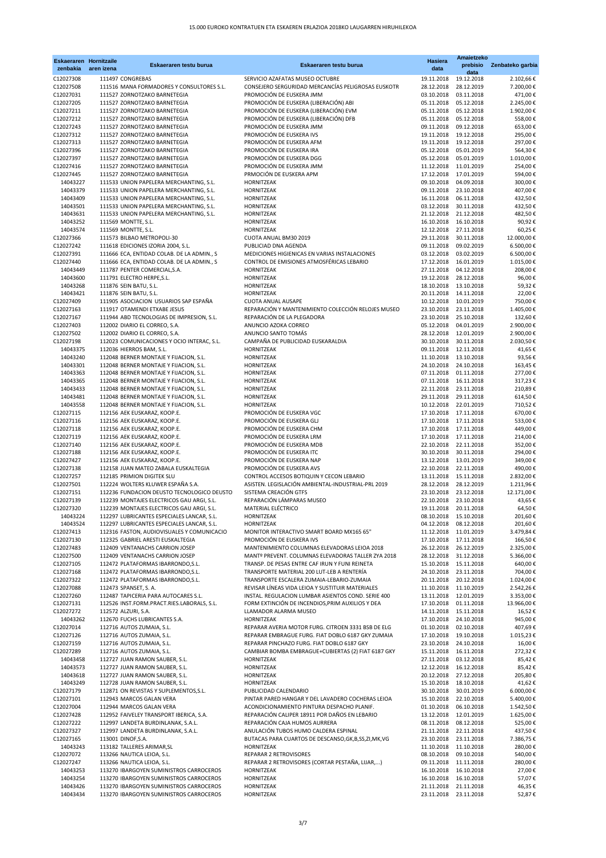| C12027308<br>111497 CONGREBAS<br>19.11.2018<br>19.12.2018<br>SERVICIO AZAFATAS MUSEO OCTUBRE<br>2.102,66€<br>CONSEJERO SERGURIDAD MERCANCÍAS PELIGROSAS EUSKOTR<br>28.12.2019<br>C12027508<br>111516 MANA FORMADORES Y CONSULTORES S.L.<br>28.12.2018<br>7.200,00 €<br>PROMOCIÓN DE EUSKERA JMM<br>C12027031<br>471,00€<br>111527 ZORNOTZAKO BARNETEGIA<br>03.10.2018<br>03.11.2018<br>PROMOCIÓN DE EUSKERA (LIBERACIÓN) ABI<br>C12027205<br>05.12.2018<br>2.245,00€<br>111527 ZORNOTZAKO BARNETEGIA<br>05.11.2018<br>PROMOCIÓN DE EUSKERA (LIBERACIÓN) EVM<br>05.12.2018<br>1.902,00€<br>C12027211<br>111527 ZORNOTZAKO BARNETEGIA<br>05.11.2018<br>PROMOCIÓN DE EUSKERA (LIBERACIÓN) DFB<br>558,00€<br>C12027212<br>05.12.2018<br>111527 ZORNOTZAKO BARNETEGIA<br>05.11.2018<br>PROMOCIÓN DE EUSKERA JMM<br>C12027243<br>09.12.2018<br>653,00€<br>111527 ZORNOTZAKO BARNETEGIA<br>09.11.2018<br>PROMOCIÓN DE EUSKERA IVS<br>C12027312<br>19.12.2018<br>295,00€<br>111527 ZORNOTZAKO BARNETEGIA<br>19.11.2018<br>PROMOCIÓN DE EUSKERA AFM<br>297,00€<br>C12027313<br>19.12.2018<br>111527 ZORNOTZAKO BARNETEGIA<br>19.11.2018<br>PROMOCIÓN DE EUSKERA IRA<br>05.01.2019<br>564,30€<br>C12027396<br>111527 ZORNOTZAKO BARNETEGIA<br>05.12.2018<br>PROMOCIÓN DE EUSKERA DGG<br>05.01.2019<br>1.010,00€<br>C12027397<br>111527 ZORNOTZAKO BARNETEGIA<br>05.12.2018<br>PROMOCIÓN DE EUSKERA JMM<br>C12027416<br>254,00€<br>111527 ZORNOTZAKO BARNETEGIA<br>11.12.2018<br>11.01.2019<br>PRMOCIÓN DE EUSKERA APM<br>594,00€<br>C12027445<br>111527 ZORNOTZAKO BARNETEGIA<br>17.12.2018<br>17.01.2019<br>04.09.2018<br>300,00€<br>14043227<br>111533 UNION PAPELERA MERCHANTING, S.L.<br>HORNITZEAK<br>09.10.2018<br>407,00€<br>14043379<br>111533 UNION PAPELERA MERCHANTING, S.L.<br>HORNITZEAK<br>09.11.2018<br>23.10.2018<br>06.11.2018<br>432,50€<br>14043409<br>111533 UNION PAPELERA MERCHANTING, S.L.<br><b>HORNITZEAK</b><br>16.11.2018<br>432,50€<br>14043501<br>111533 UNION PAPELERA MERCHANTING, S.L.<br>HORNITZEAK<br>03.12.2018<br>30.11.2018<br>482,50€<br>14043631<br>111533 UNION PAPELERA MERCHANTING, S.L.<br><b>HORNITZEAK</b><br>21.12.2018<br>21.12.2018<br>90,92€<br>14043252<br>111569 MONTTE, S.L.<br>HORNITZEAK<br>16.10.2018<br>16.10.2018<br>111569 MONTTE, S.L.<br>27.11.2018<br>60,25€<br>14043574<br><b>HORNITZEAK</b><br>12.12.2018<br>30.11.2018<br>12.000,00€<br>C12027366<br>111573 BILBAO METROPOLI-30<br>CUOTA ANUAL BM30 2019<br>29.11.2018<br>09.02.2019<br>6.500,00€<br>C12027242<br>111618 EDICIONES IZORIA 2004, S.L.<br>PUBLICIAD DNA AGENDA<br>09.11.2018<br>C12027391<br>111666 ECA, ENTIDAD COLAB. DE LA ADMIN., S<br>MEDICIONES HIGIENICAS EN VARIAS INSTALACIONES<br>03.02.2019<br>6.500,00€<br>03.12.2018<br>CONTROL DE EMISIONES ATMOSFÉRICAS LEBARIO<br>1.015,00€<br>C12027440<br>111666 ECA, ENTIDAD COLAB. DE LA ADMIN., S<br>17.12.2018<br>16.01.2019<br>208,00€<br>14043449<br>111787 PENTER COMERCIAL, S.A.<br><b>HORNITZEAK</b><br>27.11.2018<br>04.12.2018<br>28.12.2018<br>96,00€<br>14043600<br>111791 ELECTRO HERPE, S.L.<br>HORNITZEAK<br>19.12.2018<br>59,32€<br>14043268<br>111876 SEIN BATU, S.L.<br>HORNITZEAK<br>18.10.2018<br>13.10.2018<br>14043421<br>111876 SEIN BATU, S.L.<br>HORNITZEAK<br>20.11.2018<br>14.11.2018<br>22,00€<br>750,00€<br>C12027409<br>111905 ASOCIACION USUARIOS SAP ESPAÑA<br><b>CUOTA ANUAL AUSAPE</b><br>10.12.2018<br>10.01.2019<br>REPARACIÓN Y MANTENIMIENTO COLECCIÓN RELOJES MUSEO<br>C12027163<br>111917 OTAMENDI ETXABE JESUS<br>23.10.2018<br>23.11.2018<br>1.405,00 €<br>C12027167<br>REPARACIÓN DE LA PLEGADORA<br>23.10.2018<br>132,60€<br>111944 ABD TECNOLOGIAS DE IMPRESION, S.L.<br>25.10.2018<br>2.900,00 €<br>C12027403<br>112002 DIARIO EL CORREO, S.A.<br>ANUNCIO AZOKA CORREO<br>05.12.2018<br>04.01.2019<br>ANUNCIO SANTO TOMÁS<br>2.900,00€<br>C12027502<br>112002 DIARIO EL CORREO, S.A.<br>28.12.2018<br>12.01.2019<br>CAMPAÑA DE PUBLICIDAD EUSKARALDIA<br>2.030,50€<br>C12027198<br>112023 COMUNICACIONES Y OCIO INTERAC, S.L.<br>30.10.2018<br>30.11.2018<br>14043375<br>112036 HIERROS BAM, S.L.<br>HORNITZEAK<br>09.11.2018<br>12.11.2018<br>41,65€<br>14043240<br>93,56€<br>112048 BERNER MONTAJE Y FIJACION, S.L.<br>HORNITZEAK<br>11.10.2018<br>13.10.2018<br>163,45€<br>14043301<br>112048 BERNER MONTAJE Y FIJACION, S.L.<br>24.10.2018<br>24.10.2018<br>HORNITZEAK<br>277,00€<br>14043363<br>112048 BERNER MONTAJE Y FIJACION, S.L.<br>HORNITZEAK<br>07.11.2018<br>01.11.2018<br>317,23€<br>14043365<br>112048 BERNER MONTAJE Y FIJACION, S.L.<br>07.11.2018<br>16.11.2018<br>HORNITZEAK<br>14043433<br>112048 BERNER MONTAJE Y FIJACION, S.L.<br>22.11.2018<br>23.11.2018<br>210,89€<br>HORNITZEAK<br>614,50€<br>14043481<br>112048 BERNER MONTAJE Y FIJACION, S.L.<br>HORNITZEAK<br>29.11.2018<br>29.11.2018<br>22.01.2019<br>710,52€<br>14043558<br>112048 BERNER MONTAJE Y FIJACION, S.L.<br>HORNITZEAK<br>10.12.2018<br>PROMOCIÓN DE EUSKERA VGC<br>670,00€<br>C12027115<br>17.10.2018<br>17.11.2018<br>112156 AEK EUSKARAZ, KOOP.E.<br>PROMOCIÓN DE EUSKERA GLJ<br>C12027116<br>112156 AEK EUSKARAZ, KOOP.E.<br>17.10.2018<br>17.11.2018<br>533,00€<br>PROMOCIÓN DE EUSKERA CHM<br>449,00 €<br>C12027118<br>112156 AEK EUSKARAZ, KOOP.E.<br>17.10.2018<br>17.11.2018<br>PROMOCIÓN DE EUSKERA LRM<br>C12027119<br>112156 AEK EUSKARAZ, KOOP.E.<br>17.10.2018<br>17.11.2018<br>214,00€<br>PROMOCIÓN DE EUSKERA MDB<br>352,00€<br>C12027140<br>112156 AEK EUSKARAZ, KOOP.E.<br>22.10.2018<br>22.11.2018<br>PROMOCIÓN DE EUSKERA ITC<br>C12027188<br>112156 AEK EUSKARAZ, KOOP.E.<br>30.10.2018<br>30.11.2018<br>294,00€<br>PROMOCIÓN DE EUSKERA NAP<br>349,00€<br>C12027427<br>112156 AEK EUSKARAZ, KOOP.E.<br>13.12.2018<br>13.01.2019<br>PROMOCIÓN DE EUSKERA AVS<br>490,00€<br>C12027138<br>112158 JUAN MATEO ZABALA EUSKALTEGIA<br>22.10.2018<br>22.11.2018<br>CONTROL ACCESOS BOTIQUIN Y CECON LEBARIO<br>2.832,00 €<br>C12027257<br>112185 PRIMION DIGITEK SLU<br>13.11.2018<br>15.11.2018<br>ASISTEN. LEGISLACIÓN AMBIENTAL-INDUSTRIAL-PRL 2019<br>112224 WOLTERS KLUWER ESPAÑA S.A.<br>28.12.2019<br>1.211,96€<br>C12027501<br>28.12.2018<br>C12027151<br>112236 FUNDACION DEUSTO TECNOLOGICO DEUSTO<br>SISTEMA CREACIÓN GTFS<br>23.12.2018<br>12.171,00 €<br>23.10.2018<br>REPARACIÓN LÁMPARAS MUSEO<br>C12027139<br>112239 MONTAJES ELECTRICOS GAU ARGI, S.L.<br>22.10.2018<br>23.10.2018<br>43,65€<br>MATERIAL ELÉCTRICO<br>112239 MONTAJES ELECTRICOS GAU ARGI, S.L.<br>19.11.2018<br>20.11.2018<br>64,50€<br>C12027320<br>201,60€<br>14043224<br>112297 LUBRICANTES ESPECIALES LANCAR, S.L.<br>HORNITZEAK<br>08.10.2018<br>15.10.2018<br>112297 LUBRICANTES ESPECIALES LANCAR, S.L.<br><b>HORNITZEAK</b><br>04.12.2018<br>08.12.2018<br>201,60€<br>14043524<br>MONITOR INTERACTIVO SMART BOARD MX165 65"<br>3.479,84€<br>C12027413<br>112316 FASTON, AUDIOVISUALES Y COMUNICACIO<br>11.12.2018<br>11.01.2019<br>PROMOCIÓN DE EUSKERA IVS<br>C12027130<br>112325 GABRIEL ARESTI EUSKALTEGIA<br>17.10.2018<br>17.11.2018<br>166,50€<br>MANTENIMIENTO COLUMNAS ELEVADORAS LEIOA 2018<br>26.12.2018<br>26.12.2019<br>2.325,00€<br>C12027483<br>112409 VENTANACHS CARRION JOSEP<br>C12027500<br>28.12.2018 31.12.2018<br>5.366,00 €<br>112409 VENTANACHS CARRION JOSEP<br>MANTº PREVENT, COLUMNAS ELEVADORAS TALLER ZYA 2018<br>TRANSP. DE PESAS ENTRE CAF IRUN Y FUNI REINETA<br>640,00€<br>C12027105<br>112472 PLATAFORMAS IBARRONDO, S.L.<br>15.10.2018  15.11.2018<br>704,00 €<br>C12027168<br>112472 PLATAFORMAS IBARRONDO, S.L.<br>TRANSPORTE MATERIAL 200 LUT-LEB A RENTERÍA<br>24.10.2018<br>23.11.2018<br>1.024,00€<br>C12027322<br>112472 PLATAFORMAS IBARRONDO, S.L.<br>TRANSPORTE ESCALERA ZUMAIA-LEBARIO-ZUMAIA<br>20.11.2018<br>20.12.2018<br>REVISAR LÍNEAS VIDA LEIOA Y SUSTITUIR MATERIALES<br>2.542,26€<br>C12027088<br>112473 SPANSET, S. A.<br>11.10.2018<br>11.10.2019<br>3.353,00 €<br>C12027260<br>112487 TAPICERIA PARA AUTOCARES S.L.<br>INSTAL. REGULACION LUMBAR ASIENTOS COND. SERIE 400<br>13.11.2018<br>12.01.2019<br>FORM EXTINCIÓN DE INCENDIOS, PRIM AUXILIOS Y DEA<br>13.966,00 €<br>C12027131<br>112526 INST.FORM.PRACT.RIES.LABORALS, S.L.<br>17.10.2018<br>01.11.2018<br>C12027272<br>LLAMADOR ALARMA MUSEO<br>14.11.2018<br>15.11.2018<br>16,52€<br>112572 ALZURI, S.A.<br>945,00€<br>14043262<br>112670 FUCHS LUBRICANTES S.A.<br>HORNITZEAK<br>17.10.2018<br>24.10.2018<br>407,69€<br>C12027014<br>112716 AUTOS ZUMAIA, S.L.<br>REPARAR AVERIA MOTOR FURG. CITROEN 3331 BSB DE ELG<br>01.10.2018<br>02.10.2018<br>C12027126<br>112716 AUTOS ZUMAIA, S.L.<br>REPARAR EMBRAGUE FURG. FIAT DOBLO 6187 GKY ZUMAIA<br>17.10.2018<br>19.10.2018<br>1.015,23 €<br>16,00€<br>C12027159<br>112716 AUTOS ZUMAIA, S.L.<br>REPARAR PINCHAZO FURG. FIAT DOBLO 6187 GKY<br>23.10.2018<br>24.10.2018<br>C12027289<br>112716 AUTOS ZUMAIA, S.L.<br>CAMBIAR BOMBA EMBRAGUE+CUBIERTAS (2) FIAT 6187 GKY<br>272,32€<br>15.11.2018<br>16.11.2018<br>85,42€<br>14043458<br>112727 JUAN RAMON SAUBER, S.L.<br>27.11.2018<br>03.12.2018<br><b>HORNITZEAK</b><br>14043573<br>112727 JUAN RAMON SAUBER, S.L.<br>HORNITZEAK<br>12.12.2018<br>16.12.2018<br>85,42€<br>205,80€<br>14043618<br>112727 JUAN RAMON SAUBER, S.L.<br>20.12.2018<br>27.12.2018<br><b>HORNITZEAK</b><br>14043249<br>112728 JUAN RAMON SAUBER, S.L.<br>HORNITZEAK<br>15.10.2018<br>18.10.2018<br>41,62€<br>6.000,00 €<br>C12027179<br>112871 ON REVISTAS Y SUPLEMENTOS, S.L.<br>PUBLICIDAD CALENDARIO<br>30.10.2018<br>30.01.2019<br>5.400,00 €<br>C12027101<br>112943 MARCOS GALAN VERA<br>PINTAR PARED HANGAR Y DEL LAVADERO COCHERAS LEIOA<br>15.10.2018<br>22.10.2018<br>1.542,50€<br>C12027004<br>112944 MARCOS GALAN VERA<br>ACONDICIONAMIENTO PINTURA DESPACHO PLANIF.<br>01.10.2018<br>06.10.2018<br>REPARACIÓN CALIPER 18911 POR DAÑOS EN LEBARIO<br>C12027428<br>112952 FAIVELEY TRANSPORT IBERICA, S.A.<br>13.12.2018<br>12.01.2019<br>1.625,00 €<br>REPARACIÓN CAJA HUMOS AURRERA<br>525,00€<br>C12027222<br>112997 LANDETA BURDINLANAK, S.A.L.<br>08.11.2018<br>08.12.2018<br>ANULACIÓN TUBOS HUMO CALDERA ESPINAL<br>437,50€<br>C12027327<br>112997 LANDETA BURDINLANAK, S.A.L.<br>21.11.2018<br>22.11.2018<br>C12027165<br>BUTACAS PARA CUARTOS DE DESCANSO, GK, B, SS, ZI, MK, VG<br>23.10.2018<br>23.11.2018<br>7.386,75€<br>113001 DINOF, S.A.<br>280,00€<br>113182 TALLERES ARIMAR, SL<br><b>HORNITZEAK</b><br>11.10.2018<br>11.10.2018<br>14043243<br>540,00€<br>C12027072<br>113266 NAUTICA LEIOA, S.L.<br>REPARAR 2 RETROVISORES<br>08.10.2018<br>09.10.2018<br>113266 NAUTICA LEIOA, S.L.<br>REPARAR 2 RETROVISORES (CORTAR PESTAÑA, LIJAR,)<br>280,00€<br>C12027247<br>09.11.2018<br>11.11.2018<br>14043253<br>113270 IBARGOYEN SUMINISTROS CARROCEROS<br>16.10.2018<br>16.10.2018<br>27,00€<br><b>HORNITZEAK</b><br>14043254<br>113270 IBARGOYEN SUMINISTROS CARROCEROS<br><b>HORNITZEAK</b><br>16.10.2018<br>16.10.2018<br>57,07€<br>113270 IBARGOYEN SUMINISTROS CARROCEROS<br>21.11.2018<br>21.11.2018<br>46,35€<br>14043426<br>HORNITZEAK<br>14043434<br>113270 IBARGOYEN SUMINISTROS CARROCEROS<br>HORNITZEAK<br>23.11.2018<br>23.11.2018<br>52,87€ | zenbakia | <b>Eskaeraren Hornitzaile</b><br>aren izena | Eskaeraren testu burua | Eskaeraren testu burua | <b>Hasiera</b><br>data | Amaietzeko<br>prebisio | Zenbateko garbia |
|---------------------------------------------------------------------------------------------------------------------------------------------------------------------------------------------------------------------------------------------------------------------------------------------------------------------------------------------------------------------------------------------------------------------------------------------------------------------------------------------------------------------------------------------------------------------------------------------------------------------------------------------------------------------------------------------------------------------------------------------------------------------------------------------------------------------------------------------------------------------------------------------------------------------------------------------------------------------------------------------------------------------------------------------------------------------------------------------------------------------------------------------------------------------------------------------------------------------------------------------------------------------------------------------------------------------------------------------------------------------------------------------------------------------------------------------------------------------------------------------------------------------------------------------------------------------------------------------------------------------------------------------------------------------------------------------------------------------------------------------------------------------------------------------------------------------------------------------------------------------------------------------------------------------------------------------------------------------------------------------------------------------------------------------------------------------------------------------------------------------------------------------------------------------------------------------------------------------------------------------------------------------------------------------------------------------------------------------------------------------------------------------------------------------------------------------------------------------------------------------------------------------------------------------------------------------------------------------------------------------------------------------------------------------------------------------------------------------------------------------------------------------------------------------------------------------------------------------------------------------------------------------------------------------------------------------------------------------------------------------------------------------------------------------------------------------------------------------------------------------------------------------------------------------------------------------------------------------------------------------------------------------------------------------------------------------------------------------------------------------------------------------------------------------------------------------------------------------------------------------------------------------------------------------------------------------------------------------------------------------------------------------------------------------------------------------------------------------------------------------------------------------------------------------------------------------------------------------------------------------------------------------------------------------------------------------------------------------------------------------------------------------------------------------------------------------------------------------------------------------------------------------------------------------------------------------------------------------------------------------------------------------------------------------------------------------------------------------------------------------------------------------------------------------------------------------------------------------------------------------------------------------------------------------------------------------------------------------------------------------------------------------------------------------------------------------------------------------------------------------------------------------------------------------------------------------------------------------------------------------------------------------------------------------------------------------------------------------------------------------------------------------------------------------------------------------------------------------------------------------------------------------------------------------------------------------------------------------------------------------------------------------------------------------------------------------------------------------------------------------------------------------------------------------------------------------------------------------------------------------------------------------------------------------------------------------------------------------------------------------------------------------------------------------------------------------------------------------------------------------------------------------------------------------------------------------------------------------------------------------------------------------------------------------------------------------------------------------------------------------------------------------------------------------------------------------------------------------------------------------------------------------------------------------------------------------------------------------------------------------------------------------------------------------------------------------------------------------------------------------------------------------------------------------------------------------------------------------------------------------------------------------------------------------------------------------------------------------------------------------------------------------------------------------------------------------------------------------------------------------------------------------------------------------------------------------------------------------------------------------------------------------------------------------------------------------------------------------------------------------------------------------------------------------------------------------------------------------------------------------------------------------------------------------------------------------------------------------------------------------------------------------------------------------------------------------------------------------------------------------------------------------------------------------------------------------------------------------------------------------------------------------------------------------------------------------------------------------------------------------------------------------------------------------------------------------------------------------------------------------------------------------------------------------------------------------------------------------------------------------------------------------------------------------------------------------------------------------------------------------------------------------------------------------------------------------------------------------------------------------------------------------------------------------------------------------------------------------------------------------------------------------------------------------------------------------------------------------------------------------------------------------------------------------------------------------------------------------------------------------------------------------------------------------------------------------------------------------------------------------------------------------------------------------------------------------------------------------------------------------------------------------------------------------------------------------------------------------------------------------------------------------------------------------------------------------------------------------------------------------------------------------------------------------------------------------------------------------------------------------------------------------------------------------------------------------------------------------------------------------------------------------------------------------------------------------------------------------------------------------------------------------------------------------------------------------------------------------------------------------------------------------------------------------------------------------------------------------------------------------------------------------------------------------------------------------------------------------------------------------------------------------------------------------------------------------------------------------------------------------------------------------------------------------------------------------------------------------------------------------------------------------------------------------------------------------------------------------------------------------------------------------------------------------------------------------------------------------------------------------------------------------------------------------------------------------------------------------------------------------------------------------------------------------------------------------------------------------------------------------------------------------------------------------------------------------------------------------------------------------------------------------------------------------------------------------------------------------------------------------------------------------------------------------------------------------------------------------------------------------------------------------------------------------------------------------------------------------------------------------------------------------------------------------------------------------------------------------------------------------------------------------------------------------------------------------------------------|----------|---------------------------------------------|------------------------|------------------------|------------------------|------------------------|------------------|
|                                                                                                                                                                                                                                                                                                                                                                                                                                                                                                                                                                                                                                                                                                                                                                                                                                                                                                                                                                                                                                                                                                                                                                                                                                                                                                                                                                                                                                                                                                                                                                                                                                                                                                                                                                                                                                                                                                                                                                                                                                                                                                                                                                                                                                                                                                                                                                                                                                                                                                                                                                                                                                                                                                                                                                                                                                                                                                                                                                                                                                                                                                                                                                                                                                                                                                                                                                                                                                                                                                                                                                                                                                                                                                                                                                                                                                                                                                                                                                                                                                                                                                                                                                                                                                                                                                                                                                                                                                                                                                                                                                                                                                                                                                                                                                                                                                                                                                                                                                                                                                                                                                                                                                                                                                                                                                                                                                                                                                                                                                                                                                                                                                                                                                                                                                                                                                                                                                                                                                                                                                                                                                                                                                                                                                                                                                                                                                                                                                                                                                                                                                                                                                                                                                                                                                                                                                                                                                                                                                                                                                                                                                                                                                                                                                                                                                                                                                                                                                                                                                                                                                                                                                                                                                                                                                                                                                                                                                                                                                                                                                                                                                                                                                                                                                                                                                                                                                                                                                                                                                                                                                                                                                                                                                                                                                                                                                                                                                                                                                                                                                                                                                                                                                                                                                                                                                                                                                                                                                                                                                                                                                                                                                                                                                                                                                                                                                                                                                                                                                                                                                                                                                                                                                                                                                                                                                                                                                                                                                                                                                                                                                                                                                                                                                                                                                                                                                                                                                                                                                                                                                                                                                                                                                                                               |          |                                             |                        |                        |                        | data                   |                  |
|                                                                                                                                                                                                                                                                                                                                                                                                                                                                                                                                                                                                                                                                                                                                                                                                                                                                                                                                                                                                                                                                                                                                                                                                                                                                                                                                                                                                                                                                                                                                                                                                                                                                                                                                                                                                                                                                                                                                                                                                                                                                                                                                                                                                                                                                                                                                                                                                                                                                                                                                                                                                                                                                                                                                                                                                                                                                                                                                                                                                                                                                                                                                                                                                                                                                                                                                                                                                                                                                                                                                                                                                                                                                                                                                                                                                                                                                                                                                                                                                                                                                                                                                                                                                                                                                                                                                                                                                                                                                                                                                                                                                                                                                                                                                                                                                                                                                                                                                                                                                                                                                                                                                                                                                                                                                                                                                                                                                                                                                                                                                                                                                                                                                                                                                                                                                                                                                                                                                                                                                                                                                                                                                                                                                                                                                                                                                                                                                                                                                                                                                                                                                                                                                                                                                                                                                                                                                                                                                                                                                                                                                                                                                                                                                                                                                                                                                                                                                                                                                                                                                                                                                                                                                                                                                                                                                                                                                                                                                                                                                                                                                                                                                                                                                                                                                                                                                                                                                                                                                                                                                                                                                                                                                                                                                                                                                                                                                                                                                                                                                                                                                                                                                                                                                                                                                                                                                                                                                                                                                                                                                                                                                                                                                                                                                                                                                                                                                                                                                                                                                                                                                                                                                                                                                                                                                                                                                                                                                                                                                                                                                                                                                                                                                                                                                                                                                                                                                                                                                                                                                                                                                                                                                                                                                               |          |                                             |                        |                        |                        |                        |                  |
|                                                                                                                                                                                                                                                                                                                                                                                                                                                                                                                                                                                                                                                                                                                                                                                                                                                                                                                                                                                                                                                                                                                                                                                                                                                                                                                                                                                                                                                                                                                                                                                                                                                                                                                                                                                                                                                                                                                                                                                                                                                                                                                                                                                                                                                                                                                                                                                                                                                                                                                                                                                                                                                                                                                                                                                                                                                                                                                                                                                                                                                                                                                                                                                                                                                                                                                                                                                                                                                                                                                                                                                                                                                                                                                                                                                                                                                                                                                                                                                                                                                                                                                                                                                                                                                                                                                                                                                                                                                                                                                                                                                                                                                                                                                                                                                                                                                                                                                                                                                                                                                                                                                                                                                                                                                                                                                                                                                                                                                                                                                                                                                                                                                                                                                                                                                                                                                                                                                                                                                                                                                                                                                                                                                                                                                                                                                                                                                                                                                                                                                                                                                                                                                                                                                                                                                                                                                                                                                                                                                                                                                                                                                                                                                                                                                                                                                                                                                                                                                                                                                                                                                                                                                                                                                                                                                                                                                                                                                                                                                                                                                                                                                                                                                                                                                                                                                                                                                                                                                                                                                                                                                                                                                                                                                                                                                                                                                                                                                                                                                                                                                                                                                                                                                                                                                                                                                                                                                                                                                                                                                                                                                                                                                                                                                                                                                                                                                                                                                                                                                                                                                                                                                                                                                                                                                                                                                                                                                                                                                                                                                                                                                                                                                                                                                                                                                                                                                                                                                                                                                                                                                                                                                                                                                                               |          |                                             |                        |                        |                        |                        |                  |
|                                                                                                                                                                                                                                                                                                                                                                                                                                                                                                                                                                                                                                                                                                                                                                                                                                                                                                                                                                                                                                                                                                                                                                                                                                                                                                                                                                                                                                                                                                                                                                                                                                                                                                                                                                                                                                                                                                                                                                                                                                                                                                                                                                                                                                                                                                                                                                                                                                                                                                                                                                                                                                                                                                                                                                                                                                                                                                                                                                                                                                                                                                                                                                                                                                                                                                                                                                                                                                                                                                                                                                                                                                                                                                                                                                                                                                                                                                                                                                                                                                                                                                                                                                                                                                                                                                                                                                                                                                                                                                                                                                                                                                                                                                                                                                                                                                                                                                                                                                                                                                                                                                                                                                                                                                                                                                                                                                                                                                                                                                                                                                                                                                                                                                                                                                                                                                                                                                                                                                                                                                                                                                                                                                                                                                                                                                                                                                                                                                                                                                                                                                                                                                                                                                                                                                                                                                                                                                                                                                                                                                                                                                                                                                                                                                                                                                                                                                                                                                                                                                                                                                                                                                                                                                                                                                                                                                                                                                                                                                                                                                                                                                                                                                                                                                                                                                                                                                                                                                                                                                                                                                                                                                                                                                                                                                                                                                                                                                                                                                                                                                                                                                                                                                                                                                                                                                                                                                                                                                                                                                                                                                                                                                                                                                                                                                                                                                                                                                                                                                                                                                                                                                                                                                                                                                                                                                                                                                                                                                                                                                                                                                                                                                                                                                                                                                                                                                                                                                                                                                                                                                                                                                                                                                                                               |          |                                             |                        |                        |                        |                        |                  |
|                                                                                                                                                                                                                                                                                                                                                                                                                                                                                                                                                                                                                                                                                                                                                                                                                                                                                                                                                                                                                                                                                                                                                                                                                                                                                                                                                                                                                                                                                                                                                                                                                                                                                                                                                                                                                                                                                                                                                                                                                                                                                                                                                                                                                                                                                                                                                                                                                                                                                                                                                                                                                                                                                                                                                                                                                                                                                                                                                                                                                                                                                                                                                                                                                                                                                                                                                                                                                                                                                                                                                                                                                                                                                                                                                                                                                                                                                                                                                                                                                                                                                                                                                                                                                                                                                                                                                                                                                                                                                                                                                                                                                                                                                                                                                                                                                                                                                                                                                                                                                                                                                                                                                                                                                                                                                                                                                                                                                                                                                                                                                                                                                                                                                                                                                                                                                                                                                                                                                                                                                                                                                                                                                                                                                                                                                                                                                                                                                                                                                                                                                                                                                                                                                                                                                                                                                                                                                                                                                                                                                                                                                                                                                                                                                                                                                                                                                                                                                                                                                                                                                                                                                                                                                                                                                                                                                                                                                                                                                                                                                                                                                                                                                                                                                                                                                                                                                                                                                                                                                                                                                                                                                                                                                                                                                                                                                                                                                                                                                                                                                                                                                                                                                                                                                                                                                                                                                                                                                                                                                                                                                                                                                                                                                                                                                                                                                                                                                                                                                                                                                                                                                                                                                                                                                                                                                                                                                                                                                                                                                                                                                                                                                                                                                                                                                                                                                                                                                                                                                                                                                                                                                                                                                                                                               |          |                                             |                        |                        |                        |                        |                  |
|                                                                                                                                                                                                                                                                                                                                                                                                                                                                                                                                                                                                                                                                                                                                                                                                                                                                                                                                                                                                                                                                                                                                                                                                                                                                                                                                                                                                                                                                                                                                                                                                                                                                                                                                                                                                                                                                                                                                                                                                                                                                                                                                                                                                                                                                                                                                                                                                                                                                                                                                                                                                                                                                                                                                                                                                                                                                                                                                                                                                                                                                                                                                                                                                                                                                                                                                                                                                                                                                                                                                                                                                                                                                                                                                                                                                                                                                                                                                                                                                                                                                                                                                                                                                                                                                                                                                                                                                                                                                                                                                                                                                                                                                                                                                                                                                                                                                                                                                                                                                                                                                                                                                                                                                                                                                                                                                                                                                                                                                                                                                                                                                                                                                                                                                                                                                                                                                                                                                                                                                                                                                                                                                                                                                                                                                                                                                                                                                                                                                                                                                                                                                                                                                                                                                                                                                                                                                                                                                                                                                                                                                                                                                                                                                                                                                                                                                                                                                                                                                                                                                                                                                                                                                                                                                                                                                                                                                                                                                                                                                                                                                                                                                                                                                                                                                                                                                                                                                                                                                                                                                                                                                                                                                                                                                                                                                                                                                                                                                                                                                                                                                                                                                                                                                                                                                                                                                                                                                                                                                                                                                                                                                                                                                                                                                                                                                                                                                                                                                                                                                                                                                                                                                                                                                                                                                                                                                                                                                                                                                                                                                                                                                                                                                                                                                                                                                                                                                                                                                                                                                                                                                                                                                                                                                               |          |                                             |                        |                        |                        |                        |                  |
|                                                                                                                                                                                                                                                                                                                                                                                                                                                                                                                                                                                                                                                                                                                                                                                                                                                                                                                                                                                                                                                                                                                                                                                                                                                                                                                                                                                                                                                                                                                                                                                                                                                                                                                                                                                                                                                                                                                                                                                                                                                                                                                                                                                                                                                                                                                                                                                                                                                                                                                                                                                                                                                                                                                                                                                                                                                                                                                                                                                                                                                                                                                                                                                                                                                                                                                                                                                                                                                                                                                                                                                                                                                                                                                                                                                                                                                                                                                                                                                                                                                                                                                                                                                                                                                                                                                                                                                                                                                                                                                                                                                                                                                                                                                                                                                                                                                                                                                                                                                                                                                                                                                                                                                                                                                                                                                                                                                                                                                                                                                                                                                                                                                                                                                                                                                                                                                                                                                                                                                                                                                                                                                                                                                                                                                                                                                                                                                                                                                                                                                                                                                                                                                                                                                                                                                                                                                                                                                                                                                                                                                                                                                                                                                                                                                                                                                                                                                                                                                                                                                                                                                                                                                                                                                                                                                                                                                                                                                                                                                                                                                                                                                                                                                                                                                                                                                                                                                                                                                                                                                                                                                                                                                                                                                                                                                                                                                                                                                                                                                                                                                                                                                                                                                                                                                                                                                                                                                                                                                                                                                                                                                                                                                                                                                                                                                                                                                                                                                                                                                                                                                                                                                                                                                                                                                                                                                                                                                                                                                                                                                                                                                                                                                                                                                                                                                                                                                                                                                                                                                                                                                                                                                                                                                                               |          |                                             |                        |                        |                        |                        |                  |
|                                                                                                                                                                                                                                                                                                                                                                                                                                                                                                                                                                                                                                                                                                                                                                                                                                                                                                                                                                                                                                                                                                                                                                                                                                                                                                                                                                                                                                                                                                                                                                                                                                                                                                                                                                                                                                                                                                                                                                                                                                                                                                                                                                                                                                                                                                                                                                                                                                                                                                                                                                                                                                                                                                                                                                                                                                                                                                                                                                                                                                                                                                                                                                                                                                                                                                                                                                                                                                                                                                                                                                                                                                                                                                                                                                                                                                                                                                                                                                                                                                                                                                                                                                                                                                                                                                                                                                                                                                                                                                                                                                                                                                                                                                                                                                                                                                                                                                                                                                                                                                                                                                                                                                                                                                                                                                                                                                                                                                                                                                                                                                                                                                                                                                                                                                                                                                                                                                                                                                                                                                                                                                                                                                                                                                                                                                                                                                                                                                                                                                                                                                                                                                                                                                                                                                                                                                                                                                                                                                                                                                                                                                                                                                                                                                                                                                                                                                                                                                                                                                                                                                                                                                                                                                                                                                                                                                                                                                                                                                                                                                                                                                                                                                                                                                                                                                                                                                                                                                                                                                                                                                                                                                                                                                                                                                                                                                                                                                                                                                                                                                                                                                                                                                                                                                                                                                                                                                                                                                                                                                                                                                                                                                                                                                                                                                                                                                                                                                                                                                                                                                                                                                                                                                                                                                                                                                                                                                                                                                                                                                                                                                                                                                                                                                                                                                                                                                                                                                                                                                                                                                                                                                                                                                                                               |          |                                             |                        |                        |                        |                        |                  |
|                                                                                                                                                                                                                                                                                                                                                                                                                                                                                                                                                                                                                                                                                                                                                                                                                                                                                                                                                                                                                                                                                                                                                                                                                                                                                                                                                                                                                                                                                                                                                                                                                                                                                                                                                                                                                                                                                                                                                                                                                                                                                                                                                                                                                                                                                                                                                                                                                                                                                                                                                                                                                                                                                                                                                                                                                                                                                                                                                                                                                                                                                                                                                                                                                                                                                                                                                                                                                                                                                                                                                                                                                                                                                                                                                                                                                                                                                                                                                                                                                                                                                                                                                                                                                                                                                                                                                                                                                                                                                                                                                                                                                                                                                                                                                                                                                                                                                                                                                                                                                                                                                                                                                                                                                                                                                                                                                                                                                                                                                                                                                                                                                                                                                                                                                                                                                                                                                                                                                                                                                                                                                                                                                                                                                                                                                                                                                                                                                                                                                                                                                                                                                                                                                                                                                                                                                                                                                                                                                                                                                                                                                                                                                                                                                                                                                                                                                                                                                                                                                                                                                                                                                                                                                                                                                                                                                                                                                                                                                                                                                                                                                                                                                                                                                                                                                                                                                                                                                                                                                                                                                                                                                                                                                                                                                                                                                                                                                                                                                                                                                                                                                                                                                                                                                                                                                                                                                                                                                                                                                                                                                                                                                                                                                                                                                                                                                                                                                                                                                                                                                                                                                                                                                                                                                                                                                                                                                                                                                                                                                                                                                                                                                                                                                                                                                                                                                                                                                                                                                                                                                                                                                                                                                                                                               |          |                                             |                        |                        |                        |                        |                  |
|                                                                                                                                                                                                                                                                                                                                                                                                                                                                                                                                                                                                                                                                                                                                                                                                                                                                                                                                                                                                                                                                                                                                                                                                                                                                                                                                                                                                                                                                                                                                                                                                                                                                                                                                                                                                                                                                                                                                                                                                                                                                                                                                                                                                                                                                                                                                                                                                                                                                                                                                                                                                                                                                                                                                                                                                                                                                                                                                                                                                                                                                                                                                                                                                                                                                                                                                                                                                                                                                                                                                                                                                                                                                                                                                                                                                                                                                                                                                                                                                                                                                                                                                                                                                                                                                                                                                                                                                                                                                                                                                                                                                                                                                                                                                                                                                                                                                                                                                                                                                                                                                                                                                                                                                                                                                                                                                                                                                                                                                                                                                                                                                                                                                                                                                                                                                                                                                                                                                                                                                                                                                                                                                                                                                                                                                                                                                                                                                                                                                                                                                                                                                                                                                                                                                                                                                                                                                                                                                                                                                                                                                                                                                                                                                                                                                                                                                                                                                                                                                                                                                                                                                                                                                                                                                                                                                                                                                                                                                                                                                                                                                                                                                                                                                                                                                                                                                                                                                                                                                                                                                                                                                                                                                                                                                                                                                                                                                                                                                                                                                                                                                                                                                                                                                                                                                                                                                                                                                                                                                                                                                                                                                                                                                                                                                                                                                                                                                                                                                                                                                                                                                                                                                                                                                                                                                                                                                                                                                                                                                                                                                                                                                                                                                                                                                                                                                                                                                                                                                                                                                                                                                                                                                                                                                               |          |                                             |                        |                        |                        |                        |                  |
|                                                                                                                                                                                                                                                                                                                                                                                                                                                                                                                                                                                                                                                                                                                                                                                                                                                                                                                                                                                                                                                                                                                                                                                                                                                                                                                                                                                                                                                                                                                                                                                                                                                                                                                                                                                                                                                                                                                                                                                                                                                                                                                                                                                                                                                                                                                                                                                                                                                                                                                                                                                                                                                                                                                                                                                                                                                                                                                                                                                                                                                                                                                                                                                                                                                                                                                                                                                                                                                                                                                                                                                                                                                                                                                                                                                                                                                                                                                                                                                                                                                                                                                                                                                                                                                                                                                                                                                                                                                                                                                                                                                                                                                                                                                                                                                                                                                                                                                                                                                                                                                                                                                                                                                                                                                                                                                                                                                                                                                                                                                                                                                                                                                                                                                                                                                                                                                                                                                                                                                                                                                                                                                                                                                                                                                                                                                                                                                                                                                                                                                                                                                                                                                                                                                                                                                                                                                                                                                                                                                                                                                                                                                                                                                                                                                                                                                                                                                                                                                                                                                                                                                                                                                                                                                                                                                                                                                                                                                                                                                                                                                                                                                                                                                                                                                                                                                                                                                                                                                                                                                                                                                                                                                                                                                                                                                                                                                                                                                                                                                                                                                                                                                                                                                                                                                                                                                                                                                                                                                                                                                                                                                                                                                                                                                                                                                                                                                                                                                                                                                                                                                                                                                                                                                                                                                                                                                                                                                                                                                                                                                                                                                                                                                                                                                                                                                                                                                                                                                                                                                                                                                                                                                                                                                                               |          |                                             |                        |                        |                        |                        |                  |
|                                                                                                                                                                                                                                                                                                                                                                                                                                                                                                                                                                                                                                                                                                                                                                                                                                                                                                                                                                                                                                                                                                                                                                                                                                                                                                                                                                                                                                                                                                                                                                                                                                                                                                                                                                                                                                                                                                                                                                                                                                                                                                                                                                                                                                                                                                                                                                                                                                                                                                                                                                                                                                                                                                                                                                                                                                                                                                                                                                                                                                                                                                                                                                                                                                                                                                                                                                                                                                                                                                                                                                                                                                                                                                                                                                                                                                                                                                                                                                                                                                                                                                                                                                                                                                                                                                                                                                                                                                                                                                                                                                                                                                                                                                                                                                                                                                                                                                                                                                                                                                                                                                                                                                                                                                                                                                                                                                                                                                                                                                                                                                                                                                                                                                                                                                                                                                                                                                                                                                                                                                                                                                                                                                                                                                                                                                                                                                                                                                                                                                                                                                                                                                                                                                                                                                                                                                                                                                                                                                                                                                                                                                                                                                                                                                                                                                                                                                                                                                                                                                                                                                                                                                                                                                                                                                                                                                                                                                                                                                                                                                                                                                                                                                                                                                                                                                                                                                                                                                                                                                                                                                                                                                                                                                                                                                                                                                                                                                                                                                                                                                                                                                                                                                                                                                                                                                                                                                                                                                                                                                                                                                                                                                                                                                                                                                                                                                                                                                                                                                                                                                                                                                                                                                                                                                                                                                                                                                                                                                                                                                                                                                                                                                                                                                                                                                                                                                                                                                                                                                                                                                                                                                                                                                                                               |          |                                             |                        |                        |                        |                        |                  |
|                                                                                                                                                                                                                                                                                                                                                                                                                                                                                                                                                                                                                                                                                                                                                                                                                                                                                                                                                                                                                                                                                                                                                                                                                                                                                                                                                                                                                                                                                                                                                                                                                                                                                                                                                                                                                                                                                                                                                                                                                                                                                                                                                                                                                                                                                                                                                                                                                                                                                                                                                                                                                                                                                                                                                                                                                                                                                                                                                                                                                                                                                                                                                                                                                                                                                                                                                                                                                                                                                                                                                                                                                                                                                                                                                                                                                                                                                                                                                                                                                                                                                                                                                                                                                                                                                                                                                                                                                                                                                                                                                                                                                                                                                                                                                                                                                                                                                                                                                                                                                                                                                                                                                                                                                                                                                                                                                                                                                                                                                                                                                                                                                                                                                                                                                                                                                                                                                                                                                                                                                                                                                                                                                                                                                                                                                                                                                                                                                                                                                                                                                                                                                                                                                                                                                                                                                                                                                                                                                                                                                                                                                                                                                                                                                                                                                                                                                                                                                                                                                                                                                                                                                                                                                                                                                                                                                                                                                                                                                                                                                                                                                                                                                                                                                                                                                                                                                                                                                                                                                                                                                                                                                                                                                                                                                                                                                                                                                                                                                                                                                                                                                                                                                                                                                                                                                                                                                                                                                                                                                                                                                                                                                                                                                                                                                                                                                                                                                                                                                                                                                                                                                                                                                                                                                                                                                                                                                                                                                                                                                                                                                                                                                                                                                                                                                                                                                                                                                                                                                                                                                                                                                                                                                                                                               |          |                                             |                        |                        |                        |                        |                  |
|                                                                                                                                                                                                                                                                                                                                                                                                                                                                                                                                                                                                                                                                                                                                                                                                                                                                                                                                                                                                                                                                                                                                                                                                                                                                                                                                                                                                                                                                                                                                                                                                                                                                                                                                                                                                                                                                                                                                                                                                                                                                                                                                                                                                                                                                                                                                                                                                                                                                                                                                                                                                                                                                                                                                                                                                                                                                                                                                                                                                                                                                                                                                                                                                                                                                                                                                                                                                                                                                                                                                                                                                                                                                                                                                                                                                                                                                                                                                                                                                                                                                                                                                                                                                                                                                                                                                                                                                                                                                                                                                                                                                                                                                                                                                                                                                                                                                                                                                                                                                                                                                                                                                                                                                                                                                                                                                                                                                                                                                                                                                                                                                                                                                                                                                                                                                                                                                                                                                                                                                                                                                                                                                                                                                                                                                                                                                                                                                                                                                                                                                                                                                                                                                                                                                                                                                                                                                                                                                                                                                                                                                                                                                                                                                                                                                                                                                                                                                                                                                                                                                                                                                                                                                                                                                                                                                                                                                                                                                                                                                                                                                                                                                                                                                                                                                                                                                                                                                                                                                                                                                                                                                                                                                                                                                                                                                                                                                                                                                                                                                                                                                                                                                                                                                                                                                                                                                                                                                                                                                                                                                                                                                                                                                                                                                                                                                                                                                                                                                                                                                                                                                                                                                                                                                                                                                                                                                                                                                                                                                                                                                                                                                                                                                                                                                                                                                                                                                                                                                                                                                                                                                                                                                                                                                               |          |                                             |                        |                        |                        |                        |                  |
|                                                                                                                                                                                                                                                                                                                                                                                                                                                                                                                                                                                                                                                                                                                                                                                                                                                                                                                                                                                                                                                                                                                                                                                                                                                                                                                                                                                                                                                                                                                                                                                                                                                                                                                                                                                                                                                                                                                                                                                                                                                                                                                                                                                                                                                                                                                                                                                                                                                                                                                                                                                                                                                                                                                                                                                                                                                                                                                                                                                                                                                                                                                                                                                                                                                                                                                                                                                                                                                                                                                                                                                                                                                                                                                                                                                                                                                                                                                                                                                                                                                                                                                                                                                                                                                                                                                                                                                                                                                                                                                                                                                                                                                                                                                                                                                                                                                                                                                                                                                                                                                                                                                                                                                                                                                                                                                                                                                                                                                                                                                                                                                                                                                                                                                                                                                                                                                                                                                                                                                                                                                                                                                                                                                                                                                                                                                                                                                                                                                                                                                                                                                                                                                                                                                                                                                                                                                                                                                                                                                                                                                                                                                                                                                                                                                                                                                                                                                                                                                                                                                                                                                                                                                                                                                                                                                                                                                                                                                                                                                                                                                                                                                                                                                                                                                                                                                                                                                                                                                                                                                                                                                                                                                                                                                                                                                                                                                                                                                                                                                                                                                                                                                                                                                                                                                                                                                                                                                                                                                                                                                                                                                                                                                                                                                                                                                                                                                                                                                                                                                                                                                                                                                                                                                                                                                                                                                                                                                                                                                                                                                                                                                                                                                                                                                                                                                                                                                                                                                                                                                                                                                                                                                                                                                                               |          |                                             |                        |                        |                        |                        |                  |
|                                                                                                                                                                                                                                                                                                                                                                                                                                                                                                                                                                                                                                                                                                                                                                                                                                                                                                                                                                                                                                                                                                                                                                                                                                                                                                                                                                                                                                                                                                                                                                                                                                                                                                                                                                                                                                                                                                                                                                                                                                                                                                                                                                                                                                                                                                                                                                                                                                                                                                                                                                                                                                                                                                                                                                                                                                                                                                                                                                                                                                                                                                                                                                                                                                                                                                                                                                                                                                                                                                                                                                                                                                                                                                                                                                                                                                                                                                                                                                                                                                                                                                                                                                                                                                                                                                                                                                                                                                                                                                                                                                                                                                                                                                                                                                                                                                                                                                                                                                                                                                                                                                                                                                                                                                                                                                                                                                                                                                                                                                                                                                                                                                                                                                                                                                                                                                                                                                                                                                                                                                                                                                                                                                                                                                                                                                                                                                                                                                                                                                                                                                                                                                                                                                                                                                                                                                                                                                                                                                                                                                                                                                                                                                                                                                                                                                                                                                                                                                                                                                                                                                                                                                                                                                                                                                                                                                                                                                                                                                                                                                                                                                                                                                                                                                                                                                                                                                                                                                                                                                                                                                                                                                                                                                                                                                                                                                                                                                                                                                                                                                                                                                                                                                                                                                                                                                                                                                                                                                                                                                                                                                                                                                                                                                                                                                                                                                                                                                                                                                                                                                                                                                                                                                                                                                                                                                                                                                                                                                                                                                                                                                                                                                                                                                                                                                                                                                                                                                                                                                                                                                                                                                                                                                                                               |          |                                             |                        |                        |                        |                        |                  |
|                                                                                                                                                                                                                                                                                                                                                                                                                                                                                                                                                                                                                                                                                                                                                                                                                                                                                                                                                                                                                                                                                                                                                                                                                                                                                                                                                                                                                                                                                                                                                                                                                                                                                                                                                                                                                                                                                                                                                                                                                                                                                                                                                                                                                                                                                                                                                                                                                                                                                                                                                                                                                                                                                                                                                                                                                                                                                                                                                                                                                                                                                                                                                                                                                                                                                                                                                                                                                                                                                                                                                                                                                                                                                                                                                                                                                                                                                                                                                                                                                                                                                                                                                                                                                                                                                                                                                                                                                                                                                                                                                                                                                                                                                                                                                                                                                                                                                                                                                                                                                                                                                                                                                                                                                                                                                                                                                                                                                                                                                                                                                                                                                                                                                                                                                                                                                                                                                                                                                                                                                                                                                                                                                                                                                                                                                                                                                                                                                                                                                                                                                                                                                                                                                                                                                                                                                                                                                                                                                                                                                                                                                                                                                                                                                                                                                                                                                                                                                                                                                                                                                                                                                                                                                                                                                                                                                                                                                                                                                                                                                                                                                                                                                                                                                                                                                                                                                                                                                                                                                                                                                                                                                                                                                                                                                                                                                                                                                                                                                                                                                                                                                                                                                                                                                                                                                                                                                                                                                                                                                                                                                                                                                                                                                                                                                                                                                                                                                                                                                                                                                                                                                                                                                                                                                                                                                                                                                                                                                                                                                                                                                                                                                                                                                                                                                                                                                                                                                                                                                                                                                                                                                                                                                                                                               |          |                                             |                        |                        |                        |                        |                  |
|                                                                                                                                                                                                                                                                                                                                                                                                                                                                                                                                                                                                                                                                                                                                                                                                                                                                                                                                                                                                                                                                                                                                                                                                                                                                                                                                                                                                                                                                                                                                                                                                                                                                                                                                                                                                                                                                                                                                                                                                                                                                                                                                                                                                                                                                                                                                                                                                                                                                                                                                                                                                                                                                                                                                                                                                                                                                                                                                                                                                                                                                                                                                                                                                                                                                                                                                                                                                                                                                                                                                                                                                                                                                                                                                                                                                                                                                                                                                                                                                                                                                                                                                                                                                                                                                                                                                                                                                                                                                                                                                                                                                                                                                                                                                                                                                                                                                                                                                                                                                                                                                                                                                                                                                                                                                                                                                                                                                                                                                                                                                                                                                                                                                                                                                                                                                                                                                                                                                                                                                                                                                                                                                                                                                                                                                                                                                                                                                                                                                                                                                                                                                                                                                                                                                                                                                                                                                                                                                                                                                                                                                                                                                                                                                                                                                                                                                                                                                                                                                                                                                                                                                                                                                                                                                                                                                                                                                                                                                                                                                                                                                                                                                                                                                                                                                                                                                                                                                                                                                                                                                                                                                                                                                                                                                                                                                                                                                                                                                                                                                                                                                                                                                                                                                                                                                                                                                                                                                                                                                                                                                                                                                                                                                                                                                                                                                                                                                                                                                                                                                                                                                                                                                                                                                                                                                                                                                                                                                                                                                                                                                                                                                                                                                                                                                                                                                                                                                                                                                                                                                                                                                                                                                                                                                               |          |                                             |                        |                        |                        |                        |                  |
|                                                                                                                                                                                                                                                                                                                                                                                                                                                                                                                                                                                                                                                                                                                                                                                                                                                                                                                                                                                                                                                                                                                                                                                                                                                                                                                                                                                                                                                                                                                                                                                                                                                                                                                                                                                                                                                                                                                                                                                                                                                                                                                                                                                                                                                                                                                                                                                                                                                                                                                                                                                                                                                                                                                                                                                                                                                                                                                                                                                                                                                                                                                                                                                                                                                                                                                                                                                                                                                                                                                                                                                                                                                                                                                                                                                                                                                                                                                                                                                                                                                                                                                                                                                                                                                                                                                                                                                                                                                                                                                                                                                                                                                                                                                                                                                                                                                                                                                                                                                                                                                                                                                                                                                                                                                                                                                                                                                                                                                                                                                                                                                                                                                                                                                                                                                                                                                                                                                                                                                                                                                                                                                                                                                                                                                                                                                                                                                                                                                                                                                                                                                                                                                                                                                                                                                                                                                                                                                                                                                                                                                                                                                                                                                                                                                                                                                                                                                                                                                                                                                                                                                                                                                                                                                                                                                                                                                                                                                                                                                                                                                                                                                                                                                                                                                                                                                                                                                                                                                                                                                                                                                                                                                                                                                                                                                                                                                                                                                                                                                                                                                                                                                                                                                                                                                                                                                                                                                                                                                                                                                                                                                                                                                                                                                                                                                                                                                                                                                                                                                                                                                                                                                                                                                                                                                                                                                                                                                                                                                                                                                                                                                                                                                                                                                                                                                                                                                                                                                                                                                                                                                                                                                                                                                                               |          |                                             |                        |                        |                        |                        |                  |
|                                                                                                                                                                                                                                                                                                                                                                                                                                                                                                                                                                                                                                                                                                                                                                                                                                                                                                                                                                                                                                                                                                                                                                                                                                                                                                                                                                                                                                                                                                                                                                                                                                                                                                                                                                                                                                                                                                                                                                                                                                                                                                                                                                                                                                                                                                                                                                                                                                                                                                                                                                                                                                                                                                                                                                                                                                                                                                                                                                                                                                                                                                                                                                                                                                                                                                                                                                                                                                                                                                                                                                                                                                                                                                                                                                                                                                                                                                                                                                                                                                                                                                                                                                                                                                                                                                                                                                                                                                                                                                                                                                                                                                                                                                                                                                                                                                                                                                                                                                                                                                                                                                                                                                                                                                                                                                                                                                                                                                                                                                                                                                                                                                                                                                                                                                                                                                                                                                                                                                                                                                                                                                                                                                                                                                                                                                                                                                                                                                                                                                                                                                                                                                                                                                                                                                                                                                                                                                                                                                                                                                                                                                                                                                                                                                                                                                                                                                                                                                                                                                                                                                                                                                                                                                                                                                                                                                                                                                                                                                                                                                                                                                                                                                                                                                                                                                                                                                                                                                                                                                                                                                                                                                                                                                                                                                                                                                                                                                                                                                                                                                                                                                                                                                                                                                                                                                                                                                                                                                                                                                                                                                                                                                                                                                                                                                                                                                                                                                                                                                                                                                                                                                                                                                                                                                                                                                                                                                                                                                                                                                                                                                                                                                                                                                                                                                                                                                                                                                                                                                                                                                                                                                                                                                                                               |          |                                             |                        |                        |                        |                        |                  |
|                                                                                                                                                                                                                                                                                                                                                                                                                                                                                                                                                                                                                                                                                                                                                                                                                                                                                                                                                                                                                                                                                                                                                                                                                                                                                                                                                                                                                                                                                                                                                                                                                                                                                                                                                                                                                                                                                                                                                                                                                                                                                                                                                                                                                                                                                                                                                                                                                                                                                                                                                                                                                                                                                                                                                                                                                                                                                                                                                                                                                                                                                                                                                                                                                                                                                                                                                                                                                                                                                                                                                                                                                                                                                                                                                                                                                                                                                                                                                                                                                                                                                                                                                                                                                                                                                                                                                                                                                                                                                                                                                                                                                                                                                                                                                                                                                                                                                                                                                                                                                                                                                                                                                                                                                                                                                                                                                                                                                                                                                                                                                                                                                                                                                                                                                                                                                                                                                                                                                                                                                                                                                                                                                                                                                                                                                                                                                                                                                                                                                                                                                                                                                                                                                                                                                                                                                                                                                                                                                                                                                                                                                                                                                                                                                                                                                                                                                                                                                                                                                                                                                                                                                                                                                                                                                                                                                                                                                                                                                                                                                                                                                                                                                                                                                                                                                                                                                                                                                                                                                                                                                                                                                                                                                                                                                                                                                                                                                                                                                                                                                                                                                                                                                                                                                                                                                                                                                                                                                                                                                                                                                                                                                                                                                                                                                                                                                                                                                                                                                                                                                                                                                                                                                                                                                                                                                                                                                                                                                                                                                                                                                                                                                                                                                                                                                                                                                                                                                                                                                                                                                                                                                                                                                                                                               |          |                                             |                        |                        |                        |                        |                  |
|                                                                                                                                                                                                                                                                                                                                                                                                                                                                                                                                                                                                                                                                                                                                                                                                                                                                                                                                                                                                                                                                                                                                                                                                                                                                                                                                                                                                                                                                                                                                                                                                                                                                                                                                                                                                                                                                                                                                                                                                                                                                                                                                                                                                                                                                                                                                                                                                                                                                                                                                                                                                                                                                                                                                                                                                                                                                                                                                                                                                                                                                                                                                                                                                                                                                                                                                                                                                                                                                                                                                                                                                                                                                                                                                                                                                                                                                                                                                                                                                                                                                                                                                                                                                                                                                                                                                                                                                                                                                                                                                                                                                                                                                                                                                                                                                                                                                                                                                                                                                                                                                                                                                                                                                                                                                                                                                                                                                                                                                                                                                                                                                                                                                                                                                                                                                                                                                                                                                                                                                                                                                                                                                                                                                                                                                                                                                                                                                                                                                                                                                                                                                                                                                                                                                                                                                                                                                                                                                                                                                                                                                                                                                                                                                                                                                                                                                                                                                                                                                                                                                                                                                                                                                                                                                                                                                                                                                                                                                                                                                                                                                                                                                                                                                                                                                                                                                                                                                                                                                                                                                                                                                                                                                                                                                                                                                                                                                                                                                                                                                                                                                                                                                                                                                                                                                                                                                                                                                                                                                                                                                                                                                                                                                                                                                                                                                                                                                                                                                                                                                                                                                                                                                                                                                                                                                                                                                                                                                                                                                                                                                                                                                                                                                                                                                                                                                                                                                                                                                                                                                                                                                                                                                                                                                               |          |                                             |                        |                        |                        |                        |                  |
|                                                                                                                                                                                                                                                                                                                                                                                                                                                                                                                                                                                                                                                                                                                                                                                                                                                                                                                                                                                                                                                                                                                                                                                                                                                                                                                                                                                                                                                                                                                                                                                                                                                                                                                                                                                                                                                                                                                                                                                                                                                                                                                                                                                                                                                                                                                                                                                                                                                                                                                                                                                                                                                                                                                                                                                                                                                                                                                                                                                                                                                                                                                                                                                                                                                                                                                                                                                                                                                                                                                                                                                                                                                                                                                                                                                                                                                                                                                                                                                                                                                                                                                                                                                                                                                                                                                                                                                                                                                                                                                                                                                                                                                                                                                                                                                                                                                                                                                                                                                                                                                                                                                                                                                                                                                                                                                                                                                                                                                                                                                                                                                                                                                                                                                                                                                                                                                                                                                                                                                                                                                                                                                                                                                                                                                                                                                                                                                                                                                                                                                                                                                                                                                                                                                                                                                                                                                                                                                                                                                                                                                                                                                                                                                                                                                                                                                                                                                                                                                                                                                                                                                                                                                                                                                                                                                                                                                                                                                                                                                                                                                                                                                                                                                                                                                                                                                                                                                                                                                                                                                                                                                                                                                                                                                                                                                                                                                                                                                                                                                                                                                                                                                                                                                                                                                                                                                                                                                                                                                                                                                                                                                                                                                                                                                                                                                                                                                                                                                                                                                                                                                                                                                                                                                                                                                                                                                                                                                                                                                                                                                                                                                                                                                                                                                                                                                                                                                                                                                                                                                                                                                                                                                                                                                                               |          |                                             |                        |                        |                        |                        |                  |
|                                                                                                                                                                                                                                                                                                                                                                                                                                                                                                                                                                                                                                                                                                                                                                                                                                                                                                                                                                                                                                                                                                                                                                                                                                                                                                                                                                                                                                                                                                                                                                                                                                                                                                                                                                                                                                                                                                                                                                                                                                                                                                                                                                                                                                                                                                                                                                                                                                                                                                                                                                                                                                                                                                                                                                                                                                                                                                                                                                                                                                                                                                                                                                                                                                                                                                                                                                                                                                                                                                                                                                                                                                                                                                                                                                                                                                                                                                                                                                                                                                                                                                                                                                                                                                                                                                                                                                                                                                                                                                                                                                                                                                                                                                                                                                                                                                                                                                                                                                                                                                                                                                                                                                                                                                                                                                                                                                                                                                                                                                                                                                                                                                                                                                                                                                                                                                                                                                                                                                                                                                                                                                                                                                                                                                                                                                                                                                                                                                                                                                                                                                                                                                                                                                                                                                                                                                                                                                                                                                                                                                                                                                                                                                                                                                                                                                                                                                                                                                                                                                                                                                                                                                                                                                                                                                                                                                                                                                                                                                                                                                                                                                                                                                                                                                                                                                                                                                                                                                                                                                                                                                                                                                                                                                                                                                                                                                                                                                                                                                                                                                                                                                                                                                                                                                                                                                                                                                                                                                                                                                                                                                                                                                                                                                                                                                                                                                                                                                                                                                                                                                                                                                                                                                                                                                                                                                                                                                                                                                                                                                                                                                                                                                                                                                                                                                                                                                                                                                                                                                                                                                                                                                                                                                                                               |          |                                             |                        |                        |                        |                        |                  |
|                                                                                                                                                                                                                                                                                                                                                                                                                                                                                                                                                                                                                                                                                                                                                                                                                                                                                                                                                                                                                                                                                                                                                                                                                                                                                                                                                                                                                                                                                                                                                                                                                                                                                                                                                                                                                                                                                                                                                                                                                                                                                                                                                                                                                                                                                                                                                                                                                                                                                                                                                                                                                                                                                                                                                                                                                                                                                                                                                                                                                                                                                                                                                                                                                                                                                                                                                                                                                                                                                                                                                                                                                                                                                                                                                                                                                                                                                                                                                                                                                                                                                                                                                                                                                                                                                                                                                                                                                                                                                                                                                                                                                                                                                                                                                                                                                                                                                                                                                                                                                                                                                                                                                                                                                                                                                                                                                                                                                                                                                                                                                                                                                                                                                                                                                                                                                                                                                                                                                                                                                                                                                                                                                                                                                                                                                                                                                                                                                                                                                                                                                                                                                                                                                                                                                                                                                                                                                                                                                                                                                                                                                                                                                                                                                                                                                                                                                                                                                                                                                                                                                                                                                                                                                                                                                                                                                                                                                                                                                                                                                                                                                                                                                                                                                                                                                                                                                                                                                                                                                                                                                                                                                                                                                                                                                                                                                                                                                                                                                                                                                                                                                                                                                                                                                                                                                                                                                                                                                                                                                                                                                                                                                                                                                                                                                                                                                                                                                                                                                                                                                                                                                                                                                                                                                                                                                                                                                                                                                                                                                                                                                                                                                                                                                                                                                                                                                                                                                                                                                                                                                                                                                                                                                                                                               |          |                                             |                        |                        |                        |                        |                  |
|                                                                                                                                                                                                                                                                                                                                                                                                                                                                                                                                                                                                                                                                                                                                                                                                                                                                                                                                                                                                                                                                                                                                                                                                                                                                                                                                                                                                                                                                                                                                                                                                                                                                                                                                                                                                                                                                                                                                                                                                                                                                                                                                                                                                                                                                                                                                                                                                                                                                                                                                                                                                                                                                                                                                                                                                                                                                                                                                                                                                                                                                                                                                                                                                                                                                                                                                                                                                                                                                                                                                                                                                                                                                                                                                                                                                                                                                                                                                                                                                                                                                                                                                                                                                                                                                                                                                                                                                                                                                                                                                                                                                                                                                                                                                                                                                                                                                                                                                                                                                                                                                                                                                                                                                                                                                                                                                                                                                                                                                                                                                                                                                                                                                                                                                                                                                                                                                                                                                                                                                                                                                                                                                                                                                                                                                                                                                                                                                                                                                                                                                                                                                                                                                                                                                                                                                                                                                                                                                                                                                                                                                                                                                                                                                                                                                                                                                                                                                                                                                                                                                                                                                                                                                                                                                                                                                                                                                                                                                                                                                                                                                                                                                                                                                                                                                                                                                                                                                                                                                                                                                                                                                                                                                                                                                                                                                                                                                                                                                                                                                                                                                                                                                                                                                                                                                                                                                                                                                                                                                                                                                                                                                                                                                                                                                                                                                                                                                                                                                                                                                                                                                                                                                                                                                                                                                                                                                                                                                                                                                                                                                                                                                                                                                                                                                                                                                                                                                                                                                                                                                                                                                                                                                                                                                               |          |                                             |                        |                        |                        |                        |                  |
|                                                                                                                                                                                                                                                                                                                                                                                                                                                                                                                                                                                                                                                                                                                                                                                                                                                                                                                                                                                                                                                                                                                                                                                                                                                                                                                                                                                                                                                                                                                                                                                                                                                                                                                                                                                                                                                                                                                                                                                                                                                                                                                                                                                                                                                                                                                                                                                                                                                                                                                                                                                                                                                                                                                                                                                                                                                                                                                                                                                                                                                                                                                                                                                                                                                                                                                                                                                                                                                                                                                                                                                                                                                                                                                                                                                                                                                                                                                                                                                                                                                                                                                                                                                                                                                                                                                                                                                                                                                                                                                                                                                                                                                                                                                                                                                                                                                                                                                                                                                                                                                                                                                                                                                                                                                                                                                                                                                                                                                                                                                                                                                                                                                                                                                                                                                                                                                                                                                                                                                                                                                                                                                                                                                                                                                                                                                                                                                                                                                                                                                                                                                                                                                                                                                                                                                                                                                                                                                                                                                                                                                                                                                                                                                                                                                                                                                                                                                                                                                                                                                                                                                                                                                                                                                                                                                                                                                                                                                                                                                                                                                                                                                                                                                                                                                                                                                                                                                                                                                                                                                                                                                                                                                                                                                                                                                                                                                                                                                                                                                                                                                                                                                                                                                                                                                                                                                                                                                                                                                                                                                                                                                                                                                                                                                                                                                                                                                                                                                                                                                                                                                                                                                                                                                                                                                                                                                                                                                                                                                                                                                                                                                                                                                                                                                                                                                                                                                                                                                                                                                                                                                                                                                                                                                                               |          |                                             |                        |                        |                        |                        |                  |
|                                                                                                                                                                                                                                                                                                                                                                                                                                                                                                                                                                                                                                                                                                                                                                                                                                                                                                                                                                                                                                                                                                                                                                                                                                                                                                                                                                                                                                                                                                                                                                                                                                                                                                                                                                                                                                                                                                                                                                                                                                                                                                                                                                                                                                                                                                                                                                                                                                                                                                                                                                                                                                                                                                                                                                                                                                                                                                                                                                                                                                                                                                                                                                                                                                                                                                                                                                                                                                                                                                                                                                                                                                                                                                                                                                                                                                                                                                                                                                                                                                                                                                                                                                                                                                                                                                                                                                                                                                                                                                                                                                                                                                                                                                                                                                                                                                                                                                                                                                                                                                                                                                                                                                                                                                                                                                                                                                                                                                                                                                                                                                                                                                                                                                                                                                                                                                                                                                                                                                                                                                                                                                                                                                                                                                                                                                                                                                                                                                                                                                                                                                                                                                                                                                                                                                                                                                                                                                                                                                                                                                                                                                                                                                                                                                                                                                                                                                                                                                                                                                                                                                                                                                                                                                                                                                                                                                                                                                                                                                                                                                                                                                                                                                                                                                                                                                                                                                                                                                                                                                                                                                                                                                                                                                                                                                                                                                                                                                                                                                                                                                                                                                                                                                                                                                                                                                                                                                                                                                                                                                                                                                                                                                                                                                                                                                                                                                                                                                                                                                                                                                                                                                                                                                                                                                                                                                                                                                                                                                                                                                                                                                                                                                                                                                                                                                                                                                                                                                                                                                                                                                                                                                                                                                                                               |          |                                             |                        |                        |                        |                        |                  |
|                                                                                                                                                                                                                                                                                                                                                                                                                                                                                                                                                                                                                                                                                                                                                                                                                                                                                                                                                                                                                                                                                                                                                                                                                                                                                                                                                                                                                                                                                                                                                                                                                                                                                                                                                                                                                                                                                                                                                                                                                                                                                                                                                                                                                                                                                                                                                                                                                                                                                                                                                                                                                                                                                                                                                                                                                                                                                                                                                                                                                                                                                                                                                                                                                                                                                                                                                                                                                                                                                                                                                                                                                                                                                                                                                                                                                                                                                                                                                                                                                                                                                                                                                                                                                                                                                                                                                                                                                                                                                                                                                                                                                                                                                                                                                                                                                                                                                                                                                                                                                                                                                                                                                                                                                                                                                                                                                                                                                                                                                                                                                                                                                                                                                                                                                                                                                                                                                                                                                                                                                                                                                                                                                                                                                                                                                                                                                                                                                                                                                                                                                                                                                                                                                                                                                                                                                                                                                                                                                                                                                                                                                                                                                                                                                                                                                                                                                                                                                                                                                                                                                                                                                                                                                                                                                                                                                                                                                                                                                                                                                                                                                                                                                                                                                                                                                                                                                                                                                                                                                                                                                                                                                                                                                                                                                                                                                                                                                                                                                                                                                                                                                                                                                                                                                                                                                                                                                                                                                                                                                                                                                                                                                                                                                                                                                                                                                                                                                                                                                                                                                                                                                                                                                                                                                                                                                                                                                                                                                                                                                                                                                                                                                                                                                                                                                                                                                                                                                                                                                                                                                                                                                                                                                                                                               |          |                                             |                        |                        |                        |                        |                  |
|                                                                                                                                                                                                                                                                                                                                                                                                                                                                                                                                                                                                                                                                                                                                                                                                                                                                                                                                                                                                                                                                                                                                                                                                                                                                                                                                                                                                                                                                                                                                                                                                                                                                                                                                                                                                                                                                                                                                                                                                                                                                                                                                                                                                                                                                                                                                                                                                                                                                                                                                                                                                                                                                                                                                                                                                                                                                                                                                                                                                                                                                                                                                                                                                                                                                                                                                                                                                                                                                                                                                                                                                                                                                                                                                                                                                                                                                                                                                                                                                                                                                                                                                                                                                                                                                                                                                                                                                                                                                                                                                                                                                                                                                                                                                                                                                                                                                                                                                                                                                                                                                                                                                                                                                                                                                                                                                                                                                                                                                                                                                                                                                                                                                                                                                                                                                                                                                                                                                                                                                                                                                                                                                                                                                                                                                                                                                                                                                                                                                                                                                                                                                                                                                                                                                                                                                                                                                                                                                                                                                                                                                                                                                                                                                                                                                                                                                                                                                                                                                                                                                                                                                                                                                                                                                                                                                                                                                                                                                                                                                                                                                                                                                                                                                                                                                                                                                                                                                                                                                                                                                                                                                                                                                                                                                                                                                                                                                                                                                                                                                                                                                                                                                                                                                                                                                                                                                                                                                                                                                                                                                                                                                                                                                                                                                                                                                                                                                                                                                                                                                                                                                                                                                                                                                                                                                                                                                                                                                                                                                                                                                                                                                                                                                                                                                                                                                                                                                                                                                                                                                                                                                                                                                                                                                               |          |                                             |                        |                        |                        |                        |                  |
|                                                                                                                                                                                                                                                                                                                                                                                                                                                                                                                                                                                                                                                                                                                                                                                                                                                                                                                                                                                                                                                                                                                                                                                                                                                                                                                                                                                                                                                                                                                                                                                                                                                                                                                                                                                                                                                                                                                                                                                                                                                                                                                                                                                                                                                                                                                                                                                                                                                                                                                                                                                                                                                                                                                                                                                                                                                                                                                                                                                                                                                                                                                                                                                                                                                                                                                                                                                                                                                                                                                                                                                                                                                                                                                                                                                                                                                                                                                                                                                                                                                                                                                                                                                                                                                                                                                                                                                                                                                                                                                                                                                                                                                                                                                                                                                                                                                                                                                                                                                                                                                                                                                                                                                                                                                                                                                                                                                                                                                                                                                                                                                                                                                                                                                                                                                                                                                                                                                                                                                                                                                                                                                                                                                                                                                                                                                                                                                                                                                                                                                                                                                                                                                                                                                                                                                                                                                                                                                                                                                                                                                                                                                                                                                                                                                                                                                                                                                                                                                                                                                                                                                                                                                                                                                                                                                                                                                                                                                                                                                                                                                                                                                                                                                                                                                                                                                                                                                                                                                                                                                                                                                                                                                                                                                                                                                                                                                                                                                                                                                                                                                                                                                                                                                                                                                                                                                                                                                                                                                                                                                                                                                                                                                                                                                                                                                                                                                                                                                                                                                                                                                                                                                                                                                                                                                                                                                                                                                                                                                                                                                                                                                                                                                                                                                                                                                                                                                                                                                                                                                                                                                                                                                                                                                                               |          |                                             |                        |                        |                        |                        |                  |
|                                                                                                                                                                                                                                                                                                                                                                                                                                                                                                                                                                                                                                                                                                                                                                                                                                                                                                                                                                                                                                                                                                                                                                                                                                                                                                                                                                                                                                                                                                                                                                                                                                                                                                                                                                                                                                                                                                                                                                                                                                                                                                                                                                                                                                                                                                                                                                                                                                                                                                                                                                                                                                                                                                                                                                                                                                                                                                                                                                                                                                                                                                                                                                                                                                                                                                                                                                                                                                                                                                                                                                                                                                                                                                                                                                                                                                                                                                                                                                                                                                                                                                                                                                                                                                                                                                                                                                                                                                                                                                                                                                                                                                                                                                                                                                                                                                                                                                                                                                                                                                                                                                                                                                                                                                                                                                                                                                                                                                                                                                                                                                                                                                                                                                                                                                                                                                                                                                                                                                                                                                                                                                                                                                                                                                                                                                                                                                                                                                                                                                                                                                                                                                                                                                                                                                                                                                                                                                                                                                                                                                                                                                                                                                                                                                                                                                                                                                                                                                                                                                                                                                                                                                                                                                                                                                                                                                                                                                                                                                                                                                                                                                                                                                                                                                                                                                                                                                                                                                                                                                                                                                                                                                                                                                                                                                                                                                                                                                                                                                                                                                                                                                                                                                                                                                                                                                                                                                                                                                                                                                                                                                                                                                                                                                                                                                                                                                                                                                                                                                                                                                                                                                                                                                                                                                                                                                                                                                                                                                                                                                                                                                                                                                                                                                                                                                                                                                                                                                                                                                                                                                                                                                                                                                                                               |          |                                             |                        |                        |                        |                        |                  |
|                                                                                                                                                                                                                                                                                                                                                                                                                                                                                                                                                                                                                                                                                                                                                                                                                                                                                                                                                                                                                                                                                                                                                                                                                                                                                                                                                                                                                                                                                                                                                                                                                                                                                                                                                                                                                                                                                                                                                                                                                                                                                                                                                                                                                                                                                                                                                                                                                                                                                                                                                                                                                                                                                                                                                                                                                                                                                                                                                                                                                                                                                                                                                                                                                                                                                                                                                                                                                                                                                                                                                                                                                                                                                                                                                                                                                                                                                                                                                                                                                                                                                                                                                                                                                                                                                                                                                                                                                                                                                                                                                                                                                                                                                                                                                                                                                                                                                                                                                                                                                                                                                                                                                                                                                                                                                                                                                                                                                                                                                                                                                                                                                                                                                                                                                                                                                                                                                                                                                                                                                                                                                                                                                                                                                                                                                                                                                                                                                                                                                                                                                                                                                                                                                                                                                                                                                                                                                                                                                                                                                                                                                                                                                                                                                                                                                                                                                                                                                                                                                                                                                                                                                                                                                                                                                                                                                                                                                                                                                                                                                                                                                                                                                                                                                                                                                                                                                                                                                                                                                                                                                                                                                                                                                                                                                                                                                                                                                                                                                                                                                                                                                                                                                                                                                                                                                                                                                                                                                                                                                                                                                                                                                                                                                                                                                                                                                                                                                                                                                                                                                                                                                                                                                                                                                                                                                                                                                                                                                                                                                                                                                                                                                                                                                                                                                                                                                                                                                                                                                                                                                                                                                                                                                                                                               |          |                                             |                        |                        |                        |                        |                  |
|                                                                                                                                                                                                                                                                                                                                                                                                                                                                                                                                                                                                                                                                                                                                                                                                                                                                                                                                                                                                                                                                                                                                                                                                                                                                                                                                                                                                                                                                                                                                                                                                                                                                                                                                                                                                                                                                                                                                                                                                                                                                                                                                                                                                                                                                                                                                                                                                                                                                                                                                                                                                                                                                                                                                                                                                                                                                                                                                                                                                                                                                                                                                                                                                                                                                                                                                                                                                                                                                                                                                                                                                                                                                                                                                                                                                                                                                                                                                                                                                                                                                                                                                                                                                                                                                                                                                                                                                                                                                                                                                                                                                                                                                                                                                                                                                                                                                                                                                                                                                                                                                                                                                                                                                                                                                                                                                                                                                                                                                                                                                                                                                                                                                                                                                                                                                                                                                                                                                                                                                                                                                                                                                                                                                                                                                                                                                                                                                                                                                                                                                                                                                                                                                                                                                                                                                                                                                                                                                                                                                                                                                                                                                                                                                                                                                                                                                                                                                                                                                                                                                                                                                                                                                                                                                                                                                                                                                                                                                                                                                                                                                                                                                                                                                                                                                                                                                                                                                                                                                                                                                                                                                                                                                                                                                                                                                                                                                                                                                                                                                                                                                                                                                                                                                                                                                                                                                                                                                                                                                                                                                                                                                                                                                                                                                                                                                                                                                                                                                                                                                                                                                                                                                                                                                                                                                                                                                                                                                                                                                                                                                                                                                                                                                                                                                                                                                                                                                                                                                                                                                                                                                                                                                                                                                               |          |                                             |                        |                        |                        |                        |                  |
|                                                                                                                                                                                                                                                                                                                                                                                                                                                                                                                                                                                                                                                                                                                                                                                                                                                                                                                                                                                                                                                                                                                                                                                                                                                                                                                                                                                                                                                                                                                                                                                                                                                                                                                                                                                                                                                                                                                                                                                                                                                                                                                                                                                                                                                                                                                                                                                                                                                                                                                                                                                                                                                                                                                                                                                                                                                                                                                                                                                                                                                                                                                                                                                                                                                                                                                                                                                                                                                                                                                                                                                                                                                                                                                                                                                                                                                                                                                                                                                                                                                                                                                                                                                                                                                                                                                                                                                                                                                                                                                                                                                                                                                                                                                                                                                                                                                                                                                                                                                                                                                                                                                                                                                                                                                                                                                                                                                                                                                                                                                                                                                                                                                                                                                                                                                                                                                                                                                                                                                                                                                                                                                                                                                                                                                                                                                                                                                                                                                                                                                                                                                                                                                                                                                                                                                                                                                                                                                                                                                                                                                                                                                                                                                                                                                                                                                                                                                                                                                                                                                                                                                                                                                                                                                                                                                                                                                                                                                                                                                                                                                                                                                                                                                                                                                                                                                                                                                                                                                                                                                                                                                                                                                                                                                                                                                                                                                                                                                                                                                                                                                                                                                                                                                                                                                                                                                                                                                                                                                                                                                                                                                                                                                                                                                                                                                                                                                                                                                                                                                                                                                                                                                                                                                                                                                                                                                                                                                                                                                                                                                                                                                                                                                                                                                                                                                                                                                                                                                                                                                                                                                                                                                                                                                                               |          |                                             |                        |                        |                        |                        |                  |
|                                                                                                                                                                                                                                                                                                                                                                                                                                                                                                                                                                                                                                                                                                                                                                                                                                                                                                                                                                                                                                                                                                                                                                                                                                                                                                                                                                                                                                                                                                                                                                                                                                                                                                                                                                                                                                                                                                                                                                                                                                                                                                                                                                                                                                                                                                                                                                                                                                                                                                                                                                                                                                                                                                                                                                                                                                                                                                                                                                                                                                                                                                                                                                                                                                                                                                                                                                                                                                                                                                                                                                                                                                                                                                                                                                                                                                                                                                                                                                                                                                                                                                                                                                                                                                                                                                                                                                                                                                                                                                                                                                                                                                                                                                                                                                                                                                                                                                                                                                                                                                                                                                                                                                                                                                                                                                                                                                                                                                                                                                                                                                                                                                                                                                                                                                                                                                                                                                                                                                                                                                                                                                                                                                                                                                                                                                                                                                                                                                                                                                                                                                                                                                                                                                                                                                                                                                                                                                                                                                                                                                                                                                                                                                                                                                                                                                                                                                                                                                                                                                                                                                                                                                                                                                                                                                                                                                                                                                                                                                                                                                                                                                                                                                                                                                                                                                                                                                                                                                                                                                                                                                                                                                                                                                                                                                                                                                                                                                                                                                                                                                                                                                                                                                                                                                                                                                                                                                                                                                                                                                                                                                                                                                                                                                                                                                                                                                                                                                                                                                                                                                                                                                                                                                                                                                                                                                                                                                                                                                                                                                                                                                                                                                                                                                                                                                                                                                                                                                                                                                                                                                                                                                                                                                                                               |          |                                             |                        |                        |                        |                        |                  |
|                                                                                                                                                                                                                                                                                                                                                                                                                                                                                                                                                                                                                                                                                                                                                                                                                                                                                                                                                                                                                                                                                                                                                                                                                                                                                                                                                                                                                                                                                                                                                                                                                                                                                                                                                                                                                                                                                                                                                                                                                                                                                                                                                                                                                                                                                                                                                                                                                                                                                                                                                                                                                                                                                                                                                                                                                                                                                                                                                                                                                                                                                                                                                                                                                                                                                                                                                                                                                                                                                                                                                                                                                                                                                                                                                                                                                                                                                                                                                                                                                                                                                                                                                                                                                                                                                                                                                                                                                                                                                                                                                                                                                                                                                                                                                                                                                                                                                                                                                                                                                                                                                                                                                                                                                                                                                                                                                                                                                                                                                                                                                                                                                                                                                                                                                                                                                                                                                                                                                                                                                                                                                                                                                                                                                                                                                                                                                                                                                                                                                                                                                                                                                                                                                                                                                                                                                                                                                                                                                                                                                                                                                                                                                                                                                                                                                                                                                                                                                                                                                                                                                                                                                                                                                                                                                                                                                                                                                                                                                                                                                                                                                                                                                                                                                                                                                                                                                                                                                                                                                                                                                                                                                                                                                                                                                                                                                                                                                                                                                                                                                                                                                                                                                                                                                                                                                                                                                                                                                                                                                                                                                                                                                                                                                                                                                                                                                                                                                                                                                                                                                                                                                                                                                                                                                                                                                                                                                                                                                                                                                                                                                                                                                                                                                                                                                                                                                                                                                                                                                                                                                                                                                                                                                                                                               |          |                                             |                        |                        |                        |                        |                  |
|                                                                                                                                                                                                                                                                                                                                                                                                                                                                                                                                                                                                                                                                                                                                                                                                                                                                                                                                                                                                                                                                                                                                                                                                                                                                                                                                                                                                                                                                                                                                                                                                                                                                                                                                                                                                                                                                                                                                                                                                                                                                                                                                                                                                                                                                                                                                                                                                                                                                                                                                                                                                                                                                                                                                                                                                                                                                                                                                                                                                                                                                                                                                                                                                                                                                                                                                                                                                                                                                                                                                                                                                                                                                                                                                                                                                                                                                                                                                                                                                                                                                                                                                                                                                                                                                                                                                                                                                                                                                                                                                                                                                                                                                                                                                                                                                                                                                                                                                                                                                                                                                                                                                                                                                                                                                                                                                                                                                                                                                                                                                                                                                                                                                                                                                                                                                                                                                                                                                                                                                                                                                                                                                                                                                                                                                                                                                                                                                                                                                                                                                                                                                                                                                                                                                                                                                                                                                                                                                                                                                                                                                                                                                                                                                                                                                                                                                                                                                                                                                                                                                                                                                                                                                                                                                                                                                                                                                                                                                                                                                                                                                                                                                                                                                                                                                                                                                                                                                                                                                                                                                                                                                                                                                                                                                                                                                                                                                                                                                                                                                                                                                                                                                                                                                                                                                                                                                                                                                                                                                                                                                                                                                                                                                                                                                                                                                                                                                                                                                                                                                                                                                                                                                                                                                                                                                                                                                                                                                                                                                                                                                                                                                                                                                                                                                                                                                                                                                                                                                                                                                                                                                                                                                                                                                               |          |                                             |                        |                        |                        |                        |                  |
|                                                                                                                                                                                                                                                                                                                                                                                                                                                                                                                                                                                                                                                                                                                                                                                                                                                                                                                                                                                                                                                                                                                                                                                                                                                                                                                                                                                                                                                                                                                                                                                                                                                                                                                                                                                                                                                                                                                                                                                                                                                                                                                                                                                                                                                                                                                                                                                                                                                                                                                                                                                                                                                                                                                                                                                                                                                                                                                                                                                                                                                                                                                                                                                                                                                                                                                                                                                                                                                                                                                                                                                                                                                                                                                                                                                                                                                                                                                                                                                                                                                                                                                                                                                                                                                                                                                                                                                                                                                                                                                                                                                                                                                                                                                                                                                                                                                                                                                                                                                                                                                                                                                                                                                                                                                                                                                                                                                                                                                                                                                                                                                                                                                                                                                                                                                                                                                                                                                                                                                                                                                                                                                                                                                                                                                                                                                                                                                                                                                                                                                                                                                                                                                                                                                                                                                                                                                                                                                                                                                                                                                                                                                                                                                                                                                                                                                                                                                                                                                                                                                                                                                                                                                                                                                                                                                                                                                                                                                                                                                                                                                                                                                                                                                                                                                                                                                                                                                                                                                                                                                                                                                                                                                                                                                                                                                                                                                                                                                                                                                                                                                                                                                                                                                                                                                                                                                                                                                                                                                                                                                                                                                                                                                                                                                                                                                                                                                                                                                                                                                                                                                                                                                                                                                                                                                                                                                                                                                                                                                                                                                                                                                                                                                                                                                                                                                                                                                                                                                                                                                                                                                                                                                                                                                                               |          |                                             |                        |                        |                        |                        |                  |
|                                                                                                                                                                                                                                                                                                                                                                                                                                                                                                                                                                                                                                                                                                                                                                                                                                                                                                                                                                                                                                                                                                                                                                                                                                                                                                                                                                                                                                                                                                                                                                                                                                                                                                                                                                                                                                                                                                                                                                                                                                                                                                                                                                                                                                                                                                                                                                                                                                                                                                                                                                                                                                                                                                                                                                                                                                                                                                                                                                                                                                                                                                                                                                                                                                                                                                                                                                                                                                                                                                                                                                                                                                                                                                                                                                                                                                                                                                                                                                                                                                                                                                                                                                                                                                                                                                                                                                                                                                                                                                                                                                                                                                                                                                                                                                                                                                                                                                                                                                                                                                                                                                                                                                                                                                                                                                                                                                                                                                                                                                                                                                                                                                                                                                                                                                                                                                                                                                                                                                                                                                                                                                                                                                                                                                                                                                                                                                                                                                                                                                                                                                                                                                                                                                                                                                                                                                                                                                                                                                                                                                                                                                                                                                                                                                                                                                                                                                                                                                                                                                                                                                                                                                                                                                                                                                                                                                                                                                                                                                                                                                                                                                                                                                                                                                                                                                                                                                                                                                                                                                                                                                                                                                                                                                                                                                                                                                                                                                                                                                                                                                                                                                                                                                                                                                                                                                                                                                                                                                                                                                                                                                                                                                                                                                                                                                                                                                                                                                                                                                                                                                                                                                                                                                                                                                                                                                                                                                                                                                                                                                                                                                                                                                                                                                                                                                                                                                                                                                                                                                                                                                                                                                                                                                                                               |          |                                             |                        |                        |                        |                        |                  |
|                                                                                                                                                                                                                                                                                                                                                                                                                                                                                                                                                                                                                                                                                                                                                                                                                                                                                                                                                                                                                                                                                                                                                                                                                                                                                                                                                                                                                                                                                                                                                                                                                                                                                                                                                                                                                                                                                                                                                                                                                                                                                                                                                                                                                                                                                                                                                                                                                                                                                                                                                                                                                                                                                                                                                                                                                                                                                                                                                                                                                                                                                                                                                                                                                                                                                                                                                                                                                                                                                                                                                                                                                                                                                                                                                                                                                                                                                                                                                                                                                                                                                                                                                                                                                                                                                                                                                                                                                                                                                                                                                                                                                                                                                                                                                                                                                                                                                                                                                                                                                                                                                                                                                                                                                                                                                                                                                                                                                                                                                                                                                                                                                                                                                                                                                                                                                                                                                                                                                                                                                                                                                                                                                                                                                                                                                                                                                                                                                                                                                                                                                                                                                                                                                                                                                                                                                                                                                                                                                                                                                                                                                                                                                                                                                                                                                                                                                                                                                                                                                                                                                                                                                                                                                                                                                                                                                                                                                                                                                                                                                                                                                                                                                                                                                                                                                                                                                                                                                                                                                                                                                                                                                                                                                                                                                                                                                                                                                                                                                                                                                                                                                                                                                                                                                                                                                                                                                                                                                                                                                                                                                                                                                                                                                                                                                                                                                                                                                                                                                                                                                                                                                                                                                                                                                                                                                                                                                                                                                                                                                                                                                                                                                                                                                                                                                                                                                                                                                                                                                                                                                                                                                                                                                                                                               |          |                                             |                        |                        |                        |                        |                  |
|                                                                                                                                                                                                                                                                                                                                                                                                                                                                                                                                                                                                                                                                                                                                                                                                                                                                                                                                                                                                                                                                                                                                                                                                                                                                                                                                                                                                                                                                                                                                                                                                                                                                                                                                                                                                                                                                                                                                                                                                                                                                                                                                                                                                                                                                                                                                                                                                                                                                                                                                                                                                                                                                                                                                                                                                                                                                                                                                                                                                                                                                                                                                                                                                                                                                                                                                                                                                                                                                                                                                                                                                                                                                                                                                                                                                                                                                                                                                                                                                                                                                                                                                                                                                                                                                                                                                                                                                                                                                                                                                                                                                                                                                                                                                                                                                                                                                                                                                                                                                                                                                                                                                                                                                                                                                                                                                                                                                                                                                                                                                                                                                                                                                                                                                                                                                                                                                                                                                                                                                                                                                                                                                                                                                                                                                                                                                                                                                                                                                                                                                                                                                                                                                                                                                                                                                                                                                                                                                                                                                                                                                                                                                                                                                                                                                                                                                                                                                                                                                                                                                                                                                                                                                                                                                                                                                                                                                                                                                                                                                                                                                                                                                                                                                                                                                                                                                                                                                                                                                                                                                                                                                                                                                                                                                                                                                                                                                                                                                                                                                                                                                                                                                                                                                                                                                                                                                                                                                                                                                                                                                                                                                                                                                                                                                                                                                                                                                                                                                                                                                                                                                                                                                                                                                                                                                                                                                                                                                                                                                                                                                                                                                                                                                                                                                                                                                                                                                                                                                                                                                                                                                                                                                                                                                               |          |                                             |                        |                        |                        |                        |                  |
|                                                                                                                                                                                                                                                                                                                                                                                                                                                                                                                                                                                                                                                                                                                                                                                                                                                                                                                                                                                                                                                                                                                                                                                                                                                                                                                                                                                                                                                                                                                                                                                                                                                                                                                                                                                                                                                                                                                                                                                                                                                                                                                                                                                                                                                                                                                                                                                                                                                                                                                                                                                                                                                                                                                                                                                                                                                                                                                                                                                                                                                                                                                                                                                                                                                                                                                                                                                                                                                                                                                                                                                                                                                                                                                                                                                                                                                                                                                                                                                                                                                                                                                                                                                                                                                                                                                                                                                                                                                                                                                                                                                                                                                                                                                                                                                                                                                                                                                                                                                                                                                                                                                                                                                                                                                                                                                                                                                                                                                                                                                                                                                                                                                                                                                                                                                                                                                                                                                                                                                                                                                                                                                                                                                                                                                                                                                                                                                                                                                                                                                                                                                                                                                                                                                                                                                                                                                                                                                                                                                                                                                                                                                                                                                                                                                                                                                                                                                                                                                                                                                                                                                                                                                                                                                                                                                                                                                                                                                                                                                                                                                                                                                                                                                                                                                                                                                                                                                                                                                                                                                                                                                                                                                                                                                                                                                                                                                                                                                                                                                                                                                                                                                                                                                                                                                                                                                                                                                                                                                                                                                                                                                                                                                                                                                                                                                                                                                                                                                                                                                                                                                                                                                                                                                                                                                                                                                                                                                                                                                                                                                                                                                                                                                                                                                                                                                                                                                                                                                                                                                                                                                                                                                                                                                                               |          |                                             |                        |                        |                        |                        |                  |
|                                                                                                                                                                                                                                                                                                                                                                                                                                                                                                                                                                                                                                                                                                                                                                                                                                                                                                                                                                                                                                                                                                                                                                                                                                                                                                                                                                                                                                                                                                                                                                                                                                                                                                                                                                                                                                                                                                                                                                                                                                                                                                                                                                                                                                                                                                                                                                                                                                                                                                                                                                                                                                                                                                                                                                                                                                                                                                                                                                                                                                                                                                                                                                                                                                                                                                                                                                                                                                                                                                                                                                                                                                                                                                                                                                                                                                                                                                                                                                                                                                                                                                                                                                                                                                                                                                                                                                                                                                                                                                                                                                                                                                                                                                                                                                                                                                                                                                                                                                                                                                                                                                                                                                                                                                                                                                                                                                                                                                                                                                                                                                                                                                                                                                                                                                                                                                                                                                                                                                                                                                                                                                                                                                                                                                                                                                                                                                                                                                                                                                                                                                                                                                                                                                                                                                                                                                                                                                                                                                                                                                                                                                                                                                                                                                                                                                                                                                                                                                                                                                                                                                                                                                                                                                                                                                                                                                                                                                                                                                                                                                                                                                                                                                                                                                                                                                                                                                                                                                                                                                                                                                                                                                                                                                                                                                                                                                                                                                                                                                                                                                                                                                                                                                                                                                                                                                                                                                                                                                                                                                                                                                                                                                                                                                                                                                                                                                                                                                                                                                                                                                                                                                                                                                                                                                                                                                                                                                                                                                                                                                                                                                                                                                                                                                                                                                                                                                                                                                                                                                                                                                                                                                                                                                                                               |          |                                             |                        |                        |                        |                        |                  |
|                                                                                                                                                                                                                                                                                                                                                                                                                                                                                                                                                                                                                                                                                                                                                                                                                                                                                                                                                                                                                                                                                                                                                                                                                                                                                                                                                                                                                                                                                                                                                                                                                                                                                                                                                                                                                                                                                                                                                                                                                                                                                                                                                                                                                                                                                                                                                                                                                                                                                                                                                                                                                                                                                                                                                                                                                                                                                                                                                                                                                                                                                                                                                                                                                                                                                                                                                                                                                                                                                                                                                                                                                                                                                                                                                                                                                                                                                                                                                                                                                                                                                                                                                                                                                                                                                                                                                                                                                                                                                                                                                                                                                                                                                                                                                                                                                                                                                                                                                                                                                                                                                                                                                                                                                                                                                                                                                                                                                                                                                                                                                                                                                                                                                                                                                                                                                                                                                                                                                                                                                                                                                                                                                                                                                                                                                                                                                                                                                                                                                                                                                                                                                                                                                                                                                                                                                                                                                                                                                                                                                                                                                                                                                                                                                                                                                                                                                                                                                                                                                                                                                                                                                                                                                                                                                                                                                                                                                                                                                                                                                                                                                                                                                                                                                                                                                                                                                                                                                                                                                                                                                                                                                                                                                                                                                                                                                                                                                                                                                                                                                                                                                                                                                                                                                                                                                                                                                                                                                                                                                                                                                                                                                                                                                                                                                                                                                                                                                                                                                                                                                                                                                                                                                                                                                                                                                                                                                                                                                                                                                                                                                                                                                                                                                                                                                                                                                                                                                                                                                                                                                                                                                                                                                                                                               |          |                                             |                        |                        |                        |                        |                  |
|                                                                                                                                                                                                                                                                                                                                                                                                                                                                                                                                                                                                                                                                                                                                                                                                                                                                                                                                                                                                                                                                                                                                                                                                                                                                                                                                                                                                                                                                                                                                                                                                                                                                                                                                                                                                                                                                                                                                                                                                                                                                                                                                                                                                                                                                                                                                                                                                                                                                                                                                                                                                                                                                                                                                                                                                                                                                                                                                                                                                                                                                                                                                                                                                                                                                                                                                                                                                                                                                                                                                                                                                                                                                                                                                                                                                                                                                                                                                                                                                                                                                                                                                                                                                                                                                                                                                                                                                                                                                                                                                                                                                                                                                                                                                                                                                                                                                                                                                                                                                                                                                                                                                                                                                                                                                                                                                                                                                                                                                                                                                                                                                                                                                                                                                                                                                                                                                                                                                                                                                                                                                                                                                                                                                                                                                                                                                                                                                                                                                                                                                                                                                                                                                                                                                                                                                                                                                                                                                                                                                                                                                                                                                                                                                                                                                                                                                                                                                                                                                                                                                                                                                                                                                                                                                                                                                                                                                                                                                                                                                                                                                                                                                                                                                                                                                                                                                                                                                                                                                                                                                                                                                                                                                                                                                                                                                                                                                                                                                                                                                                                                                                                                                                                                                                                                                                                                                                                                                                                                                                                                                                                                                                                                                                                                                                                                                                                                                                                                                                                                                                                                                                                                                                                                                                                                                                                                                                                                                                                                                                                                                                                                                                                                                                                                                                                                                                                                                                                                                                                                                                                                                                                                                                                                                               |          |                                             |                        |                        |                        |                        |                  |
|                                                                                                                                                                                                                                                                                                                                                                                                                                                                                                                                                                                                                                                                                                                                                                                                                                                                                                                                                                                                                                                                                                                                                                                                                                                                                                                                                                                                                                                                                                                                                                                                                                                                                                                                                                                                                                                                                                                                                                                                                                                                                                                                                                                                                                                                                                                                                                                                                                                                                                                                                                                                                                                                                                                                                                                                                                                                                                                                                                                                                                                                                                                                                                                                                                                                                                                                                                                                                                                                                                                                                                                                                                                                                                                                                                                                                                                                                                                                                                                                                                                                                                                                                                                                                                                                                                                                                                                                                                                                                                                                                                                                                                                                                                                                                                                                                                                                                                                                                                                                                                                                                                                                                                                                                                                                                                                                                                                                                                                                                                                                                                                                                                                                                                                                                                                                                                                                                                                                                                                                                                                                                                                                                                                                                                                                                                                                                                                                                                                                                                                                                                                                                                                                                                                                                                                                                                                                                                                                                                                                                                                                                                                                                                                                                                                                                                                                                                                                                                                                                                                                                                                                                                                                                                                                                                                                                                                                                                                                                                                                                                                                                                                                                                                                                                                                                                                                                                                                                                                                                                                                                                                                                                                                                                                                                                                                                                                                                                                                                                                                                                                                                                                                                                                                                                                                                                                                                                                                                                                                                                                                                                                                                                                                                                                                                                                                                                                                                                                                                                                                                                                                                                                                                                                                                                                                                                                                                                                                                                                                                                                                                                                                                                                                                                                                                                                                                                                                                                                                                                                                                                                                                                                                                                                                               |          |                                             |                        |                        |                        |                        |                  |
|                                                                                                                                                                                                                                                                                                                                                                                                                                                                                                                                                                                                                                                                                                                                                                                                                                                                                                                                                                                                                                                                                                                                                                                                                                                                                                                                                                                                                                                                                                                                                                                                                                                                                                                                                                                                                                                                                                                                                                                                                                                                                                                                                                                                                                                                                                                                                                                                                                                                                                                                                                                                                                                                                                                                                                                                                                                                                                                                                                                                                                                                                                                                                                                                                                                                                                                                                                                                                                                                                                                                                                                                                                                                                                                                                                                                                                                                                                                                                                                                                                                                                                                                                                                                                                                                                                                                                                                                                                                                                                                                                                                                                                                                                                                                                                                                                                                                                                                                                                                                                                                                                                                                                                                                                                                                                                                                                                                                                                                                                                                                                                                                                                                                                                                                                                                                                                                                                                                                                                                                                                                                                                                                                                                                                                                                                                                                                                                                                                                                                                                                                                                                                                                                                                                                                                                                                                                                                                                                                                                                                                                                                                                                                                                                                                                                                                                                                                                                                                                                                                                                                                                                                                                                                                                                                                                                                                                                                                                                                                                                                                                                                                                                                                                                                                                                                                                                                                                                                                                                                                                                                                                                                                                                                                                                                                                                                                                                                                                                                                                                                                                                                                                                                                                                                                                                                                                                                                                                                                                                                                                                                                                                                                                                                                                                                                                                                                                                                                                                                                                                                                                                                                                                                                                                                                                                                                                                                                                                                                                                                                                                                                                                                                                                                                                                                                                                                                                                                                                                                                                                                                                                                                                                                                                                               |          |                                             |                        |                        |                        |                        |                  |
|                                                                                                                                                                                                                                                                                                                                                                                                                                                                                                                                                                                                                                                                                                                                                                                                                                                                                                                                                                                                                                                                                                                                                                                                                                                                                                                                                                                                                                                                                                                                                                                                                                                                                                                                                                                                                                                                                                                                                                                                                                                                                                                                                                                                                                                                                                                                                                                                                                                                                                                                                                                                                                                                                                                                                                                                                                                                                                                                                                                                                                                                                                                                                                                                                                                                                                                                                                                                                                                                                                                                                                                                                                                                                                                                                                                                                                                                                                                                                                                                                                                                                                                                                                                                                                                                                                                                                                                                                                                                                                                                                                                                                                                                                                                                                                                                                                                                                                                                                                                                                                                                                                                                                                                                                                                                                                                                                                                                                                                                                                                                                                                                                                                                                                                                                                                                                                                                                                                                                                                                                                                                                                                                                                                                                                                                                                                                                                                                                                                                                                                                                                                                                                                                                                                                                                                                                                                                                                                                                                                                                                                                                                                                                                                                                                                                                                                                                                                                                                                                                                                                                                                                                                                                                                                                                                                                                                                                                                                                                                                                                                                                                                                                                                                                                                                                                                                                                                                                                                                                                                                                                                                                                                                                                                                                                                                                                                                                                                                                                                                                                                                                                                                                                                                                                                                                                                                                                                                                                                                                                                                                                                                                                                                                                                                                                                                                                                                                                                                                                                                                                                                                                                                                                                                                                                                                                                                                                                                                                                                                                                                                                                                                                                                                                                                                                                                                                                                                                                                                                                                                                                                                                                                                                                                                               |          |                                             |                        |                        |                        |                        |                  |
|                                                                                                                                                                                                                                                                                                                                                                                                                                                                                                                                                                                                                                                                                                                                                                                                                                                                                                                                                                                                                                                                                                                                                                                                                                                                                                                                                                                                                                                                                                                                                                                                                                                                                                                                                                                                                                                                                                                                                                                                                                                                                                                                                                                                                                                                                                                                                                                                                                                                                                                                                                                                                                                                                                                                                                                                                                                                                                                                                                                                                                                                                                                                                                                                                                                                                                                                                                                                                                                                                                                                                                                                                                                                                                                                                                                                                                                                                                                                                                                                                                                                                                                                                                                                                                                                                                                                                                                                                                                                                                                                                                                                                                                                                                                                                                                                                                                                                                                                                                                                                                                                                                                                                                                                                                                                                                                                                                                                                                                                                                                                                                                                                                                                                                                                                                                                                                                                                                                                                                                                                                                                                                                                                                                                                                                                                                                                                                                                                                                                                                                                                                                                                                                                                                                                                                                                                                                                                                                                                                                                                                                                                                                                                                                                                                                                                                                                                                                                                                                                                                                                                                                                                                                                                                                                                                                                                                                                                                                                                                                                                                                                                                                                                                                                                                                                                                                                                                                                                                                                                                                                                                                                                                                                                                                                                                                                                                                                                                                                                                                                                                                                                                                                                                                                                                                                                                                                                                                                                                                                                                                                                                                                                                                                                                                                                                                                                                                                                                                                                                                                                                                                                                                                                                                                                                                                                                                                                                                                                                                                                                                                                                                                                                                                                                                                                                                                                                                                                                                                                                                                                                                                                                                                                                                                               |          |                                             |                        |                        |                        |                        |                  |
|                                                                                                                                                                                                                                                                                                                                                                                                                                                                                                                                                                                                                                                                                                                                                                                                                                                                                                                                                                                                                                                                                                                                                                                                                                                                                                                                                                                                                                                                                                                                                                                                                                                                                                                                                                                                                                                                                                                                                                                                                                                                                                                                                                                                                                                                                                                                                                                                                                                                                                                                                                                                                                                                                                                                                                                                                                                                                                                                                                                                                                                                                                                                                                                                                                                                                                                                                                                                                                                                                                                                                                                                                                                                                                                                                                                                                                                                                                                                                                                                                                                                                                                                                                                                                                                                                                                                                                                                                                                                                                                                                                                                                                                                                                                                                                                                                                                                                                                                                                                                                                                                                                                                                                                                                                                                                                                                                                                                                                                                                                                                                                                                                                                                                                                                                                                                                                                                                                                                                                                                                                                                                                                                                                                                                                                                                                                                                                                                                                                                                                                                                                                                                                                                                                                                                                                                                                                                                                                                                                                                                                                                                                                                                                                                                                                                                                                                                                                                                                                                                                                                                                                                                                                                                                                                                                                                                                                                                                                                                                                                                                                                                                                                                                                                                                                                                                                                                                                                                                                                                                                                                                                                                                                                                                                                                                                                                                                                                                                                                                                                                                                                                                                                                                                                                                                                                                                                                                                                                                                                                                                                                                                                                                                                                                                                                                                                                                                                                                                                                                                                                                                                                                                                                                                                                                                                                                                                                                                                                                                                                                                                                                                                                                                                                                                                                                                                                                                                                                                                                                                                                                                                                                                                                                                                               |          |                                             |                        |                        |                        |                        |                  |
|                                                                                                                                                                                                                                                                                                                                                                                                                                                                                                                                                                                                                                                                                                                                                                                                                                                                                                                                                                                                                                                                                                                                                                                                                                                                                                                                                                                                                                                                                                                                                                                                                                                                                                                                                                                                                                                                                                                                                                                                                                                                                                                                                                                                                                                                                                                                                                                                                                                                                                                                                                                                                                                                                                                                                                                                                                                                                                                                                                                                                                                                                                                                                                                                                                                                                                                                                                                                                                                                                                                                                                                                                                                                                                                                                                                                                                                                                                                                                                                                                                                                                                                                                                                                                                                                                                                                                                                                                                                                                                                                                                                                                                                                                                                                                                                                                                                                                                                                                                                                                                                                                                                                                                                                                                                                                                                                                                                                                                                                                                                                                                                                                                                                                                                                                                                                                                                                                                                                                                                                                                                                                                                                                                                                                                                                                                                                                                                                                                                                                                                                                                                                                                                                                                                                                                                                                                                                                                                                                                                                                                                                                                                                                                                                                                                                                                                                                                                                                                                                                                                                                                                                                                                                                                                                                                                                                                                                                                                                                                                                                                                                                                                                                                                                                                                                                                                                                                                                                                                                                                                                                                                                                                                                                                                                                                                                                                                                                                                                                                                                                                                                                                                                                                                                                                                                                                                                                                                                                                                                                                                                                                                                                                                                                                                                                                                                                                                                                                                                                                                                                                                                                                                                                                                                                                                                                                                                                                                                                                                                                                                                                                                                                                                                                                                                                                                                                                                                                                                                                                                                                                                                                                                                                                                                               |          |                                             |                        |                        |                        |                        |                  |
|                                                                                                                                                                                                                                                                                                                                                                                                                                                                                                                                                                                                                                                                                                                                                                                                                                                                                                                                                                                                                                                                                                                                                                                                                                                                                                                                                                                                                                                                                                                                                                                                                                                                                                                                                                                                                                                                                                                                                                                                                                                                                                                                                                                                                                                                                                                                                                                                                                                                                                                                                                                                                                                                                                                                                                                                                                                                                                                                                                                                                                                                                                                                                                                                                                                                                                                                                                                                                                                                                                                                                                                                                                                                                                                                                                                                                                                                                                                                                                                                                                                                                                                                                                                                                                                                                                                                                                                                                                                                                                                                                                                                                                                                                                                                                                                                                                                                                                                                                                                                                                                                                                                                                                                                                                                                                                                                                                                                                                                                                                                                                                                                                                                                                                                                                                                                                                                                                                                                                                                                                                                                                                                                                                                                                                                                                                                                                                                                                                                                                                                                                                                                                                                                                                                                                                                                                                                                                                                                                                                                                                                                                                                                                                                                                                                                                                                                                                                                                                                                                                                                                                                                                                                                                                                                                                                                                                                                                                                                                                                                                                                                                                                                                                                                                                                                                                                                                                                                                                                                                                                                                                                                                                                                                                                                                                                                                                                                                                                                                                                                                                                                                                                                                                                                                                                                                                                                                                                                                                                                                                                                                                                                                                                                                                                                                                                                                                                                                                                                                                                                                                                                                                                                                                                                                                                                                                                                                                                                                                                                                                                                                                                                                                                                                                                                                                                                                                                                                                                                                                                                                                                                                                                                                                                                               |          |                                             |                        |                        |                        |                        |                  |
|                                                                                                                                                                                                                                                                                                                                                                                                                                                                                                                                                                                                                                                                                                                                                                                                                                                                                                                                                                                                                                                                                                                                                                                                                                                                                                                                                                                                                                                                                                                                                                                                                                                                                                                                                                                                                                                                                                                                                                                                                                                                                                                                                                                                                                                                                                                                                                                                                                                                                                                                                                                                                                                                                                                                                                                                                                                                                                                                                                                                                                                                                                                                                                                                                                                                                                                                                                                                                                                                                                                                                                                                                                                                                                                                                                                                                                                                                                                                                                                                                                                                                                                                                                                                                                                                                                                                                                                                                                                                                                                                                                                                                                                                                                                                                                                                                                                                                                                                                                                                                                                                                                                                                                                                                                                                                                                                                                                                                                                                                                                                                                                                                                                                                                                                                                                                                                                                                                                                                                                                                                                                                                                                                                                                                                                                                                                                                                                                                                                                                                                                                                                                                                                                                                                                                                                                                                                                                                                                                                                                                                                                                                                                                                                                                                                                                                                                                                                                                                                                                                                                                                                                                                                                                                                                                                                                                                                                                                                                                                                                                                                                                                                                                                                                                                                                                                                                                                                                                                                                                                                                                                                                                                                                                                                                                                                                                                                                                                                                                                                                                                                                                                                                                                                                                                                                                                                                                                                                                                                                                                                                                                                                                                                                                                                                                                                                                                                                                                                                                                                                                                                                                                                                                                                                                                                                                                                                                                                                                                                                                                                                                                                                                                                                                                                                                                                                                                                                                                                                                                                                                                                                                                                                                                                                               |          |                                             |                        |                        |                        |                        |                  |
|                                                                                                                                                                                                                                                                                                                                                                                                                                                                                                                                                                                                                                                                                                                                                                                                                                                                                                                                                                                                                                                                                                                                                                                                                                                                                                                                                                                                                                                                                                                                                                                                                                                                                                                                                                                                                                                                                                                                                                                                                                                                                                                                                                                                                                                                                                                                                                                                                                                                                                                                                                                                                                                                                                                                                                                                                                                                                                                                                                                                                                                                                                                                                                                                                                                                                                                                                                                                                                                                                                                                                                                                                                                                                                                                                                                                                                                                                                                                                                                                                                                                                                                                                                                                                                                                                                                                                                                                                                                                                                                                                                                                                                                                                                                                                                                                                                                                                                                                                                                                                                                                                                                                                                                                                                                                                                                                                                                                                                                                                                                                                                                                                                                                                                                                                                                                                                                                                                                                                                                                                                                                                                                                                                                                                                                                                                                                                                                                                                                                                                                                                                                                                                                                                                                                                                                                                                                                                                                                                                                                                                                                                                                                                                                                                                                                                                                                                                                                                                                                                                                                                                                                                                                                                                                                                                                                                                                                                                                                                                                                                                                                                                                                                                                                                                                                                                                                                                                                                                                                                                                                                                                                                                                                                                                                                                                                                                                                                                                                                                                                                                                                                                                                                                                                                                                                                                                                                                                                                                                                                                                                                                                                                                                                                                                                                                                                                                                                                                                                                                                                                                                                                                                                                                                                                                                                                                                                                                                                                                                                                                                                                                                                                                                                                                                                                                                                                                                                                                                                                                                                                                                                                                                                                                                                               |          |                                             |                        |                        |                        |                        |                  |
|                                                                                                                                                                                                                                                                                                                                                                                                                                                                                                                                                                                                                                                                                                                                                                                                                                                                                                                                                                                                                                                                                                                                                                                                                                                                                                                                                                                                                                                                                                                                                                                                                                                                                                                                                                                                                                                                                                                                                                                                                                                                                                                                                                                                                                                                                                                                                                                                                                                                                                                                                                                                                                                                                                                                                                                                                                                                                                                                                                                                                                                                                                                                                                                                                                                                                                                                                                                                                                                                                                                                                                                                                                                                                                                                                                                                                                                                                                                                                                                                                                                                                                                                                                                                                                                                                                                                                                                                                                                                                                                                                                                                                                                                                                                                                                                                                                                                                                                                                                                                                                                                                                                                                                                                                                                                                                                                                                                                                                                                                                                                                                                                                                                                                                                                                                                                                                                                                                                                                                                                                                                                                                                                                                                                                                                                                                                                                                                                                                                                                                                                                                                                                                                                                                                                                                                                                                                                                                                                                                                                                                                                                                                                                                                                                                                                                                                                                                                                                                                                                                                                                                                                                                                                                                                                                                                                                                                                                                                                                                                                                                                                                                                                                                                                                                                                                                                                                                                                                                                                                                                                                                                                                                                                                                                                                                                                                                                                                                                                                                                                                                                                                                                                                                                                                                                                                                                                                                                                                                                                                                                                                                                                                                                                                                                                                                                                                                                                                                                                                                                                                                                                                                                                                                                                                                                                                                                                                                                                                                                                                                                                                                                                                                                                                                                                                                                                                                                                                                                                                                                                                                                                                                                                                                                                               |          |                                             |                        |                        |                        |                        |                  |
|                                                                                                                                                                                                                                                                                                                                                                                                                                                                                                                                                                                                                                                                                                                                                                                                                                                                                                                                                                                                                                                                                                                                                                                                                                                                                                                                                                                                                                                                                                                                                                                                                                                                                                                                                                                                                                                                                                                                                                                                                                                                                                                                                                                                                                                                                                                                                                                                                                                                                                                                                                                                                                                                                                                                                                                                                                                                                                                                                                                                                                                                                                                                                                                                                                                                                                                                                                                                                                                                                                                                                                                                                                                                                                                                                                                                                                                                                                                                                                                                                                                                                                                                                                                                                                                                                                                                                                                                                                                                                                                                                                                                                                                                                                                                                                                                                                                                                                                                                                                                                                                                                                                                                                                                                                                                                                                                                                                                                                                                                                                                                                                                                                                                                                                                                                                                                                                                                                                                                                                                                                                                                                                                                                                                                                                                                                                                                                                                                                                                                                                                                                                                                                                                                                                                                                                                                                                                                                                                                                                                                                                                                                                                                                                                                                                                                                                                                                                                                                                                                                                                                                                                                                                                                                                                                                                                                                                                                                                                                                                                                                                                                                                                                                                                                                                                                                                                                                                                                                                                                                                                                                                                                                                                                                                                                                                                                                                                                                                                                                                                                                                                                                                                                                                                                                                                                                                                                                                                                                                                                                                                                                                                                                                                                                                                                                                                                                                                                                                                                                                                                                                                                                                                                                                                                                                                                                                                                                                                                                                                                                                                                                                                                                                                                                                                                                                                                                                                                                                                                                                                                                                                                                                                                                                                               |          |                                             |                        |                        |                        |                        |                  |
|                                                                                                                                                                                                                                                                                                                                                                                                                                                                                                                                                                                                                                                                                                                                                                                                                                                                                                                                                                                                                                                                                                                                                                                                                                                                                                                                                                                                                                                                                                                                                                                                                                                                                                                                                                                                                                                                                                                                                                                                                                                                                                                                                                                                                                                                                                                                                                                                                                                                                                                                                                                                                                                                                                                                                                                                                                                                                                                                                                                                                                                                                                                                                                                                                                                                                                                                                                                                                                                                                                                                                                                                                                                                                                                                                                                                                                                                                                                                                                                                                                                                                                                                                                                                                                                                                                                                                                                                                                                                                                                                                                                                                                                                                                                                                                                                                                                                                                                                                                                                                                                                                                                                                                                                                                                                                                                                                                                                                                                                                                                                                                                                                                                                                                                                                                                                                                                                                                                                                                                                                                                                                                                                                                                                                                                                                                                                                                                                                                                                                                                                                                                                                                                                                                                                                                                                                                                                                                                                                                                                                                                                                                                                                                                                                                                                                                                                                                                                                                                                                                                                                                                                                                                                                                                                                                                                                                                                                                                                                                                                                                                                                                                                                                                                                                                                                                                                                                                                                                                                                                                                                                                                                                                                                                                                                                                                                                                                                                                                                                                                                                                                                                                                                                                                                                                                                                                                                                                                                                                                                                                                                                                                                                                                                                                                                                                                                                                                                                                                                                                                                                                                                                                                                                                                                                                                                                                                                                                                                                                                                                                                                                                                                                                                                                                                                                                                                                                                                                                                                                                                                                                                                                                                                                                                               |          |                                             |                        |                        |                        |                        |                  |
|                                                                                                                                                                                                                                                                                                                                                                                                                                                                                                                                                                                                                                                                                                                                                                                                                                                                                                                                                                                                                                                                                                                                                                                                                                                                                                                                                                                                                                                                                                                                                                                                                                                                                                                                                                                                                                                                                                                                                                                                                                                                                                                                                                                                                                                                                                                                                                                                                                                                                                                                                                                                                                                                                                                                                                                                                                                                                                                                                                                                                                                                                                                                                                                                                                                                                                                                                                                                                                                                                                                                                                                                                                                                                                                                                                                                                                                                                                                                                                                                                                                                                                                                                                                                                                                                                                                                                                                                                                                                                                                                                                                                                                                                                                                                                                                                                                                                                                                                                                                                                                                                                                                                                                                                                                                                                                                                                                                                                                                                                                                                                                                                                                                                                                                                                                                                                                                                                                                                                                                                                                                                                                                                                                                                                                                                                                                                                                                                                                                                                                                                                                                                                                                                                                                                                                                                                                                                                                                                                                                                                                                                                                                                                                                                                                                                                                                                                                                                                                                                                                                                                                                                                                                                                                                                                                                                                                                                                                                                                                                                                                                                                                                                                                                                                                                                                                                                                                                                                                                                                                                                                                                                                                                                                                                                                                                                                                                                                                                                                                                                                                                                                                                                                                                                                                                                                                                                                                                                                                                                                                                                                                                                                                                                                                                                                                                                                                                                                                                                                                                                                                                                                                                                                                                                                                                                                                                                                                                                                                                                                                                                                                                                                                                                                                                                                                                                                                                                                                                                                                                                                                                                                                                                                                                                               |          |                                             |                        |                        |                        |                        |                  |
|                                                                                                                                                                                                                                                                                                                                                                                                                                                                                                                                                                                                                                                                                                                                                                                                                                                                                                                                                                                                                                                                                                                                                                                                                                                                                                                                                                                                                                                                                                                                                                                                                                                                                                                                                                                                                                                                                                                                                                                                                                                                                                                                                                                                                                                                                                                                                                                                                                                                                                                                                                                                                                                                                                                                                                                                                                                                                                                                                                                                                                                                                                                                                                                                                                                                                                                                                                                                                                                                                                                                                                                                                                                                                                                                                                                                                                                                                                                                                                                                                                                                                                                                                                                                                                                                                                                                                                                                                                                                                                                                                                                                                                                                                                                                                                                                                                                                                                                                                                                                                                                                                                                                                                                                                                                                                                                                                                                                                                                                                                                                                                                                                                                                                                                                                                                                                                                                                                                                                                                                                                                                                                                                                                                                                                                                                                                                                                                                                                                                                                                                                                                                                                                                                                                                                                                                                                                                                                                                                                                                                                                                                                                                                                                                                                                                                                                                                                                                                                                                                                                                                                                                                                                                                                                                                                                                                                                                                                                                                                                                                                                                                                                                                                                                                                                                                                                                                                                                                                                                                                                                                                                                                                                                                                                                                                                                                                                                                                                                                                                                                                                                                                                                                                                                                                                                                                                                                                                                                                                                                                                                                                                                                                                                                                                                                                                                                                                                                                                                                                                                                                                                                                                                                                                                                                                                                                                                                                                                                                                                                                                                                                                                                                                                                                                                                                                                                                                                                                                                                                                                                                                                                                                                                                                                               |          |                                             |                        |                        |                        |                        |                  |
|                                                                                                                                                                                                                                                                                                                                                                                                                                                                                                                                                                                                                                                                                                                                                                                                                                                                                                                                                                                                                                                                                                                                                                                                                                                                                                                                                                                                                                                                                                                                                                                                                                                                                                                                                                                                                                                                                                                                                                                                                                                                                                                                                                                                                                                                                                                                                                                                                                                                                                                                                                                                                                                                                                                                                                                                                                                                                                                                                                                                                                                                                                                                                                                                                                                                                                                                                                                                                                                                                                                                                                                                                                                                                                                                                                                                                                                                                                                                                                                                                                                                                                                                                                                                                                                                                                                                                                                                                                                                                                                                                                                                                                                                                                                                                                                                                                                                                                                                                                                                                                                                                                                                                                                                                                                                                                                                                                                                                                                                                                                                                                                                                                                                                                                                                                                                                                                                                                                                                                                                                                                                                                                                                                                                                                                                                                                                                                                                                                                                                                                                                                                                                                                                                                                                                                                                                                                                                                                                                                                                                                                                                                                                                                                                                                                                                                                                                                                                                                                                                                                                                                                                                                                                                                                                                                                                                                                                                                                                                                                                                                                                                                                                                                                                                                                                                                                                                                                                                                                                                                                                                                                                                                                                                                                                                                                                                                                                                                                                                                                                                                                                                                                                                                                                                                                                                                                                                                                                                                                                                                                                                                                                                                                                                                                                                                                                                                                                                                                                                                                                                                                                                                                                                                                                                                                                                                                                                                                                                                                                                                                                                                                                                                                                                                                                                                                                                                                                                                                                                                                                                                                                                                                                                                                                               |          |                                             |                        |                        |                        |                        |                  |
|                                                                                                                                                                                                                                                                                                                                                                                                                                                                                                                                                                                                                                                                                                                                                                                                                                                                                                                                                                                                                                                                                                                                                                                                                                                                                                                                                                                                                                                                                                                                                                                                                                                                                                                                                                                                                                                                                                                                                                                                                                                                                                                                                                                                                                                                                                                                                                                                                                                                                                                                                                                                                                                                                                                                                                                                                                                                                                                                                                                                                                                                                                                                                                                                                                                                                                                                                                                                                                                                                                                                                                                                                                                                                                                                                                                                                                                                                                                                                                                                                                                                                                                                                                                                                                                                                                                                                                                                                                                                                                                                                                                                                                                                                                                                                                                                                                                                                                                                                                                                                                                                                                                                                                                                                                                                                                                                                                                                                                                                                                                                                                                                                                                                                                                                                                                                                                                                                                                                                                                                                                                                                                                                                                                                                                                                                                                                                                                                                                                                                                                                                                                                                                                                                                                                                                                                                                                                                                                                                                                                                                                                                                                                                                                                                                                                                                                                                                                                                                                                                                                                                                                                                                                                                                                                                                                                                                                                                                                                                                                                                                                                                                                                                                                                                                                                                                                                                                                                                                                                                                                                                                                                                                                                                                                                                                                                                                                                                                                                                                                                                                                                                                                                                                                                                                                                                                                                                                                                                                                                                                                                                                                                                                                                                                                                                                                                                                                                                                                                                                                                                                                                                                                                                                                                                                                                                                                                                                                                                                                                                                                                                                                                                                                                                                                                                                                                                                                                                                                                                                                                                                                                                                                                                                                                               |          |                                             |                        |                        |                        |                        |                  |
|                                                                                                                                                                                                                                                                                                                                                                                                                                                                                                                                                                                                                                                                                                                                                                                                                                                                                                                                                                                                                                                                                                                                                                                                                                                                                                                                                                                                                                                                                                                                                                                                                                                                                                                                                                                                                                                                                                                                                                                                                                                                                                                                                                                                                                                                                                                                                                                                                                                                                                                                                                                                                                                                                                                                                                                                                                                                                                                                                                                                                                                                                                                                                                                                                                                                                                                                                                                                                                                                                                                                                                                                                                                                                                                                                                                                                                                                                                                                                                                                                                                                                                                                                                                                                                                                                                                                                                                                                                                                                                                                                                                                                                                                                                                                                                                                                                                                                                                                                                                                                                                                                                                                                                                                                                                                                                                                                                                                                                                                                                                                                                                                                                                                                                                                                                                                                                                                                                                                                                                                                                                                                                                                                                                                                                                                                                                                                                                                                                                                                                                                                                                                                                                                                                                                                                                                                                                                                                                                                                                                                                                                                                                                                                                                                                                                                                                                                                                                                                                                                                                                                                                                                                                                                                                                                                                                                                                                                                                                                                                                                                                                                                                                                                                                                                                                                                                                                                                                                                                                                                                                                                                                                                                                                                                                                                                                                                                                                                                                                                                                                                                                                                                                                                                                                                                                                                                                                                                                                                                                                                                                                                                                                                                                                                                                                                                                                                                                                                                                                                                                                                                                                                                                                                                                                                                                                                                                                                                                                                                                                                                                                                                                                                                                                                                                                                                                                                                                                                                                                                                                                                                                                                                                                                                                               |          |                                             |                        |                        |                        |                        |                  |
|                                                                                                                                                                                                                                                                                                                                                                                                                                                                                                                                                                                                                                                                                                                                                                                                                                                                                                                                                                                                                                                                                                                                                                                                                                                                                                                                                                                                                                                                                                                                                                                                                                                                                                                                                                                                                                                                                                                                                                                                                                                                                                                                                                                                                                                                                                                                                                                                                                                                                                                                                                                                                                                                                                                                                                                                                                                                                                                                                                                                                                                                                                                                                                                                                                                                                                                                                                                                                                                                                                                                                                                                                                                                                                                                                                                                                                                                                                                                                                                                                                                                                                                                                                                                                                                                                                                                                                                                                                                                                                                                                                                                                                                                                                                                                                                                                                                                                                                                                                                                                                                                                                                                                                                                                                                                                                                                                                                                                                                                                                                                                                                                                                                                                                                                                                                                                                                                                                                                                                                                                                                                                                                                                                                                                                                                                                                                                                                                                                                                                                                                                                                                                                                                                                                                                                                                                                                                                                                                                                                                                                                                                                                                                                                                                                                                                                                                                                                                                                                                                                                                                                                                                                                                                                                                                                                                                                                                                                                                                                                                                                                                                                                                                                                                                                                                                                                                                                                                                                                                                                                                                                                                                                                                                                                                                                                                                                                                                                                                                                                                                                                                                                                                                                                                                                                                                                                                                                                                                                                                                                                                                                                                                                                                                                                                                                                                                                                                                                                                                                                                                                                                                                                                                                                                                                                                                                                                                                                                                                                                                                                                                                                                                                                                                                                                                                                                                                                                                                                                                                                                                                                                                                                                                                                                               |          |                                             |                        |                        |                        |                        |                  |
|                                                                                                                                                                                                                                                                                                                                                                                                                                                                                                                                                                                                                                                                                                                                                                                                                                                                                                                                                                                                                                                                                                                                                                                                                                                                                                                                                                                                                                                                                                                                                                                                                                                                                                                                                                                                                                                                                                                                                                                                                                                                                                                                                                                                                                                                                                                                                                                                                                                                                                                                                                                                                                                                                                                                                                                                                                                                                                                                                                                                                                                                                                                                                                                                                                                                                                                                                                                                                                                                                                                                                                                                                                                                                                                                                                                                                                                                                                                                                                                                                                                                                                                                                                                                                                                                                                                                                                                                                                                                                                                                                                                                                                                                                                                                                                                                                                                                                                                                                                                                                                                                                                                                                                                                                                                                                                                                                                                                                                                                                                                                                                                                                                                                                                                                                                                                                                                                                                                                                                                                                                                                                                                                                                                                                                                                                                                                                                                                                                                                                                                                                                                                                                                                                                                                                                                                                                                                                                                                                                                                                                                                                                                                                                                                                                                                                                                                                                                                                                                                                                                                                                                                                                                                                                                                                                                                                                                                                                                                                                                                                                                                                                                                                                                                                                                                                                                                                                                                                                                                                                                                                                                                                                                                                                                                                                                                                                                                                                                                                                                                                                                                                                                                                                                                                                                                                                                                                                                                                                                                                                                                                                                                                                                                                                                                                                                                                                                                                                                                                                                                                                                                                                                                                                                                                                                                                                                                                                                                                                                                                                                                                                                                                                                                                                                                                                                                                                                                                                                                                                                                                                                                                                                                                                                                               |          |                                             |                        |                        |                        |                        |                  |
|                                                                                                                                                                                                                                                                                                                                                                                                                                                                                                                                                                                                                                                                                                                                                                                                                                                                                                                                                                                                                                                                                                                                                                                                                                                                                                                                                                                                                                                                                                                                                                                                                                                                                                                                                                                                                                                                                                                                                                                                                                                                                                                                                                                                                                                                                                                                                                                                                                                                                                                                                                                                                                                                                                                                                                                                                                                                                                                                                                                                                                                                                                                                                                                                                                                                                                                                                                                                                                                                                                                                                                                                                                                                                                                                                                                                                                                                                                                                                                                                                                                                                                                                                                                                                                                                                                                                                                                                                                                                                                                                                                                                                                                                                                                                                                                                                                                                                                                                                                                                                                                                                                                                                                                                                                                                                                                                                                                                                                                                                                                                                                                                                                                                                                                                                                                                                                                                                                                                                                                                                                                                                                                                                                                                                                                                                                                                                                                                                                                                                                                                                                                                                                                                                                                                                                                                                                                                                                                                                                                                                                                                                                                                                                                                                                                                                                                                                                                                                                                                                                                                                                                                                                                                                                                                                                                                                                                                                                                                                                                                                                                                                                                                                                                                                                                                                                                                                                                                                                                                                                                                                                                                                                                                                                                                                                                                                                                                                                                                                                                                                                                                                                                                                                                                                                                                                                                                                                                                                                                                                                                                                                                                                                                                                                                                                                                                                                                                                                                                                                                                                                                                                                                                                                                                                                                                                                                                                                                                                                                                                                                                                                                                                                                                                                                                                                                                                                                                                                                                                                                                                                                                                                                                                                                                               |          |                                             |                        |                        |                        |                        |                  |
|                                                                                                                                                                                                                                                                                                                                                                                                                                                                                                                                                                                                                                                                                                                                                                                                                                                                                                                                                                                                                                                                                                                                                                                                                                                                                                                                                                                                                                                                                                                                                                                                                                                                                                                                                                                                                                                                                                                                                                                                                                                                                                                                                                                                                                                                                                                                                                                                                                                                                                                                                                                                                                                                                                                                                                                                                                                                                                                                                                                                                                                                                                                                                                                                                                                                                                                                                                                                                                                                                                                                                                                                                                                                                                                                                                                                                                                                                                                                                                                                                                                                                                                                                                                                                                                                                                                                                                                                                                                                                                                                                                                                                                                                                                                                                                                                                                                                                                                                                                                                                                                                                                                                                                                                                                                                                                                                                                                                                                                                                                                                                                                                                                                                                                                                                                                                                                                                                                                                                                                                                                                                                                                                                                                                                                                                                                                                                                                                                                                                                                                                                                                                                                                                                                                                                                                                                                                                                                                                                                                                                                                                                                                                                                                                                                                                                                                                                                                                                                                                                                                                                                                                                                                                                                                                                                                                                                                                                                                                                                                                                                                                                                                                                                                                                                                                                                                                                                                                                                                                                                                                                                                                                                                                                                                                                                                                                                                                                                                                                                                                                                                                                                                                                                                                                                                                                                                                                                                                                                                                                                                                                                                                                                                                                                                                                                                                                                                                                                                                                                                                                                                                                                                                                                                                                                                                                                                                                                                                                                                                                                                                                                                                                                                                                                                                                                                                                                                                                                                                                                                                                                                                                                                                                                                                               |          |                                             |                        |                        |                        |                        |                  |
|                                                                                                                                                                                                                                                                                                                                                                                                                                                                                                                                                                                                                                                                                                                                                                                                                                                                                                                                                                                                                                                                                                                                                                                                                                                                                                                                                                                                                                                                                                                                                                                                                                                                                                                                                                                                                                                                                                                                                                                                                                                                                                                                                                                                                                                                                                                                                                                                                                                                                                                                                                                                                                                                                                                                                                                                                                                                                                                                                                                                                                                                                                                                                                                                                                                                                                                                                                                                                                                                                                                                                                                                                                                                                                                                                                                                                                                                                                                                                                                                                                                                                                                                                                                                                                                                                                                                                                                                                                                                                                                                                                                                                                                                                                                                                                                                                                                                                                                                                                                                                                                                                                                                                                                                                                                                                                                                                                                                                                                                                                                                                                                                                                                                                                                                                                                                                                                                                                                                                                                                                                                                                                                                                                                                                                                                                                                                                                                                                                                                                                                                                                                                                                                                                                                                                                                                                                                                                                                                                                                                                                                                                                                                                                                                                                                                                                                                                                                                                                                                                                                                                                                                                                                                                                                                                                                                                                                                                                                                                                                                                                                                                                                                                                                                                                                                                                                                                                                                                                                                                                                                                                                                                                                                                                                                                                                                                                                                                                                                                                                                                                                                                                                                                                                                                                                                                                                                                                                                                                                                                                                                                                                                                                                                                                                                                                                                                                                                                                                                                                                                                                                                                                                                                                                                                                                                                                                                                                                                                                                                                                                                                                                                                                                                                                                                                                                                                                                                                                                                                                                                                                                                                                                                                                                                               |          |                                             |                        |                        |                        |                        |                  |
|                                                                                                                                                                                                                                                                                                                                                                                                                                                                                                                                                                                                                                                                                                                                                                                                                                                                                                                                                                                                                                                                                                                                                                                                                                                                                                                                                                                                                                                                                                                                                                                                                                                                                                                                                                                                                                                                                                                                                                                                                                                                                                                                                                                                                                                                                                                                                                                                                                                                                                                                                                                                                                                                                                                                                                                                                                                                                                                                                                                                                                                                                                                                                                                                                                                                                                                                                                                                                                                                                                                                                                                                                                                                                                                                                                                                                                                                                                                                                                                                                                                                                                                                                                                                                                                                                                                                                                                                                                                                                                                                                                                                                                                                                                                                                                                                                                                                                                                                                                                                                                                                                                                                                                                                                                                                                                                                                                                                                                                                                                                                                                                                                                                                                                                                                                                                                                                                                                                                                                                                                                                                                                                                                                                                                                                                                                                                                                                                                                                                                                                                                                                                                                                                                                                                                                                                                                                                                                                                                                                                                                                                                                                                                                                                                                                                                                                                                                                                                                                                                                                                                                                                                                                                                                                                                                                                                                                                                                                                                                                                                                                                                                                                                                                                                                                                                                                                                                                                                                                                                                                                                                                                                                                                                                                                                                                                                                                                                                                                                                                                                                                                                                                                                                                                                                                                                                                                                                                                                                                                                                                                                                                                                                                                                                                                                                                                                                                                                                                                                                                                                                                                                                                                                                                                                                                                                                                                                                                                                                                                                                                                                                                                                                                                                                                                                                                                                                                                                                                                                                                                                                                                                                                                                                                                               |          |                                             |                        |                        |                        |                        |                  |
|                                                                                                                                                                                                                                                                                                                                                                                                                                                                                                                                                                                                                                                                                                                                                                                                                                                                                                                                                                                                                                                                                                                                                                                                                                                                                                                                                                                                                                                                                                                                                                                                                                                                                                                                                                                                                                                                                                                                                                                                                                                                                                                                                                                                                                                                                                                                                                                                                                                                                                                                                                                                                                                                                                                                                                                                                                                                                                                                                                                                                                                                                                                                                                                                                                                                                                                                                                                                                                                                                                                                                                                                                                                                                                                                                                                                                                                                                                                                                                                                                                                                                                                                                                                                                                                                                                                                                                                                                                                                                                                                                                                                                                                                                                                                                                                                                                                                                                                                                                                                                                                                                                                                                                                                                                                                                                                                                                                                                                                                                                                                                                                                                                                                                                                                                                                                                                                                                                                                                                                                                                                                                                                                                                                                                                                                                                                                                                                                                                                                                                                                                                                                                                                                                                                                                                                                                                                                                                                                                                                                                                                                                                                                                                                                                                                                                                                                                                                                                                                                                                                                                                                                                                                                                                                                                                                                                                                                                                                                                                                                                                                                                                                                                                                                                                                                                                                                                                                                                                                                                                                                                                                                                                                                                                                                                                                                                                                                                                                                                                                                                                                                                                                                                                                                                                                                                                                                                                                                                                                                                                                                                                                                                                                                                                                                                                                                                                                                                                                                                                                                                                                                                                                                                                                                                                                                                                                                                                                                                                                                                                                                                                                                                                                                                                                                                                                                                                                                                                                                                                                                                                                                                                                                                                                                               |          |                                             |                        |                        |                        |                        |                  |
|                                                                                                                                                                                                                                                                                                                                                                                                                                                                                                                                                                                                                                                                                                                                                                                                                                                                                                                                                                                                                                                                                                                                                                                                                                                                                                                                                                                                                                                                                                                                                                                                                                                                                                                                                                                                                                                                                                                                                                                                                                                                                                                                                                                                                                                                                                                                                                                                                                                                                                                                                                                                                                                                                                                                                                                                                                                                                                                                                                                                                                                                                                                                                                                                                                                                                                                                                                                                                                                                                                                                                                                                                                                                                                                                                                                                                                                                                                                                                                                                                                                                                                                                                                                                                                                                                                                                                                                                                                                                                                                                                                                                                                                                                                                                                                                                                                                                                                                                                                                                                                                                                                                                                                                                                                                                                                                                                                                                                                                                                                                                                                                                                                                                                                                                                                                                                                                                                                                                                                                                                                                                                                                                                                                                                                                                                                                                                                                                                                                                                                                                                                                                                                                                                                                                                                                                                                                                                                                                                                                                                                                                                                                                                                                                                                                                                                                                                                                                                                                                                                                                                                                                                                                                                                                                                                                                                                                                                                                                                                                                                                                                                                                                                                                                                                                                                                                                                                                                                                                                                                                                                                                                                                                                                                                                                                                                                                                                                                                                                                                                                                                                                                                                                                                                                                                                                                                                                                                                                                                                                                                                                                                                                                                                                                                                                                                                                                                                                                                                                                                                                                                                                                                                                                                                                                                                                                                                                                                                                                                                                                                                                                                                                                                                                                                                                                                                                                                                                                                                                                                                                                                                                                                                                                                                               |          |                                             |                        |                        |                        |                        |                  |
|                                                                                                                                                                                                                                                                                                                                                                                                                                                                                                                                                                                                                                                                                                                                                                                                                                                                                                                                                                                                                                                                                                                                                                                                                                                                                                                                                                                                                                                                                                                                                                                                                                                                                                                                                                                                                                                                                                                                                                                                                                                                                                                                                                                                                                                                                                                                                                                                                                                                                                                                                                                                                                                                                                                                                                                                                                                                                                                                                                                                                                                                                                                                                                                                                                                                                                                                                                                                                                                                                                                                                                                                                                                                                                                                                                                                                                                                                                                                                                                                                                                                                                                                                                                                                                                                                                                                                                                                                                                                                                                                                                                                                                                                                                                                                                                                                                                                                                                                                                                                                                                                                                                                                                                                                                                                                                                                                                                                                                                                                                                                                                                                                                                                                                                                                                                                                                                                                                                                                                                                                                                                                                                                                                                                                                                                                                                                                                                                                                                                                                                                                                                                                                                                                                                                                                                                                                                                                                                                                                                                                                                                                                                                                                                                                                                                                                                                                                                                                                                                                                                                                                                                                                                                                                                                                                                                                                                                                                                                                                                                                                                                                                                                                                                                                                                                                                                                                                                                                                                                                                                                                                                                                                                                                                                                                                                                                                                                                                                                                                                                                                                                                                                                                                                                                                                                                                                                                                                                                                                                                                                                                                                                                                                                                                                                                                                                                                                                                                                                                                                                                                                                                                                                                                                                                                                                                                                                                                                                                                                                                                                                                                                                                                                                                                                                                                                                                                                                                                                                                                                                                                                                                                                                                                                                               |          |                                             |                        |                        |                        |                        |                  |
|                                                                                                                                                                                                                                                                                                                                                                                                                                                                                                                                                                                                                                                                                                                                                                                                                                                                                                                                                                                                                                                                                                                                                                                                                                                                                                                                                                                                                                                                                                                                                                                                                                                                                                                                                                                                                                                                                                                                                                                                                                                                                                                                                                                                                                                                                                                                                                                                                                                                                                                                                                                                                                                                                                                                                                                                                                                                                                                                                                                                                                                                                                                                                                                                                                                                                                                                                                                                                                                                                                                                                                                                                                                                                                                                                                                                                                                                                                                                                                                                                                                                                                                                                                                                                                                                                                                                                                                                                                                                                                                                                                                                                                                                                                                                                                                                                                                                                                                                                                                                                                                                                                                                                                                                                                                                                                                                                                                                                                                                                                                                                                                                                                                                                                                                                                                                                                                                                                                                                                                                                                                                                                                                                                                                                                                                                                                                                                                                                                                                                                                                                                                                                                                                                                                                                                                                                                                                                                                                                                                                                                                                                                                                                                                                                                                                                                                                                                                                                                                                                                                                                                                                                                                                                                                                                                                                                                                                                                                                                                                                                                                                                                                                                                                                                                                                                                                                                                                                                                                                                                                                                                                                                                                                                                                                                                                                                                                                                                                                                                                                                                                                                                                                                                                                                                                                                                                                                                                                                                                                                                                                                                                                                                                                                                                                                                                                                                                                                                                                                                                                                                                                                                                                                                                                                                                                                                                                                                                                                                                                                                                                                                                                                                                                                                                                                                                                                                                                                                                                                                                                                                                                                                                                                                                                               |          |                                             |                        |                        |                        |                        |                  |
|                                                                                                                                                                                                                                                                                                                                                                                                                                                                                                                                                                                                                                                                                                                                                                                                                                                                                                                                                                                                                                                                                                                                                                                                                                                                                                                                                                                                                                                                                                                                                                                                                                                                                                                                                                                                                                                                                                                                                                                                                                                                                                                                                                                                                                                                                                                                                                                                                                                                                                                                                                                                                                                                                                                                                                                                                                                                                                                                                                                                                                                                                                                                                                                                                                                                                                                                                                                                                                                                                                                                                                                                                                                                                                                                                                                                                                                                                                                                                                                                                                                                                                                                                                                                                                                                                                                                                                                                                                                                                                                                                                                                                                                                                                                                                                                                                                                                                                                                                                                                                                                                                                                                                                                                                                                                                                                                                                                                                                                                                                                                                                                                                                                                                                                                                                                                                                                                                                                                                                                                                                                                                                                                                                                                                                                                                                                                                                                                                                                                                                                                                                                                                                                                                                                                                                                                                                                                                                                                                                                                                                                                                                                                                                                                                                                                                                                                                                                                                                                                                                                                                                                                                                                                                                                                                                                                                                                                                                                                                                                                                                                                                                                                                                                                                                                                                                                                                                                                                                                                                                                                                                                                                                                                                                                                                                                                                                                                                                                                                                                                                                                                                                                                                                                                                                                                                                                                                                                                                                                                                                                                                                                                                                                                                                                                                                                                                                                                                                                                                                                                                                                                                                                                                                                                                                                                                                                                                                                                                                                                                                                                                                                                                                                                                                                                                                                                                                                                                                                                                                                                                                                                                                                                                                                                               |          |                                             |                        |                        |                        |                        |                  |
|                                                                                                                                                                                                                                                                                                                                                                                                                                                                                                                                                                                                                                                                                                                                                                                                                                                                                                                                                                                                                                                                                                                                                                                                                                                                                                                                                                                                                                                                                                                                                                                                                                                                                                                                                                                                                                                                                                                                                                                                                                                                                                                                                                                                                                                                                                                                                                                                                                                                                                                                                                                                                                                                                                                                                                                                                                                                                                                                                                                                                                                                                                                                                                                                                                                                                                                                                                                                                                                                                                                                                                                                                                                                                                                                                                                                                                                                                                                                                                                                                                                                                                                                                                                                                                                                                                                                                                                                                                                                                                                                                                                                                                                                                                                                                                                                                                                                                                                                                                                                                                                                                                                                                                                                                                                                                                                                                                                                                                                                                                                                                                                                                                                                                                                                                                                                                                                                                                                                                                                                                                                                                                                                                                                                                                                                                                                                                                                                                                                                                                                                                                                                                                                                                                                                                                                                                                                                                                                                                                                                                                                                                                                                                                                                                                                                                                                                                                                                                                                                                                                                                                                                                                                                                                                                                                                                                                                                                                                                                                                                                                                                                                                                                                                                                                                                                                                                                                                                                                                                                                                                                                                                                                                                                                                                                                                                                                                                                                                                                                                                                                                                                                                                                                                                                                                                                                                                                                                                                                                                                                                                                                                                                                                                                                                                                                                                                                                                                                                                                                                                                                                                                                                                                                                                                                                                                                                                                                                                                                                                                                                                                                                                                                                                                                                                                                                                                                                                                                                                                                                                                                                                                                                                                                                                               |          |                                             |                        |                        |                        |                        |                  |
|                                                                                                                                                                                                                                                                                                                                                                                                                                                                                                                                                                                                                                                                                                                                                                                                                                                                                                                                                                                                                                                                                                                                                                                                                                                                                                                                                                                                                                                                                                                                                                                                                                                                                                                                                                                                                                                                                                                                                                                                                                                                                                                                                                                                                                                                                                                                                                                                                                                                                                                                                                                                                                                                                                                                                                                                                                                                                                                                                                                                                                                                                                                                                                                                                                                                                                                                                                                                                                                                                                                                                                                                                                                                                                                                                                                                                                                                                                                                                                                                                                                                                                                                                                                                                                                                                                                                                                                                                                                                                                                                                                                                                                                                                                                                                                                                                                                                                                                                                                                                                                                                                                                                                                                                                                                                                                                                                                                                                                                                                                                                                                                                                                                                                                                                                                                                                                                                                                                                                                                                                                                                                                                                                                                                                                                                                                                                                                                                                                                                                                                                                                                                                                                                                                                                                                                                                                                                                                                                                                                                                                                                                                                                                                                                                                                                                                                                                                                                                                                                                                                                                                                                                                                                                                                                                                                                                                                                                                                                                                                                                                                                                                                                                                                                                                                                                                                                                                                                                                                                                                                                                                                                                                                                                                                                                                                                                                                                                                                                                                                                                                                                                                                                                                                                                                                                                                                                                                                                                                                                                                                                                                                                                                                                                                                                                                                                                                                                                                                                                                                                                                                                                                                                                                                                                                                                                                                                                                                                                                                                                                                                                                                                                                                                                                                                                                                                                                                                                                                                                                                                                                                                                                                                                                                                               |          |                                             |                        |                        |                        |                        |                  |
|                                                                                                                                                                                                                                                                                                                                                                                                                                                                                                                                                                                                                                                                                                                                                                                                                                                                                                                                                                                                                                                                                                                                                                                                                                                                                                                                                                                                                                                                                                                                                                                                                                                                                                                                                                                                                                                                                                                                                                                                                                                                                                                                                                                                                                                                                                                                                                                                                                                                                                                                                                                                                                                                                                                                                                                                                                                                                                                                                                                                                                                                                                                                                                                                                                                                                                                                                                                                                                                                                                                                                                                                                                                                                                                                                                                                                                                                                                                                                                                                                                                                                                                                                                                                                                                                                                                                                                                                                                                                                                                                                                                                                                                                                                                                                                                                                                                                                                                                                                                                                                                                                                                                                                                                                                                                                                                                                                                                                                                                                                                                                                                                                                                                                                                                                                                                                                                                                                                                                                                                                                                                                                                                                                                                                                                                                                                                                                                                                                                                                                                                                                                                                                                                                                                                                                                                                                                                                                                                                                                                                                                                                                                                                                                                                                                                                                                                                                                                                                                                                                                                                                                                                                                                                                                                                                                                                                                                                                                                                                                                                                                                                                                                                                                                                                                                                                                                                                                                                                                                                                                                                                                                                                                                                                                                                                                                                                                                                                                                                                                                                                                                                                                                                                                                                                                                                                                                                                                                                                                                                                                                                                                                                                                                                                                                                                                                                                                                                                                                                                                                                                                                                                                                                                                                                                                                                                                                                                                                                                                                                                                                                                                                                                                                                                                                                                                                                                                                                                                                                                                                                                                                                                                                                                                                               |          |                                             |                        |                        |                        |                        |                  |
|                                                                                                                                                                                                                                                                                                                                                                                                                                                                                                                                                                                                                                                                                                                                                                                                                                                                                                                                                                                                                                                                                                                                                                                                                                                                                                                                                                                                                                                                                                                                                                                                                                                                                                                                                                                                                                                                                                                                                                                                                                                                                                                                                                                                                                                                                                                                                                                                                                                                                                                                                                                                                                                                                                                                                                                                                                                                                                                                                                                                                                                                                                                                                                                                                                                                                                                                                                                                                                                                                                                                                                                                                                                                                                                                                                                                                                                                                                                                                                                                                                                                                                                                                                                                                                                                                                                                                                                                                                                                                                                                                                                                                                                                                                                                                                                                                                                                                                                                                                                                                                                                                                                                                                                                                                                                                                                                                                                                                                                                                                                                                                                                                                                                                                                                                                                                                                                                                                                                                                                                                                                                                                                                                                                                                                                                                                                                                                                                                                                                                                                                                                                                                                                                                                                                                                                                                                                                                                                                                                                                                                                                                                                                                                                                                                                                                                                                                                                                                                                                                                                                                                                                                                                                                                                                                                                                                                                                                                                                                                                                                                                                                                                                                                                                                                                                                                                                                                                                                                                                                                                                                                                                                                                                                                                                                                                                                                                                                                                                                                                                                                                                                                                                                                                                                                                                                                                                                                                                                                                                                                                                                                                                                                                                                                                                                                                                                                                                                                                                                                                                                                                                                                                                                                                                                                                                                                                                                                                                                                                                                                                                                                                                                                                                                                                                                                                                                                                                                                                                                                                                                                                                                                                                                                                                               |          |                                             |                        |                        |                        |                        |                  |
|                                                                                                                                                                                                                                                                                                                                                                                                                                                                                                                                                                                                                                                                                                                                                                                                                                                                                                                                                                                                                                                                                                                                                                                                                                                                                                                                                                                                                                                                                                                                                                                                                                                                                                                                                                                                                                                                                                                                                                                                                                                                                                                                                                                                                                                                                                                                                                                                                                                                                                                                                                                                                                                                                                                                                                                                                                                                                                                                                                                                                                                                                                                                                                                                                                                                                                                                                                                                                                                                                                                                                                                                                                                                                                                                                                                                                                                                                                                                                                                                                                                                                                                                                                                                                                                                                                                                                                                                                                                                                                                                                                                                                                                                                                                                                                                                                                                                                                                                                                                                                                                                                                                                                                                                                                                                                                                                                                                                                                                                                                                                                                                                                                                                                                                                                                                                                                                                                                                                                                                                                                                                                                                                                                                                                                                                                                                                                                                                                                                                                                                                                                                                                                                                                                                                                                                                                                                                                                                                                                                                                                                                                                                                                                                                                                                                                                                                                                                                                                                                                                                                                                                                                                                                                                                                                                                                                                                                                                                                                                                                                                                                                                                                                                                                                                                                                                                                                                                                                                                                                                                                                                                                                                                                                                                                                                                                                                                                                                                                                                                                                                                                                                                                                                                                                                                                                                                                                                                                                                                                                                                                                                                                                                                                                                                                                                                                                                                                                                                                                                                                                                                                                                                                                                                                                                                                                                                                                                                                                                                                                                                                                                                                                                                                                                                                                                                                                                                                                                                                                                                                                                                                                                                                                                                                               |          |                                             |                        |                        |                        |                        |                  |
|                                                                                                                                                                                                                                                                                                                                                                                                                                                                                                                                                                                                                                                                                                                                                                                                                                                                                                                                                                                                                                                                                                                                                                                                                                                                                                                                                                                                                                                                                                                                                                                                                                                                                                                                                                                                                                                                                                                                                                                                                                                                                                                                                                                                                                                                                                                                                                                                                                                                                                                                                                                                                                                                                                                                                                                                                                                                                                                                                                                                                                                                                                                                                                                                                                                                                                                                                                                                                                                                                                                                                                                                                                                                                                                                                                                                                                                                                                                                                                                                                                                                                                                                                                                                                                                                                                                                                                                                                                                                                                                                                                                                                                                                                                                                                                                                                                                                                                                                                                                                                                                                                                                                                                                                                                                                                                                                                                                                                                                                                                                                                                                                                                                                                                                                                                                                                                                                                                                                                                                                                                                                                                                                                                                                                                                                                                                                                                                                                                                                                                                                                                                                                                                                                                                                                                                                                                                                                                                                                                                                                                                                                                                                                                                                                                                                                                                                                                                                                                                                                                                                                                                                                                                                                                                                                                                                                                                                                                                                                                                                                                                                                                                                                                                                                                                                                                                                                                                                                                                                                                                                                                                                                                                                                                                                                                                                                                                                                                                                                                                                                                                                                                                                                                                                                                                                                                                                                                                                                                                                                                                                                                                                                                                                                                                                                                                                                                                                                                                                                                                                                                                                                                                                                                                                                                                                                                                                                                                                                                                                                                                                                                                                                                                                                                                                                                                                                                                                                                                                                                                                                                                                                                                                                                                                               |          |                                             |                        |                        |                        |                        |                  |
|                                                                                                                                                                                                                                                                                                                                                                                                                                                                                                                                                                                                                                                                                                                                                                                                                                                                                                                                                                                                                                                                                                                                                                                                                                                                                                                                                                                                                                                                                                                                                                                                                                                                                                                                                                                                                                                                                                                                                                                                                                                                                                                                                                                                                                                                                                                                                                                                                                                                                                                                                                                                                                                                                                                                                                                                                                                                                                                                                                                                                                                                                                                                                                                                                                                                                                                                                                                                                                                                                                                                                                                                                                                                                                                                                                                                                                                                                                                                                                                                                                                                                                                                                                                                                                                                                                                                                                                                                                                                                                                                                                                                                                                                                                                                                                                                                                                                                                                                                                                                                                                                                                                                                                                                                                                                                                                                                                                                                                                                                                                                                                                                                                                                                                                                                                                                                                                                                                                                                                                                                                                                                                                                                                                                                                                                                                                                                                                                                                                                                                                                                                                                                                                                                                                                                                                                                                                                                                                                                                                                                                                                                                                                                                                                                                                                                                                                                                                                                                                                                                                                                                                                                                                                                                                                                                                                                                                                                                                                                                                                                                                                                                                                                                                                                                                                                                                                                                                                                                                                                                                                                                                                                                                                                                                                                                                                                                                                                                                                                                                                                                                                                                                                                                                                                                                                                                                                                                                                                                                                                                                                                                                                                                                                                                                                                                                                                                                                                                                                                                                                                                                                                                                                                                                                                                                                                                                                                                                                                                                                                                                                                                                                                                                                                                                                                                                                                                                                                                                                                                                                                                                                                                                                                                                                               |          |                                             |                        |                        |                        |                        |                  |
|                                                                                                                                                                                                                                                                                                                                                                                                                                                                                                                                                                                                                                                                                                                                                                                                                                                                                                                                                                                                                                                                                                                                                                                                                                                                                                                                                                                                                                                                                                                                                                                                                                                                                                                                                                                                                                                                                                                                                                                                                                                                                                                                                                                                                                                                                                                                                                                                                                                                                                                                                                                                                                                                                                                                                                                                                                                                                                                                                                                                                                                                                                                                                                                                                                                                                                                                                                                                                                                                                                                                                                                                                                                                                                                                                                                                                                                                                                                                                                                                                                                                                                                                                                                                                                                                                                                                                                                                                                                                                                                                                                                                                                                                                                                                                                                                                                                                                                                                                                                                                                                                                                                                                                                                                                                                                                                                                                                                                                                                                                                                                                                                                                                                                                                                                                                                                                                                                                                                                                                                                                                                                                                                                                                                                                                                                                                                                                                                                                                                                                                                                                                                                                                                                                                                                                                                                                                                                                                                                                                                                                                                                                                                                                                                                                                                                                                                                                                                                                                                                                                                                                                                                                                                                                                                                                                                                                                                                                                                                                                                                                                                                                                                                                                                                                                                                                                                                                                                                                                                                                                                                                                                                                                                                                                                                                                                                                                                                                                                                                                                                                                                                                                                                                                                                                                                                                                                                                                                                                                                                                                                                                                                                                                                                                                                                                                                                                                                                                                                                                                                                                                                                                                                                                                                                                                                                                                                                                                                                                                                                                                                                                                                                                                                                                                                                                                                                                                                                                                                                                                                                                                                                                                                                                                                               |          |                                             |                        |                        |                        |                        |                  |
|                                                                                                                                                                                                                                                                                                                                                                                                                                                                                                                                                                                                                                                                                                                                                                                                                                                                                                                                                                                                                                                                                                                                                                                                                                                                                                                                                                                                                                                                                                                                                                                                                                                                                                                                                                                                                                                                                                                                                                                                                                                                                                                                                                                                                                                                                                                                                                                                                                                                                                                                                                                                                                                                                                                                                                                                                                                                                                                                                                                                                                                                                                                                                                                                                                                                                                                                                                                                                                                                                                                                                                                                                                                                                                                                                                                                                                                                                                                                                                                                                                                                                                                                                                                                                                                                                                                                                                                                                                                                                                                                                                                                                                                                                                                                                                                                                                                                                                                                                                                                                                                                                                                                                                                                                                                                                                                                                                                                                                                                                                                                                                                                                                                                                                                                                                                                                                                                                                                                                                                                                                                                                                                                                                                                                                                                                                                                                                                                                                                                                                                                                                                                                                                                                                                                                                                                                                                                                                                                                                                                                                                                                                                                                                                                                                                                                                                                                                                                                                                                                                                                                                                                                                                                                                                                                                                                                                                                                                                                                                                                                                                                                                                                                                                                                                                                                                                                                                                                                                                                                                                                                                                                                                                                                                                                                                                                                                                                                                                                                                                                                                                                                                                                                                                                                                                                                                                                                                                                                                                                                                                                                                                                                                                                                                                                                                                                                                                                                                                                                                                                                                                                                                                                                                                                                                                                                                                                                                                                                                                                                                                                                                                                                                                                                                                                                                                                                                                                                                                                                                                                                                                                                                                                                                                                               |          |                                             |                        |                        |                        |                        |                  |
|                                                                                                                                                                                                                                                                                                                                                                                                                                                                                                                                                                                                                                                                                                                                                                                                                                                                                                                                                                                                                                                                                                                                                                                                                                                                                                                                                                                                                                                                                                                                                                                                                                                                                                                                                                                                                                                                                                                                                                                                                                                                                                                                                                                                                                                                                                                                                                                                                                                                                                                                                                                                                                                                                                                                                                                                                                                                                                                                                                                                                                                                                                                                                                                                                                                                                                                                                                                                                                                                                                                                                                                                                                                                                                                                                                                                                                                                                                                                                                                                                                                                                                                                                                                                                                                                                                                                                                                                                                                                                                                                                                                                                                                                                                                                                                                                                                                                                                                                                                                                                                                                                                                                                                                                                                                                                                                                                                                                                                                                                                                                                                                                                                                                                                                                                                                                                                                                                                                                                                                                                                                                                                                                                                                                                                                                                                                                                                                                                                                                                                                                                                                                                                                                                                                                                                                                                                                                                                                                                                                                                                                                                                                                                                                                                                                                                                                                                                                                                                                                                                                                                                                                                                                                                                                                                                                                                                                                                                                                                                                                                                                                                                                                                                                                                                                                                                                                                                                                                                                                                                                                                                                                                                                                                                                                                                                                                                                                                                                                                                                                                                                                                                                                                                                                                                                                                                                                                                                                                                                                                                                                                                                                                                                                                                                                                                                                                                                                                                                                                                                                                                                                                                                                                                                                                                                                                                                                                                                                                                                                                                                                                                                                                                                                                                                                                                                                                                                                                                                                                                                                                                                                                                                                                                                                               |          |                                             |                        |                        |                        |                        |                  |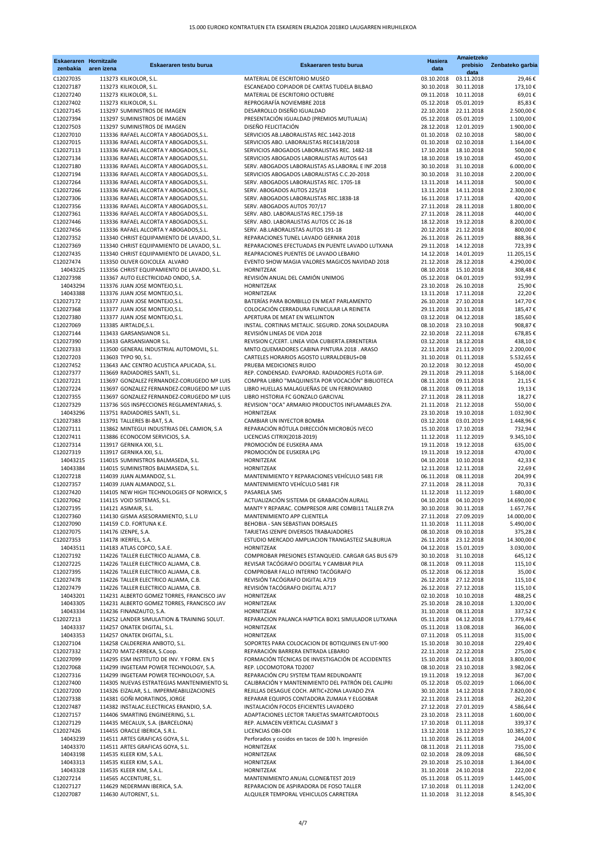| zenbakia               | <b>Eskaeraren Hornitzaile</b><br>aren izena | Eskaeraren testu burua                                                             | Eskaeraren testu burua                                                                         | <b>Hasiera</b><br>data              | Amaietzeko<br>prebisio   | Zenbateko garbia        |
|------------------------|---------------------------------------------|------------------------------------------------------------------------------------|------------------------------------------------------------------------------------------------|-------------------------------------|--------------------------|-------------------------|
| C12027035              |                                             | 113273 KILIKOLOR, S.L.                                                             | MATERIAL DE ESCRITORIO MUSEO                                                                   | 03.10.2018                          | data<br>03.11.2018       | 29,46€                  |
| C12027187              |                                             | 113273 KILIKOLOR, S.L.                                                             | ESCANEADO COPIADOR DE CARTAS TUDELA BILBAO                                                     | 30.10.2018                          | 30.11.2018               | 173,10€                 |
| C12027240              |                                             | 113273 KILIKOLOR, S.L.                                                             | MATERIAL DE ESCRITORIO OCTUBRE                                                                 | 09.11.2018                          | 10.11.2018               | 69,01€                  |
| C12027402              |                                             | 113273 KILIKOLOR, S.L.                                                             | REPROGRAFÍA NOVIEMBRE 2018                                                                     | 05.12.2018                          | 05.01.2019               | 85,83€                  |
| C12027145<br>C12027394 |                                             | 113297 SUMINISTROS DE IMAGEN<br>113297 SUMINISTROS DE IMAGEN                       | DESARROLLO DISEÑO IGUALDAD<br>PRESENTACIÓN IGUALDAD (PREMIOS MUTUALIA)                         | 22.10.2018<br>05.12.2018            | 22.11.2018<br>05.01.2019 | 2.500,00€<br>1.100,00€  |
| C12027503              |                                             | 113297 SUMINISTROS DE IMAGEN                                                       | DISEÑO FELICITACIÓN                                                                            | 28.12.2018                          | 12.01.2019               | 1.900,00€               |
| C12027010              |                                             | 113336 RAFAEL ALCORTA Y ABOGADOS, S.L.                                             | SERVICIOS AB.LABORALISTAS REC.1442-2018                                                        | 01.10.2018                          | 02.10.2018               | 580,00€                 |
| C12027015              |                                             | 113336 RAFAEL ALCORTA Y ABOGADOS, S.L.                                             | SERVICIOS ABO. LABORALISTAS REC1418/2018                                                       | 01.10.2018                          | 02.10.2018               | 1.164,00€               |
| C12027113              |                                             | 113336 RAFAEL ALCORTA Y ABOGADOS, S.L.                                             | SERVICIOS ABOGADOS LABORALISTAS REC. 1482-18                                                   | 17.10.2018                          | 18.10.2018               | 500,00€                 |
| C12027134<br>C12027180 |                                             | 113336 RAFAEL ALCORTA Y ABOGADOS, S.L.<br>113336 RAFAEL ALCORTA Y ABOGADOS, S.L.   | SERVICIOS ABOGADOS LABORALISTAS AUTOS 643<br>SERV. ABOGADOS LABORALISTAS AS.LABORAL E INF.2018 | 18.10.2018<br>30.10.2018            | 19.10.2018<br>31.10.2018 | 450,00€<br>6.000,00€    |
| C12027194              |                                             | 113336 RAFAEL ALCORTA Y ABOGADOS, S.L.                                             | SERVICIOS ABOGADOS LABORALISTAS C.C.20-2018                                                    | 30.10.2018                          | 31.10.2018               | 2.200,00€               |
| C12027264              |                                             | 113336 RAFAEL ALCORTA Y ABOGADOS, S.L.                                             | SERV. ABOGADOS LABORALISTAS REC. 1705-18                                                       | 13.11.2018                          | 14.11.2018               | 500,00€                 |
| C12027266              |                                             | 113336 RAFAEL ALCORTA Y ABOGADOS, S.L.                                             | SERV. ABOGADOS AUTOS 225/18                                                                    | 13.11.2018                          | 14.11.2018               | 2.300,00€               |
| C12027306              |                                             | 113336 RAFAEL ALCORTA Y ABOGADOS, S.L.                                             | SERV. ABOGADOS LABORALISTAS REC.1838-18                                                        | 16.11.2018                          | 17.11.2018               | 420,00€                 |
| C12027356<br>C12027361 |                                             | 113336 RAFAEL ALCORTA Y ABOGADOS, S.L.<br>113336 RAFAEL ALCORTA Y ABOGADOS, S.L.   | SERV. ABOGADOS AUTOS 707/17<br>SERV. ABO. LABORALISTAS REC.1759-18                             | 27.11.2018<br>27.11.2018            | 28.11.2018<br>28.11.2018 | 1.800,00€<br>440,00€    |
| C12027446              |                                             | 113336 RAFAEL ALCORTA Y ABOGADOS, S.L.                                             | SERV. ABO. LABORALISTAS AUTOS CC 26-18                                                         | 18.12.2018                          | 19.12.2018               | 8.200,00€               |
| C12027456              |                                             | 113336 RAFAEL ALCORTA Y ABOGADOS, S.L.                                             | SERV. AB.LABORALISTAS AUTOS 191-18                                                             | 20.12.2018                          | 21.12.2018               | 800,00€                 |
| C12027352              |                                             | 113340 CHRIST EQUIPAMIENTO DE LAVADO, S.L.                                         | REPARACIONES TUNEL LAVADO GERNIKA 2018                                                         | 26.11.2018                          | 26.11.2019               | 888,36€                 |
| C12027369              |                                             | 113340 CHRIST EQUIPAMIENTO DE LAVADO, S.L.                                         | REPARACIONES EFECTUADAS EN PUENTE LAVADO LUTXANA                                               | 29.11.2018                          | 14.12.2018               | 723,39€                 |
| C12027435<br>C12027474 |                                             | 113340 CHRIST EQUIPAMIENTO DE LAVADO, S.L.<br>113350 OLIVER GOICOLEA ALVARO        | REAPRACIONES PUENTES DE LAVADO LEBARIO<br>EVENTO SHOW MAGIA VALORES MAGICOS NAVIDAD 2018       | 14.12.2018<br>21.12.2018            | 14.01.2019<br>28.12.2018 | 11.205,15€<br>4.290,00€ |
| 14043225               |                                             | 113356 CHRIST EQUIPAMIENTO DE LAVADO, S.L.                                         | <b>HORNITZEAK</b>                                                                              | 08.10.2018                          | 15.10.2018               | 308,48€                 |
| C12027398              |                                             | 113367 AUTO ELECTRICIDAD ONDO, S.A.                                                | REVISIÓN ANUAL DEL CAMIÓN UNIMOG                                                               | 05.12.2018                          | 04.01.2019               | 932,99€                 |
| 14043294               |                                             | 113376 JUAN JOSE MONTEJO, S.L.                                                     | <b>HORNITZEAK</b>                                                                              | 23.10.2018                          | 26.10.2018               | 25,90€                  |
| 14043388               |                                             | 113376 JUAN JOSE MONTEJO, S.L.                                                     | <b>HORNITZEAK</b>                                                                              | 13.11.2018                          | 17.11.2018               | 22,20€                  |
| C12027172<br>C12027368 |                                             | 113377 JUAN JOSE MONTEJO, S.L.                                                     | BATERÍAS PARA BOMBILLO EN MEAT PARLAMENTO<br>COLOCACIÓN CERRADURA FUNICULAR LA REINETA         | 26.10.2018                          | 27.10.2018<br>30.11.2018 | 147,70€                 |
| C12027380              |                                             | 113377 JUAN JOSE MONTEJO, S.L.<br>113377 JUAN JOSE MONTEJO, S.L.                   | APERTURA DE MEAT EN WELLINTON                                                                  | 29.11.2018<br>03.12.2018            | 04.12.2018               | 185,47€<br>185,60€      |
| C12027069              |                                             | 113385 AIRTALDE, S.L.                                                              | INSTAL. CORTINAS METALIC. SEGURID. ZONA SOLDADURA                                              | 08.10.2018                          | 23.10.2018               | 908,87€                 |
| C12027144              |                                             | 113433 GARSANSIANOR S.L.                                                           | REVISIÓN LINEAS DE VIDA 2018                                                                   | 22.10.2018                          | 22.11.2018               | 678,85€                 |
| C12027390              |                                             | 113433 GARSANSIANOR S.L.                                                           | REVISION C/CERT. LINEA VIDA CUBIERTA. ERRENTERIA                                               | 03.12.2018                          | 18.12.2018               | 438,10€                 |
| C12027333              |                                             | 113500 GENERAL INDUSTRIAL AUTOMOVIL, S.L.                                          | MNTO.QUEMADORES CABINA PINTURA 2018. ARASO                                                     | 22.11.2018                          | 21.11.2019               | 2.200,00 €              |
| C12027203<br>C12027452 |                                             | 113603 TYPO 90, S.L.<br>113643 AAC CENTRO ACUSTICA APLICADA, S.L.                  | CARTELES HORARIOS AGOSTO LURRALDEBUS+DB<br>PRUEBA MEDICIONES RUIDO                             | 31.10.2018<br>20.12.2018            | 01.11.2018<br>30.12.2018 | 5.532,65 €<br>450,00€   |
| C12027377              |                                             | 113669 RADIADORES SANTI, S.L.                                                      | REP. CONDENSAD. EVAPORAD. RADIADORES FLOTA GIP.                                                | 29.11.2018                          | 29.11.2018               | 5.168,00€               |
| C12027221              |                                             | 113697 GONZALEZ FERNANDEZ-CORUGEDO Mª LUIS                                         | COMPRA LIBRO "MAQUINISTA POR VOCACIÓN" BIBLIOTECA                                              | 08.11.2018                          | 09.11.2018               | 21,15€                  |
| C12027224              |                                             | 113697 GONZALEZ FERNANDEZ-CORUGEDO Mª LUIS                                         | LIBRO HUELLAS MALAGUEÑAS DE UN FERROVIARIO                                                     | 08.11.2018                          | 09.11.2018               | 19,13€                  |
| C12027355              |                                             | 113697 GONZALEZ FERNANDEZ-CORUGEDO Mª LUIS                                         | LIBRO HISTORIA FC GONZALO GARCIVAL                                                             | 27.11.2018                          | 28.11.2018               | 18,27€                  |
| C12027329<br>14043296  |                                             | 113736 SGS INSPECCIONES REGLAMENTARIAS, S.<br>113751 RADIADORES SANTI, S.L.        | REVISION "OCA" ARMARIO PRODUCTOS INFLAMABLES ZYA.<br>HORNITZEAK                                | 21.11.2018<br>23.10.2018            | 21.12.2018<br>19.10.2018 | 550,00€<br>1.032,90€    |
| C12027383              |                                             | 113791 TALLERES BI-BAT, S.A.                                                       | CAMBIAR UN INYECTOR BOMBA                                                                      | 03.12.2018                          | 03.01.2019               | 1.448,96€               |
| C12027111              |                                             | 113862 MINTEGUI INDUSTRIAS DEL CAMION, S.A                                         | REPARACIÓN RÓTULA DIRECCIÓN MICROBÚS IVECO                                                     | 15.10.2018                          | 17.10.2018               | 732,94€                 |
| C12027411              |                                             | 113886 ECONOCOM SERVICIOS, S.A.                                                    | LICENCIAS CITRIX(2018-2019)                                                                    | 11.12.2018                          | 11.12.2019               | 9.345,10€               |
| C12027314              |                                             | 113917 GERNIKA XXI, S.L.                                                           | PROMOCIÓN DE EUSKERA AMA                                                                       | 19.11.2018                          | 19.12.2018               | 635,00€                 |
| C12027319<br>14043215  |                                             | 113917 GERNIKA XXI, S.L.<br>114015 SUMINISTROS BALMASEDA, S.L.                     | PROMOCIÓN DE EUSKERA LPG<br>HORNITZEAK                                                         | 19.11.2018<br>04.10.2018            | 19.12.2018<br>10.10.2018 | 470,00 €<br>42,33€      |
| 14043384               |                                             | 114015 SUMINISTROS BALMASEDA, S.L.                                                 | HORNITZEAK                                                                                     | 12.11.2018                          | 12.11.2018               | 22,69€                  |
| C12027218              |                                             | 114039 JUAN ALMANDOZ, S.L.                                                         | MANTENIMIENTO Y REPARACIONES VEHÍCULO 5481 FJR                                                 | 06.11.2018                          | 08.11.2018               | 204,99€                 |
| C12027357              |                                             | 114039 JUAN ALMANDOZ, S.L.                                                         | MANTENIMIENTO VEHÍCULO 5481 FJR                                                                | 27.11.2018                          | 28.11.2018               | 70,33€                  |
| C12027420              |                                             | 114105 NEW HIGH TECHNOLOGIES OF NORWICK, S                                         | PASARELA SMS<br>ACTUALIZACIÓN SISTEMA DE GRABACIÓN AURALL                                      | 11.12.2018<br>04.10.2018            | 11.12.2019               | 1.680,00 €              |
| C12027062<br>C12027195 |                                             | 114115 VOID SISTEMAS, S.L.<br>114121 ASIMAIR, S.L.                                 | MANTº Y REPARAC. COMPRESOR AIRE COMBI11 TALLER ZYA                                             | 30.10.2018                          | 04.10.2019<br>30.11.2018 | 14.690,00€<br>1.657,76€ |
| C12027360              |                                             | 114130 GISMA ASESORAMIENTO, S.L.U                                                  | MANTENIMIENTO APP CLIENTELA                                                                    | 27.11.2018                          | 27.09.2019               | 14.000,00 €             |
| C12027090              |                                             | 114159 C.D. FORTUNA K.E.                                                           | BEHOBIA - SAN SEBASTIAN DORSALES                                                               | 11.10.2018                          | 11.11.2018               | 5.490,00 €              |
| C12027075              |                                             | 114176 IZENPE, S.A.                                                                | TARJETAS IZENPE DIVERSOS TRABAJADORES                                                          | 08.10.2018                          | 09.10.2018               | 375,28€                 |
| C12027353              |                                             | 114178 IKERFEL, S.A.                                                               | ESTUDIO MERCADO AMPLIACION TRANGASTEIZ SALBURUA                                                | 26.11.2018                          | 23.12.2018               | 14.300,00 €             |
| 14043511<br>C12027192  |                                             | 114183 ATLAS COPCO, S.A.E.<br>114226 TALLER ELECTRICO ALJAMA, C.B.                 | <b>HORNITZEAK</b><br>COMPROBAR PRESIONES ESTANQUEID. CARGAR GAS BUS 679                        | 04.12.2018<br>30.10.2018 31.10.2018 | 15.01.2019               | 3.030,00 €<br>645,12€   |
| C12027225              |                                             | 114226 TALLER ELECTRICO ALJAMA, C.B.                                               | REVISAR TACÓGRAFO DOGITAL Y CAMBIAR PILA                                                       | 08.11.2018                          | 09.11.2018               | 115,10€                 |
| C12027395              |                                             | 114226 TALLER ELECTRICO ALJAMA, C.B.                                               | COMPROBAR FALLO INTERNO TACÓGRAFO                                                              | 05.12.2018                          | 06.12.2018               | 35,00€                  |
| C12027478              |                                             | 114226 TALLER ELECTRICO ALJAMA, C.B.                                               | REVISIÓN TACÓGRAFO DIGITAL A719                                                                | 26.12.2018                          | 27.12.2018               | 115,10€                 |
| C12027479<br>14043201  |                                             | 114226 TALLER ELECTRICO ALJAMA, C.B.<br>114231 ALBERTO GOMEZ TORRES, FRANCISCO JAV | REVISIÓN TACÓGRAFO DIGITAL A717<br>HORNITZEAK                                                  | 26.12.2018<br>02.10.2018            | 27.12.2018<br>10.10.2018 | 115,10€<br>488,25€      |
| 14043305               |                                             | 114231 ALBERTO GOMEZ TORRES, FRANCISCO JAV                                         | HORNITZEAK                                                                                     | 25.10.2018                          | 28.10.2018               | 1.320,00 €              |
| 14043334               |                                             | 114236 FINANZAUTO, S.A.                                                            | HORNITZEAK                                                                                     | 31.10.2018                          | 08.11.2018               | 337,52€                 |
| C12027213              |                                             | 114252 LANDER SIMULATION & TRAINING SOLUT.                                         | REPARACION PALANCA HAPTICA BOX1 SIMULADOR LUTXANA                                              | 05.11.2018                          | 04.12.2018               | 1.779,46€               |
| 14043337               |                                             | 114257 ONATEK DIGITAL, S.L.                                                        | <b>HORNITZEAK</b>                                                                              | 05.11.2018                          | 13.08.2018               | 366,00€                 |
| 14043353               |                                             | 114257 ONATEK DIGITAL, S.L.                                                        | <b>HORNITZEAK</b>                                                                              | 07.11.2018                          | 05.11.2018               | 315,00€                 |
| C12027104<br>C12027332 |                                             | 114258 CALDERERIA ANBOTO, S.L.<br>114270 MATZ-ERREKA, S.Coop.                      | SOPORTES PARA COLOCACION DE BOTIQUINES EN UT-900<br>REPARACIÓN BARRERA ENTRADA LEBARIO         | 15.10.2018<br>22.11.2018            | 30.10.2018<br>22.12.2018 | 229,40€<br>275,00€      |
| C12027099              |                                             | 114295 ESM INSTITUTO DE INV. Y FORM. EN S                                          | FORMACIÓN TÉCNICAS DE INVESTIGACIÓN DE ACCIDENTES                                              | 15.10.2018                          | 04.11.2018               | 3.800,00 €              |
| C12027068              |                                             | 114299 INGETEAM POWER TECHNOLOGY, S.A.                                             | REP. LOCOMOTORA TD2007                                                                         | 08.10.2018                          | 23.10.2018               | 3.982,06€               |
| C12027316              |                                             | 114299 INGETEAM POWER TECHNOLOGY, S.A.                                             | REPARACIÓN CPU SYSTEM TEAM REDUNDANTE                                                          | 19.11.2018                          | 19.12.2018               | 367,00€                 |
| C12027400              |                                             | 114305 NUEVAS ESTRATEGIAS MANTENIMIENTO SL                                         | CALIBRACIÓN Y MANTENIMIENTO DEL PATRÓN DEL CALIPRI                                             | 05.12.2018                          | 05.02.2019               | 1.066,00 €              |
| C12027200<br>C12027338 |                                             | 114326 EIZALAR, S.L. IMPERMEABILIZACIONES<br>114381 GOÑI MORATINOS, JORGE          | REJILLAS DESAGUE COCH. ARTIC+ZONA LAVADO ZYA<br>REPARAR EQUIPOS CONTADORA ZUMAIA Y ELGOIBAR    | 30.10.2018<br>22.11.2018            | 14.12.2018<br>23.11.2018 | 7.820,00 €<br>262,20€   |
| C12027487              |                                             | 114382 INSTALAC.ELECTRICAS ERANDIO, S.A.                                           | INSTALACIÓN FOCOS EFICIENTES LAVADERO                                                          | 27.12.2018                          | 27.01.2019               | 4.586,64 €              |
| C12027157              |                                             | 114406 SMARTING ENGINEERING, S.L.                                                  | ADAPTACIONES LECTOR TARJETAS SMARTCARDTOOLS                                                    | 23.10.2018                          | 23.11.2018               | 1.600,00 €              |
| C12027129              |                                             | 114435 MECALUX, S.A. (BARCELONA)                                                   | REP. ALMACEN VERTICAL CLASIMAT 3                                                               | 17.10.2018                          | 01.11.2018               | 339,37€                 |
| C12027426              |                                             | 114455 ORACLE IBERICA, S.R.L.                                                      | LICENCIAS OBI-ODI                                                                              | 13.12.2018                          | 13.12.2019               | 10.385,27€              |
| 14043239<br>14043370   |                                             | 114511 ARTES GRAFICAS GOYA, S.L.<br>114511 ARTES GRAFICAS GOYA, S.L.               | Perforados y cosidos en tacos de 100 h. Impresión<br>HORNITZEAK                                | 11.10.2018<br>08.11.2018            | 26.11.2018<br>21.11.2018 | 244,00€<br>735,00€      |
| 14043198               |                                             | 114535 KLEER KIM, S.A.L.                                                           | HORNITZEAK                                                                                     | 02.10.2018                          | 28.09.2018               | 686,50€                 |
| 14043313               |                                             | 114535 KLEER KIM, S.A.L.                                                           | HORNITZEAK                                                                                     | 29.10.2018                          | 25.10.2018               | 1.364,00 €              |
| 14043328               |                                             | 114535 KLEER KIM, S.A.L.                                                           | HORNITZEAK                                                                                     | 31.10.2018                          | 24.10.2018               | 222,00€                 |
| C12027214              |                                             | 114565 ACCENTURE, S.L.                                                             | MANTENIMIENTO ANUAL CLONE&TEST 2019                                                            | 05.11.2018                          | 05.11.2019               | 1.445,00 €              |
| C12027127<br>C12027087 |                                             | 114629 NEDERMAN IBERICA, S.A.<br>114630 AUTORENT, S.L.                             | REPARACION DE ASPIRADORA DE FOSO TALLER<br>ALQUILER TEMPORAL VEHICULOS CARRETERA               | 17.10.2018<br>11.10.2018            | 01.11.2018<br>31.12.2018 | 1.242,00 €<br>8.545,30€ |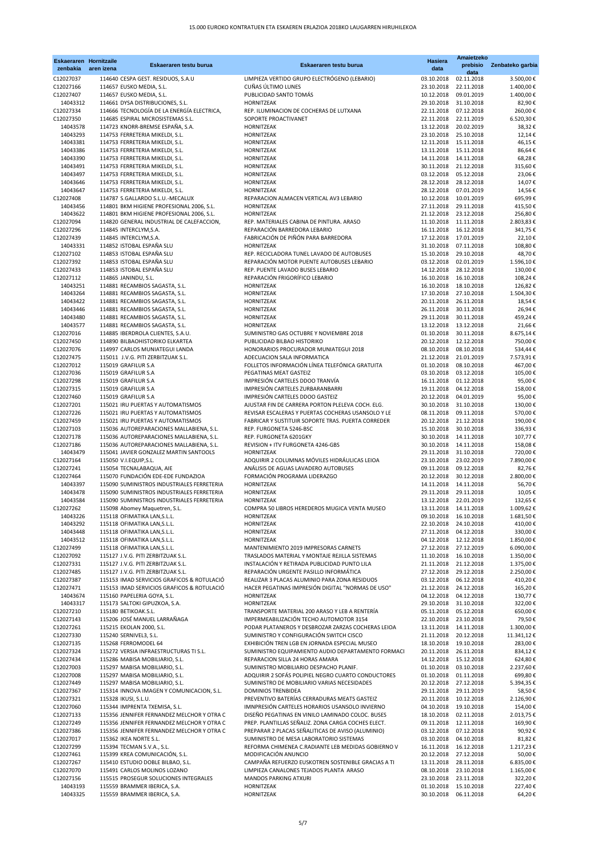| <b>Eskaeraren Hornitzaile</b><br>zenbakia | aren izena | Eskaeraren testu burua                                                                 | Eskaeraren testu burua                                                                         | <b>Hasiera</b><br>data   | Amaietzeko<br>prebisio<br>data | Zenbateko garbia     |
|-------------------------------------------|------------|----------------------------------------------------------------------------------------|------------------------------------------------------------------------------------------------|--------------------------|--------------------------------|----------------------|
| C12027037                                 |            | 114640 CESPA GEST. RESIDUOS, S.A.U                                                     | LIMPIEZA VERTIDO GRUPO ELECTRÓGENO (LEBARIO)                                                   | 03.10.2018               | 02.11.2018                     | 3.500,00 €           |
| C12027166                                 |            | 114657 EUSKO MEDIA, S.L.                                                               | CUÑAS ÚLTIMO LUNES                                                                             | 23.10.2018               | 22.11.2018                     | 1.400,00 €           |
| C12027407                                 |            | 114657 EUSKO MEDIA, S.L.                                                               | PUBLICIDAD SANTO TOMÁS                                                                         | 10.12.2018               | 09.01.2019                     | 1.400,00€            |
| 14043312                                  |            | 114661 DYSA DISTRIBUCIONES, S.L.                                                       | HORNITZEAK                                                                                     | 29.10.2018               | 31.10.2018                     | 82,90€               |
| C12027334                                 |            | 114666 TECNOLOGÍA DE LA ENERGÍA ELECTRICA,                                             | REP. ILUMINACION DE COCHERAS DE LUTXANA                                                        | 22.11.2018               | 07.12.2018                     | 260,00€              |
| C12027350                                 |            | 114685 ESPIRAL MICROSISTEMAS S.L.                                                      | SOPORTE PROACTIVANET                                                                           | 22.11.2018               | 22.11.2019                     | 6.520,30€            |
| 14043578                                  |            | 114723 KNORR-BREMSE ESPAÑA, S.A.                                                       | HORNITZEAK                                                                                     | 13.12.2018               | 20.02.2019                     | 38,32€               |
| 14043293<br>14043381                      |            | 114753 FERRETERIA MIKELDI, S.L.<br>114753 FERRETERIA MIKELDI, S.L.                     | HORNITZEAK<br>HORNITZEAK                                                                       | 23.10.2018<br>12.11.2018 | 25.10.2018<br>15.11.2018       | 12,14€<br>46,15€     |
| 14043386                                  |            | 114753 FERRETERIA MIKELDI, S.L.                                                        | HORNITZEAK                                                                                     | 13.11.2018               | 15.11.2018                     | 86,64€               |
| 14043390                                  |            | 114753 FERRETERIA MIKELDI, S.L.                                                        | HORNITZEAK                                                                                     | 14.11.2018               | 14.11.2018                     | 68,28€               |
| 14043491                                  |            | 114753 FERRETERIA MIKELDI, S.L.                                                        | HORNITZEAK                                                                                     | 30.11.2018               | 21.12.2018                     | 315,60€              |
| 14043497                                  |            | 114753 FERRETERIA MIKELDI, S.L.                                                        | HORNITZEAK                                                                                     | 03.12.2018               | 05.12.2018                     | 23,06€               |
| 14043646                                  |            | 114753 FERRETERIA MIKELDI, S.L.                                                        | HORNITZEAK                                                                                     | 28.12.2018               | 28.12.2018                     | 14,07€               |
| 14043647                                  |            | 114753 FERRETERIA MIKELDI, S.L.                                                        | HORNITZEAK                                                                                     | 28.12.2018               | 07.01.2019                     | 14,56€               |
| C12027408                                 |            | 114787 S.GALLARDO S.L.U.-MECALUX                                                       | REPARACION ALMACEN VERTICAL AV3 LEBARIO                                                        | 10.12.2018               | 10.01.2019                     | 695,99€              |
| 14043456<br>14043622                      |            | 114801 BKM HIGIENE PROFESIONAL 2006, S.L.<br>114801 BKM HIGIENE PROFESIONAL 2006, S.L. | HORNITZEAK<br>HORNITZEAK                                                                       | 27.11.2018<br>21.12.2018 | 29.11.2018<br>23.12.2018       | 415,50€<br>256,80€   |
| C12027094                                 |            | 114820 GENERAL INDUSTRIAL DE CALEFACCION,                                              | REP. MATERIALES CABINA DE PINTURA. ARASO                                                       | 11.10.2018               | 11.11.2018                     | 2.803,83€            |
| C12027296                                 |            | 114845 INTERCLYM, S.A.                                                                 | REPARACIÓN BARREDORA LEBARIO                                                                   | 16.11.2018               | 16.12.2018                     | 341,75€              |
| C12027439                                 |            | 114845 INTERCLYM, S.A.                                                                 | FABRICACIÓN DE PIÑÓN PARA BARREDORA                                                            | 17.12.2018               | 17.01.2019                     | 22,10€               |
| 14043331                                  |            | 114852 ISTOBAL ESPAÑA SLU                                                              | HORNITZEAK                                                                                     | 31.10.2018               | 07.11.2018                     | 108,80€              |
| C12027102                                 |            | 114853 ISTOBAL ESPAÑA SLU                                                              | REP. RECICLADORA TUNEL LAVADO DE AUTOBUSES                                                     | 15.10.2018               | 29.10.2018                     | 48,70€               |
| C12027392                                 |            | 114853 ISTOBAL ESPAÑA SLU                                                              | REPARACIÓN MOTOR PUENTE AUTOBUSES LEBARIO                                                      | 03.12.2018               | 02.01.2019                     | 1.596,10€            |
| C12027433                                 |            | 114853 ISTOBAL ESPAÑA SLU                                                              | REP. PUENTE LAVADO BUSES LEBARIO                                                               | 14.12.2018               | 28.12.2018                     | 130,00€              |
| C12027112                                 |            | 114865 JANINDU, S.L.<br>114881 RECAMBIOS SAGASTA, S.L.                                 | REPARACIÓN FRIGORÍFICO LEBARIO<br>HORNITZEAK                                                   | 16.10.2018               | 16.10.2018<br>18.10.2018       | 108,24€<br>126,82€   |
| 14043251<br>14043264                      |            | 114881 RECAMBIOS SAGASTA, S.L.                                                         | HORNITZEAK                                                                                     | 16.10.2018<br>17.10.2018 | 27.10.2018                     | 1.504,30€            |
| 14043422                                  |            | 114881 RECAMBIOS SAGASTA, S.L.                                                         | <b>HORNITZEAK</b>                                                                              | 20.11.2018               | 26.11.2018                     | 18,54€               |
| 14043446                                  |            | 114881 RECAMBIOS SAGASTA, S.L.                                                         | HORNITZEAK                                                                                     | 26.11.2018               | 30.11.2018                     | 26,94€               |
| 14043480                                  |            | 114881 RECAMBIOS SAGASTA, S.L.                                                         | HORNITZEAK                                                                                     | 29.11.2018               | 30.11.2018                     | 459,24€              |
| 14043577                                  |            | 114881 RECAMBIOS SAGASTA, S.L.                                                         | HORNITZEAK                                                                                     | 13.12.2018               | 13.12.2018                     | 21,66€               |
| C12027016                                 |            | 114885 IBERDROLA CLIENTES, S.A.U.                                                      | SUMINISTRO GAS OCTUBRE Y NOVIEMBRE 2018                                                        | 01.10.2018               | 30.11.2018                     | 8.675,14€            |
| C12027450                                 |            | 114890 BILBAOHISTORIKO ELKARTEA                                                        | PUBLICIDAD BILBAO HISTORIKO                                                                    | 20.12.2018               | 12.12.2018                     | 750,00€              |
| C12027076                                 |            | 114997 CARLOS MUNIATEGUI LANDA                                                         | HONORARIOS PROCURADOR MUNIATEGUI 2018                                                          | 08.10.2018               | 08.10.2018                     | 534,44€              |
| C12027475                                 |            | 115011 J.V.G. PITI ZERBITZUAK S.L.                                                     | ADECUACION SALA INFORMATICA                                                                    | 21.12.2018               | 21.01.2019                     | 7.573,91€            |
| C12027012<br>C12027036                    |            | 115019 GRAFILUR S.A<br>115019 GRAFILUR S.A                                             | FOLLETOS INFORMACIÓN LÍNEA TELEFÓNICA GRATUITA<br>PEGATINAS MEAT GASTEIZ                       | 01.10.2018<br>03.10.2018 | 08.10.2018<br>03.12.2018       | 467,00€              |
| C12027298                                 |            | 115019 GRAFILUR S.A                                                                    | IMPRESIÓN CARTELES DDOO TRANVÍA                                                                | 16.11.2018               | 01.12.2018                     | 105,00€<br>95,00€    |
| C12027315                                 |            | 115019 GRAFILUR S.A                                                                    | IMPRESIÓN CARTELES ZURBARANBARRI                                                               | 19.11.2018               | 04.12.2018                     | 158,00€              |
| C12027460                                 |            | 115019 GRAFILUR S.A                                                                    | IMPRESIÓN CARTELES DDOO GASTEIZ                                                                | 20.12.2018               | 04.01.2019                     | 95,00€               |
| C12027201                                 |            | 115021 IRU PUERTAS Y AUTOMATISMOS                                                      | AJUSTAR FIN DE CARRERA PORTON PLELEVA COCH. ELG.                                               | 30.10.2018               | 31.10.2018                     | 130,00€              |
| C12027226                                 |            | 115021 IRU PUERTAS Y AUTOMATISMOS                                                      | REVISAR ESCALERAS Y PUERTAS COCHERAS USANSOLO Y LE                                             | 08.11.2018               | 09.11.2018                     | 570,00€              |
| C12027459                                 |            | 115021 IRU PUERTAS Y AUTOMATISMOS                                                      | FABRICAR Y SUSTITUIR SOPORTE TRAS. PUERTA CORREDER                                             | 20.12.2018               | 21.12.2018                     | 190,00€              |
| C12027103                                 |            | 115036 AUTOREPARACIONES MALLABIENA, S.L.                                               | REP. FURGONETA 5246-BSC                                                                        | 15.10.2018               | 30.10.2018                     | 336,93€              |
| C12027178                                 |            | 115036 AUTOREPARACIONES MALLABIENA, S.L.                                               | REP. FURGONETA 6201GKY                                                                         | 30.10.2018               | 14.11.2018                     | 107,77€              |
| C12027186                                 |            | 115036 AUTOREPARACIONES MALLABIENA, S.L.                                               | REVISION + ITV FURGONETA 4246-GBS                                                              | 30.10.2018               | 14.11.2018                     | 158,08€              |
| 14043479                                  |            | 115041 JAVIER GONZALEZ MARTIN SANTOOLS                                                 | HORNITZEAK<br>ADQUIRIR 2 COLUMNAS MÓVILES HIDRÁULICAS LEIOA                                    | 29.11.2018               | 31.10.2018                     | 720,00€              |
| C12027164<br>C12027241                    |            | 115050 V.I.EQUIP, S.L.<br>115054 TECNALABAQUA, AIE                                     | ANÁLISIS DE AGUAS LAVADERO AUTOBUSES                                                           | 23.10.2018<br>09.11.2018 | 23.02.2019<br>09.12.2018       | 7.890,00€<br>82,76€  |
| C12027464                                 |            | 115070 FUNDACIÓN EDE-EDE FUNDAZIOA                                                     | FORMACIÓN PROGRAMA LIDERAZGO                                                                   | 20.12.2018               | 30.12.2018                     | 2.800,00 €           |
| 14043397                                  |            | 115090 SUMINISTROS INDUSTRIALES FERRETERIA                                             | HORNITZEAK                                                                                     | 14.11.2018               | 14.11.2018                     | 56,70€               |
| 14043478                                  |            | 115090 SUMINISTROS INDUSTRIALES FERRETERIA                                             | HORNITZEAK                                                                                     | 29.11.2018               | 29.11.2018                     | 10,05€               |
| 14043584                                  |            | 115090 SUMINISTROS INDUSTRIALES FERRETERIA                                             | HORNITZEAK                                                                                     | 13.12.2018               | 22.01.2019                     | 132,65 €             |
| C12027262                                 |            | 115098 Abomey Maquetren, S.L.                                                          | COMPRA 50 LIBROS HEREDEROS MUGICA VENTA MUSEO                                                  | 13.11.2018               | 14.11.2018                     | 1.009,62€            |
| 14043226                                  |            | 115118 OFIMATIKA LAN, S.L.L.                                                           | HORNITZEAK                                                                                     | 09.10.2018               | 16.10.2018                     | 1.681,50€            |
| 14043292                                  |            | 115118 OFIMATIKA LAN, S.L.L.                                                           | HORNITZEAK                                                                                     | 22.10.2018               | 24.10.2018                     | 410,00€              |
| 14043448<br>14043512                      |            | 115118 OFIMATIKA LAN, S.L.L.<br>115118 OFIMATIKA LAN, S.L.L.                           | HORNITZEAK<br>HORNITZEAK                                                                       | 27.11.2018<br>04.12.2018 | 04.12.2018<br>12.12.2018       | 330,00€<br>1.850,00€ |
| C12027499                                 |            | 115118 OFIMATIKA LAN, S.L.L.                                                           | MANTENIMIENTO 2019 IMPRESORAS CARNETS                                                          | 27.12.2018               | 27.12.2019                     | 6.090,00€            |
| C12027092                                 |            | 115127 J.V.G. PITI ZERBITZUAK S.L.                                                     | TRASLADOS MATERIAL Y MONTAJE REJILLA SISTEMAS                                                  | 11.10.2018  16.10.2018   |                                | 1.350,00 €           |
| C12027331                                 |            | 115127 J.V.G. PITI ZERBITZUAK S.L.                                                     | INSTALACIÓN Y RETIRADA PUBLICIDAD PUNTO LILA                                                   |                          | 21.11.2018 21.12.2018          | 1.375,00 €           |
| C12027485                                 |            | 115127 J.V.G. PITI ZERBITZUAK S.L.                                                     | REPARACIÓN URGENTE PASILLO INFORMÁTICA                                                         | 27.12.2018               | 29.12.2018                     | 2.250,00 €           |
| C12027387                                 |            | 115153 IMAD SERVICIOS GRAFICOS & ROTULACIÓ                                             | REALIZAR 3 PLACAS ALUMINIO PARA ZONA RESIDUOS                                                  | 03.12.2018               | 06.12.2018                     | 410,20€              |
| C12027471                                 |            | 115153 IMAD SERVICIOS GRAFICOS & ROTULACIÓ                                             | HACER PEGATINAS IMPRESIÓN DIGITAL "NORMAS DE USO"                                              | 21.12.2018               | 24.12.2018                     | 165,20€              |
| 14043674                                  |            | 115160 PAPELERIA GOYA, S.L.                                                            | <b>HORNITZEAK</b>                                                                              | 04.12.2018               | 04.12.2018                     | 130,77€              |
| 14043317                                  |            | 115173 SALTOKI GIPUZKOA, S.A.                                                          | HORNITZEAK                                                                                     | 29.10.2018               | 31.10.2018                     | 322,00€              |
| C12027210                                 |            | 115180 BETIKOAK.S.L.<br>115206 JOSÉ MANUEL LARRAÑAGA                                   | TRANSPORTE MATERIAL 200 ARASO Y LEB A RENTERÍA<br>IMPERMEABILIZACIÓN TECHO AUTOMOTOR 3154      | 05.11.2018<br>22.10.2018 | 05.12.2018                     | 650,00€              |
| C12027143<br>C12027261                    |            | 115215 EKOLAN 2000, S.L.                                                               | PODAR PLATANEROS Y DESBROZAR ZARZAS COCHERAS LEIOA                                             | 13.11.2018               | 23.10.2018<br>14.11.2018       | 79,50€<br>1.300,00€  |
| C12027330                                 |            | 115240 SERNIVEL3, S.L.                                                                 | SUMINISTRO Y CONFIGURACIÓN SWITCH CISCO                                                        | 21.11.2018               | 20.12.2018                     | 11.341,12€           |
| C12027135                                 |            | 115268 FERROMODEL 64                                                                   | EXHIBICIÓN TREN LGB EN JORNADA ESPECIAL MUSEO                                                  | 18.10.2018               | 19.10.2018                     | 283,00€              |
| C12027324                                 |            | 115272 VERSIA INFRAESTRUCTURAS TI S.L.                                                 | SUMINISTRO EQUIPAMIENTO AUDIO DEPARTAMENTO FORMACI                                             | 20.11.2018               | 26.11.2018                     | 834,12€              |
| C12027434                                 |            | 115286 MABISA MOBILIARIO, S.L.                                                         | REPARACION SILLA 24 HORAS AMARA                                                                | 14.12.2018               | 15.12.2018                     | 624,80€              |
| C12027003                                 |            | 115297 MABISA MOBILIARIO, S.L.                                                         | SUMINISTRO MOBILIARIO DESPACHO PLANIF.                                                         | 01.10.2018               | 03.10.2018                     | 2.237,60€            |
| C12027008                                 |            | 115297 MABISA MOBILIARIO, S.L.                                                         | ADQUIRIR 2 SOFÁS POLIPIEL NEGRO CUARTO CONDUCTORES                                             | 01.10.2018               | 01.11.2018                     | 699,80€              |
| C12027449                                 |            | 115297 MABISA MOBILIARIO, S.L.                                                         | SUMINISTRO DE MOBILIARIO VARIAS NECESIDADES                                                    | 20.12.2018               | 27.12.2018                     | 5.394,35 €           |
| C12027367                                 |            | 115314 INNOVA IMAGEN Y COMUNICACION, S.L.                                              | <b>DOMINIOS TRENBIDEA</b>                                                                      | 29.11.2018               | 29.11.2019                     | 58,50€               |
| C12027321<br>C12027060                    |            | 115328 IKUSI, S.L.U.<br>115344 IMPRENTA TXEMISA, S.L.                                  | PREVENTIVO BATERÍAS CERRADURAS MEATS GASTEIZ<br>IMNPRESIÓN CARTELES HORARIOS USANSOLO INVIERNO | 20.11.2018<br>04.10.2018 | 10.12.2018<br>19.10.2018       | 2.126,90€<br>154,00€ |
| C12027133                                 |            | 115356 JENNIFER FERNANDEZ MELCHOR Y OTRA C                                             | DISEÑO PEGATINAS EN VINILO LAMINADO COLOC. BUSES                                               | 18.10.2018               | 02.11.2018                     | 2.013,75€            |
| C12027249                                 |            | 115356 JENNIFER FERNANDEZ MELCHOR Y OTRA C                                             | PREP. PLANTILLAS SEÑALIZ. ZONA CARGA COCHES ELECT.                                             | 09.11.2018               | 12.11.2018                     | 169,90€              |
| C12027386                                 |            | 115356 JENNIFER FERNANDEZ MELCHOR Y OTRA C                                             | PREPARAR 2 PLACAS SEÑALITICAS DE AVISO (ALUMINIO)                                              | 03.12.2018               | 07.12.2018                     | 90,92€               |
| C12027017                                 |            | 115362 IKEA NORTE S.L.                                                                 | SUMINISTRO DE MESA LABORATORIO SISTEMAS                                                        | 03.10.2018               | 04.10.2018                     | 81,82€               |
| C12027299                                 |            | 115394 TECMAN S.V.A., S.L.                                                             | REFORMA CHIMENEA C.RADIANTE LEB MEDIDAS GOBIERNO V                                             | 16.11.2018               | 16.12.2018                     | 1.217,23 €           |
| C12027461                                 |            | 115399 KREA COMUNICACIÓN, S.L.                                                         | MODIFICACIÓN ANUNCIO                                                                           | 20.12.2018               | 27.12.2018                     | 50,00€               |
| C12027267                                 |            | 115410 ESTUDIO DOBLE BILBAO, S.L.                                                      | CAMPAÑA REFUERZO EUSKOTREN SOSTENIBLE GRACIAS A TI                                             | 13.11.2018               | 28.11.2018                     | 6.835,00 €           |
| C12027070                                 |            | 115491 CARLOS MOLINOS LOZANO                                                           | LIMPIEZA CANALONES TEJADOS PLANTA ARASO                                                        | 08.10.2018               | 23.10.2018                     | $1.165,00 \in$       |
| C12027156                                 |            | 115515 PROSEGUR SOLUCIONES INTEGRALES                                                  | <b>MANDOS PARKING ATXURI</b>                                                                   | 23.10.2018               | 23.11.2018                     | 322,20€              |
| 14043193<br>14043325                      |            | 115559 BRAMMER IBERICA, S.A.<br>115559 BRAMMER IBERICA, S.A.                           | HORNITZEAK<br>HORNITZEAK                                                                       | 01.10.2018<br>30.10.2018 | 15.10.2018<br>06.11.2018       | 227,40€<br>64,20€    |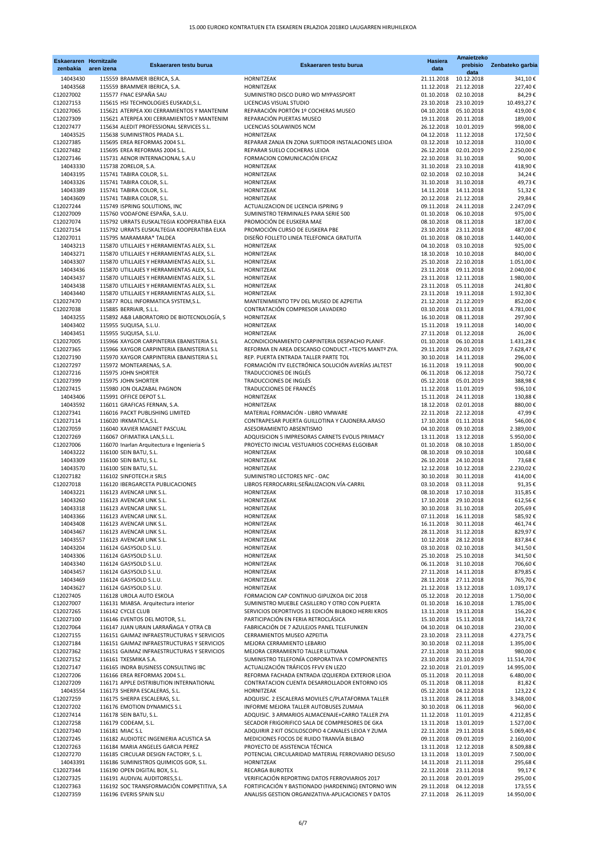| <b>Eskaeraren Hornitzaile</b><br>zenbakia | aren izena | Eskaeraren testu burua                                                                   | Eskaeraren testu burua                                                                               | <b>Hasiera</b><br>data   | Amaietzeko<br>prebisio<br>data | Zenbateko garbia        |
|-------------------------------------------|------------|------------------------------------------------------------------------------------------|------------------------------------------------------------------------------------------------------|--------------------------|--------------------------------|-------------------------|
| 14043430                                  |            | 115559 BRAMMER IBERICA, S.A.                                                             | <b>HORNITZEAK</b>                                                                                    | 21.11.2018               | 10.12.2018                     | 341,10€                 |
| 14043568                                  |            | 115559 BRAMMER IBERICA, S.A.                                                             | <b>HORNITZEAK</b>                                                                                    | 11.12.2018               | 21.12.2018                     | 227,40€                 |
| C12027002                                 |            | 115577 FNAC ESPAÑA SAU                                                                   | SUMINISTRO DISCO DURO WD MYPASSPORT                                                                  | 01.10.2018               | 02.10.2018                     | 84,29€                  |
| C12027153                                 |            | 115615 HSI TECHNOLOGIES EUSKADI, S.L.                                                    | LICENCIAS VISUAL STUDIO                                                                              | 23.10.2018               | 23.10.2019                     | 10.493,27€              |
| C12027065<br>C12027309                    |            | 115621 ATERPEA XXI CERRAMIENTOS Y MANTENIM<br>115621 ATERPEA XXI CERRAMIENTOS Y MANTENIM | REPARACIÓN PORTÓN 1º COCHERAS MUSEO<br>REPARACIÓN PUERTAS MUSEO                                      | 04.10.2018<br>19.11.2018 | 05.10.2018<br>20.11.2018       | 419,00€<br>189,00€      |
| C12027477                                 |            | 115634 ALEDIT PROFESSIONAL SERVICES S.L.                                                 | LICENCIAS SOLAWINDS NCM                                                                              | 26.12.2018               | 10.01.2019                     | 998,00€                 |
| 14043525                                  |            | 115638 SUMINISTROS PRADA S.L.                                                            | <b>HORNITZEAK</b>                                                                                    | 04.12.2018               | 11.12.2018                     | 172,50€                 |
| C12027385                                 |            | 115695 EREA REFORMAS 2004 S.L.                                                           | REPARAR ZANJA EN ZONA SURTIDOR INSTALACIONES LEIOA                                                   | 03.12.2018               | 10.12.2018                     | 310,00€                 |
| C12027482                                 |            | 115695 EREA REFORMAS 2004 S.L.                                                           | REPARAR SUELO COCHERAS LEIOA                                                                         | 26.12.2018               | 02.01.2019                     | 2.250,00€               |
| C12027146                                 |            | 115731 AENOR INTERNACIONAL S.A.U                                                         | FORMACION COMUNICACIÓN EFICAZ                                                                        | 22.10.2018               | 31.10.2018                     | 90,00€                  |
| 14043330                                  |            | 115738 ZORELOR, S.A.                                                                     | HORNITZEAK                                                                                           | 31.10.2018               | 23.10.2018                     | 418,90€                 |
| 14043195                                  |            | 115741 TABIRA COLOR, S.L.                                                                | HORNITZEAK<br><b>HORNITZEAK</b>                                                                      | 02.10.2018<br>31.10.2018 | 02.10.2018<br>31.10.2018       | 34,24€                  |
| 14043326<br>14043389                      |            | 115741 TABIRA COLOR, S.L.<br>115741 TABIRA COLOR, S.L.                                   | HORNITZEAK                                                                                           | 14.11.2018               | 14.11.2018                     | 49,73€<br>51,32€        |
| 14043609                                  |            | 115741 TABIRA COLOR, S.L.                                                                | <b>HORNITZEAK</b>                                                                                    | 20.12.2018               | 21.12.2018                     | 29,84€                  |
| C12027244                                 |            | 115749 ISPRING SOLUTIONS, INC                                                            | ACTUALIZACION DE LICENCIA ISPRING 9                                                                  | 09.11.2018               | 24.11.2018                     | 2.247,09€               |
| C12027009                                 |            | 115760 VODAFONE ESPAÑA, S.A.U.                                                           | SUMINISTRO TERMINALES PARA SERIE 500                                                                 | 01.10.2018               | 06.10.2018                     | 975,00€                 |
| C12027074                                 |            | 115792 URRATS EUSKALTEGIA KOOPERATIBA ELKA                                               | PROMOCIÓN DE EUSKERA MAE                                                                             | 08.10.2018               | 08.11.2018                     | 187,00€                 |
| C12027154                                 |            | 115792 URRATS EUSKALTEGIA KOOPERATIBA ELKA                                               | PROMOCIÓN CURSO DE EUSKERA PBE                                                                       | 23.10.2018               | 23.11.2018                     | 487,00€                 |
| C12027011                                 |            | 115795 MARAMARA* TALDEA                                                                  | DISEÑO FOLLETO LINEA TELEFONICA GRATUITA                                                             | 01.10.2018               | 08.10.2018                     | 1.440,00 €              |
| 14043213<br>14043271                      |            | 115870 UTILLAJES Y HERRAMIENTAS ALEX, S.L.<br>115870 UTILLAJES Y HERRAMIENTAS ALEX, S.L. | <b>HORNITZEAK</b><br>HORNITZEAK                                                                      | 04.10.2018<br>18.10.2018 | 03.10.2018<br>10.10.2018       | 925,00€<br>840,00€      |
| 14043307                                  |            | 115870 UTILLAJES Y HERRAMIENTAS ALEX, S.L.                                               | HORNITZEAK                                                                                           | 25.10.2018               | 22.10.2018                     | 1.051,00€               |
| 14043436                                  |            | 115870 UTILLAJES Y HERRAMIENTAS ALEX, S.L.                                               | HORNITZEAK                                                                                           | 23.11.2018               | 09.11.2018                     | 2.040,00 €              |
| 14043437                                  |            | 115870 UTILLAJES Y HERRAMIENTAS ALEX, S.L.                                               | <b>HORNITZEAK</b>                                                                                    | 23.11.2018               | 12.11.2018                     | 1.980,00€               |
| 14043438                                  |            | 115870 UTILLAJES Y HERRAMIENTAS ALEX, S.L.                                               | HORNITZEAK                                                                                           | 23.11.2018               | 05.11.2018                     | 241,80€                 |
| 14043440                                  |            | 115870 UTILLAJES Y HERRAMIENTAS ALEX, S.L.                                               | <b>HORNITZEAK</b>                                                                                    | 23.11.2018               | 19.11.2018                     | 1.932,30€               |
| C12027470                                 |            | 115877 ROLL INFORMATICA SYSTEM, S.L.                                                     | MANTENIMIENTO TPV DEL MUSEO DE AZPEITIA                                                              | 21.12.2018               | 21.12.2019                     | 852,00€                 |
| C12027038<br>14043255                     |            | 115885 BERRIAIR, S.L.L.                                                                  | CONTRATACIÓN COMPRESOR LAVADERO                                                                      | 03.10.2018               | 03.11.2018                     | 4.781,00 €              |
| 14043402                                  |            | 115892 A&B LABORATORIO DE BIOTECNOLOGÍA, S<br>115955 SUQUISA, S.L.U.                     | HORNITZEAK<br>HORNITZEAK                                                                             | 16.10.2018<br>15.11.2018 | 08.11.2018<br>19.11.2018       | 297,90€<br>140,00 €     |
| 14043451                                  |            | 115955 SUQUISA, S.L.U.                                                                   | <b>HORNITZEAK</b>                                                                                    | 27.11.2018               | 01.12.2018                     | 26,00€                  |
| C12027005                                 |            | 115966 XAYGOR CARPINTERIA EBANISTERIA S.L                                                | ACONDICIONAMIENTO CARPINTERIA DESPACHO PLANIF.                                                       | 01.10.2018               | 06.10.2018                     | 1.431,28€               |
| C12027365                                 |            | 115966 XAYGOR CARPINTERIA EBANISTERIA S.L                                                | REFORMA EN AREA DESCANSO CONDUCT.+TECºS MANTº ZYA.                                                   | 29.11.2018               | 29.01.2019                     | 7.628,47€               |
| C12027190                                 |            | 115970 XAYGOR CARPINTERIA EBANISTERIA S.L                                                | REP. PUERTA ENTRADA TALLER PARTE TOL                                                                 | 30.10.2018               | 14.11.2018                     | 296,00€                 |
| C12027297                                 |            | 115972 MONTEARENAS, S.A.                                                                 | FORMACIÓN ITV ELECTRÓNICA SOLUCIÓN AVERÍAS JALTEST                                                   | 16.11.2018               | 19.11.2018                     | 900,00€                 |
| C12027216                                 |            | 115975 JOHN SHORTER                                                                      | TRADUCCIONES DE INGLÉS                                                                               | 06.11.2018               | 06.12.2018                     | 750,72€                 |
| C12027399<br>C12027415                    |            | 115975 JOHN SHORTER<br>115980 JON OLAZABAL PAGNON                                        | TRADUCCIONES DE INGLÉS<br>TRADUCCIONES DE FRANCÉS                                                    | 05.12.2018<br>11.12.2018 | 05.01.2019<br>11.01.2019       | 388,98€<br>936,10€      |
| 14043406                                  |            | 115991 OFFICE DEPOT S.L.                                                                 | <b>HORNITZEAK</b>                                                                                    | 15.11.2018               | 24.11.2018                     | 130,88€                 |
| 14043592                                  |            | 116011 GRAFICAS FERNAN, S.A.                                                             | HORNITZEAK                                                                                           | 18.12.2018               | 02.01.2018                     | 880,00€                 |
| C12027341                                 |            | 116016 PACKT PUBLISHING LIMITED                                                          | MATERIAL FORMACIÓN - LIBRO VMWARE                                                                    | 22.11.2018               | 22.12.2018                     | 47,99€                  |
| C12027114                                 |            | 116020 IRKMATICA, S.L.                                                                   | CONTRAPESAR PUERTA GUILLOTINA Y CAJONERA.ARASO                                                       | 17.10.2018               | 01.11.2018                     | 546,00€                 |
| C12027059                                 |            | 116040 XAVIER MAGNET PASCUAL                                                             | ASESORAMIENTO ABSENTISMO                                                                             | 04.10.2018               | 09.10.2018                     | 2.389,00 €              |
| C12027269                                 |            | 116067 OFIMATIKA LAN, S.L.L.                                                             | ADQUISICION 5 IMPRESORAS CARNETS EVOLIS PRIMACY                                                      | 13.11.2018               | 13.12.2018                     | 5.950,00€               |
| C12027006                                 |            | 116070 Inarlan Arquitectura e Ingenieria S                                               | PROYECTO INICIAL VESTUARIOS COCHERAS ELGOIBAR                                                        | 01.10.2018               | 08.10.2018                     | 1.850,00 €              |
| 14043222<br>14043309                      |            | 116100 SEIN BATU, S.L.<br>116100 SEIN BATU, S.L.                                         | HORNITZEAK<br>HORNITZEAK                                                                             | 08.10.2018<br>26.10.2018 | 09.10.2018<br>24.10.2018       | 100,68€<br>73,68€       |
| 14043570                                  |            | 116100 SEIN BATU, S.L.                                                                   | HORNITZEAK                                                                                           | 12.12.2018               | 10.12.2018                     | 2.230,02€               |
| C12027182                                 |            | 116102 SINFOTECH.it SRLS                                                                 | SUMINISTRO LECTORES NFC - OAC                                                                        | 30.10.2018               | 30.11.2018                     | 414,00€                 |
| C12027018                                 |            | 116120 IBERGARCETA PUBLICACIONES                                                         | LIBROS FERROCARRIL: SEÑALIZACION. VÍA-CARRIL                                                         | 03.10.2018               | 03.11.2018                     | 91,35€                  |
| 14043221                                  |            | 116123 AVENCAR LINK S.L.                                                                 | HORNITZEAK                                                                                           | 08.10.2018               | 17.10.2018                     | 315,85€                 |
| 14043260                                  |            | 116123 AVENCAR LINK S.L.                                                                 | HORNITZEAK                                                                                           | 17.10.2018               | 29.10.2018                     | 612,56€                 |
| 14043318<br>14043366                      |            | 116123 AVENCAR LINK S.L.<br>116123 AVENCAR LINK S.L.                                     | HORNITZEAK<br>HORNITZEAK                                                                             | 30.10.2018<br>07.11.2018 | 31.10.2018<br>16.11.2018       | 205,69€<br>585,92€      |
| 14043408                                  |            | 116123 AVENCAR LINK S.L.                                                                 | HORNITZEAK                                                                                           | 16.11.2018               | 30.11.2018                     | 461,74€                 |
| 14043467                                  |            | 116123 AVENCAR LINK S.L.                                                                 | <b>HORNITZEAK</b>                                                                                    | 28.11.2018               | 31.12.2018                     | 829,97€                 |
| 14043557                                  |            | 116123 AVENCAR LINK S.L.                                                                 | HORNITZEAK                                                                                           | 10.12.2018               | 28.12.2018                     | 837,84€                 |
| 14043204                                  |            | 116124 GASYSOLD S.L.U.                                                                   | <b>HORNITZEAK</b>                                                                                    | 03.10.2018               | 02.10.2018                     | 341,50€                 |
| 14043306                                  |            | 116124 GASYSOLD S.L.U.                                                                   | <b>HORNITZEAK</b>                                                                                    |                          | 25.10.2018 25.10.2018          | 341,50€                 |
| 14043340                                  |            | 116124 GASYSOLD S.L.U.                                                                   | <b>HORNITZEAK</b>                                                                                    |                          | 06.11.2018 31.10.2018          | 706,60€                 |
| 14043457                                  |            | 116124 GASYSOLD S.L.U.<br>116124 GASYSOLD S.L.U.                                         | <b>HORNITZEAK</b><br><b>HORNITZEAK</b>                                                               | 27.11.2018               | 14.11.2018                     | 879,85€                 |
| 14043469<br>14043627                      |            | 116124 GASYSOLD S.L.U.                                                                   | <b>HORNITZEAK</b>                                                                                    | 28.11.2018<br>21.12.2018 | 27.11.2018<br>13.12.2018       | 765,70€<br>1.039,17€    |
| C12027405                                 |            | 116128 UROLA AUTO ESKOLA                                                                 | FORMACION CAP CONTINUO GIPUZKOA DIC 2018                                                             | 05.12.2018               | 20.12.2018                     | 1.750,00€               |
| C12027007                                 |            | 116131 MIABSA. Arquitectura interior                                                     | SUMINISTRO MUEBLE CASILLERO Y OTRO CON PUERTA                                                        | 01.10.2018               | 16.10.2018                     | 1.785,00€               |
| C12027265                                 |            | 116142 CYCLE CLUB                                                                        | SERVICIOS DEPORTIVOS 31 EDICIÓN BILBOKO HERRI KROS                                                   | 13.11.2018               | 19.11.2018                     | 156,20€                 |
| C12027100                                 |            | 116146 EVENTOS DEL MOTOR, S.L.                                                           | PARTICIPACIÓN EN FERIA RETROCLÁSICA                                                                  | 15.10.2018               | 15.11.2018                     | 143,72€                 |
| C12027064                                 |            | 116147 JUAN URAIN LARRAÑAGA Y OTRA CB                                                    | FABRICACIÓN DE 7 AZULEJOS PANEL TELEFUNKEN                                                           | 04.10.2018               | 04.10.2018                     | 230,00€                 |
| C12027155                                 |            | 116151 GAIMAZ INFRAESTRUCTURAS Y SERVICIOS                                               | CERRAMIENTOS MUSEO AZPEITIA                                                                          | 23.10.2018               | 23.11.2018                     | 4.273,75€               |
| C12027184<br>C12027362                    |            | 116151 GAIMAZ INFRAESTRUCTURAS Y SERVICIOS<br>116151 GAIMAZ INFRAESTRUCTURAS Y SERVICIOS | MEJORA CERRAMIENTO LEBARIO<br>MEJORA CERRAMIENTO TALLER LUTXANA                                      | 30.10.2018<br>27.11.2018 | 02.11.2018<br>30.11.2018       | 1.395,00 €<br>980,00€   |
| C12027152                                 |            | 116161 TXESMIKA S.A.                                                                     | SUMINISTRO TELEFONÍA CORPORATIVA Y COMPONENTES                                                       | 23.10.2018               | 23.10.2019                     | 11.514,70€              |
| C12027147                                 |            | 116165 INDRA BUSINESS CONSULTING IBC                                                     | ACTUALIZACIÓN TRÁFICOS FFVV EN LEZO                                                                  | 22.10.2018               | 21.01.2019                     | 14.995,00 €             |
| C12027206                                 |            | 116166 EREA REFORMAS 2004 S.L.                                                           | REFORMA FACHADA ENTRADA IZQUIERDA EXTERIOR LEIOA                                                     | 05.11.2018               | 20.11.2018                     | 6.480,00 €              |
| C12027209                                 |            | 116171 APPLE DISTRIBUTION INTERNATIONAL                                                  | CONTRATACION CUENTA DESARROLLADOR ENTORNO IOS                                                        | 05.11.2018               | 08.11.2018                     | 81,82€                  |
| 14043554                                  |            | 116173 SHERPA ESCALERAS, S.L.                                                            | <b>HORNITZEAK</b>                                                                                    | 05.12.2018               | 04.12.2018                     | 123,22€                 |
| C12027259                                 |            | 116175 SHERPA ESCALERAS, S.L.                                                            | ADQUISIC. 2 ESCALERAS MOVILES C/PLATAFORMA TALLER                                                    | 13.11.2018               | 28.11.2018                     | 3.348,00 €              |
| C12027202                                 |            | 116176 EMOTION DYNAMICS S.L                                                              | INFORME MEJORA TALLER AUTOBUSES ZUMAIA<br>ADQUISIC. 3 ARMARIOS ALMACENAJE+CARRO TALLER ZYA           | 30.10.2018               | 06.11.2018<br>11.01.2019       | 960,00€                 |
| C12027414<br>C12027258                    |            | 116178 SEIN BATU, S.L.<br>116179 CODEAM, S.L.                                            | SECADOR FRIGORIFICO SALA DE COMPRESORES DE GKA                                                       | 11.12.2018<br>13.11.2018 | 13.01.2019                     | 4.212,85€<br>1.527,00 € |
| C12027340                                 |            | 116181 MIAC S.L                                                                          | ADQUIRIR 2 KIT OSCILOSCOPIO 4 CANALES LEIOA Y ZUMA                                                   | 22.11.2018               | 29.11.2018                     | 5.069,40€               |
| C12027245                                 |            | 116182 AUDIOTEC INGENIERIA ACUSTICA SA                                                   | MEDICIONES FOCOS DE RUIDO TRANVÍA BILBAO                                                             | 09.11.2018               | 09.01.2019                     | 2.160,00 €              |
| C12027263                                 |            | 116184 MARIA ANGELES GARCIA PEREZ                                                        | PROYECTO DE ASISTENCIA TÉCNICA                                                                       | 13.11.2018               | 12.12.2018                     | 8.509,88€               |
| C12027270                                 |            | 116185 CIRCULAR DESIGN FACTORY, S. L.                                                    | POTENCIAL CIRCULARIDAD MATERIAL FERROVIARIO DESUSO                                                   | 13.11.2018               | 13.01.2019                     | 7.500,00€               |
| 14043391                                  |            | 116186 SUMINISTROS QUIMICOS GOR, S.L.                                                    | <b>HORNITZEAK</b>                                                                                    | 14.11.2018               | 21.11.2018                     | 295,68€                 |
| C12027344                                 |            | 116190 OPEN DIGITAL BOX, S.L.                                                            | <b>RECARGA BUROTEX</b>                                                                               | 22.11.2018               | 23.11.2018                     | 99,17€                  |
| C12027325<br>C12027363                    |            | 116191 AUDIVAL AUDITORES, S.L.<br>116192 SOC TRANSFORMACIÓN COMPETITIVA, S.A             | VERIFICACIÓN REPORTING DATOS FERROVIARIOS 2017<br>FORTIFICACIÓN Y BASTIONADO (HARDENING) ENTORNO WIN | 20.11.2018<br>29.11.2018 | 20.01.2019<br>04.12.2018       | 295,00€<br>173,55€      |
| C12027359                                 |            | 116196 EVERIS SPAIN SLU                                                                  | ANALISIS GESTION ORGANIZATIVA-APLICACIONES Y DATOS                                                   | 27.11.2018               | 26.11.2019                     | 14.950,00 €             |